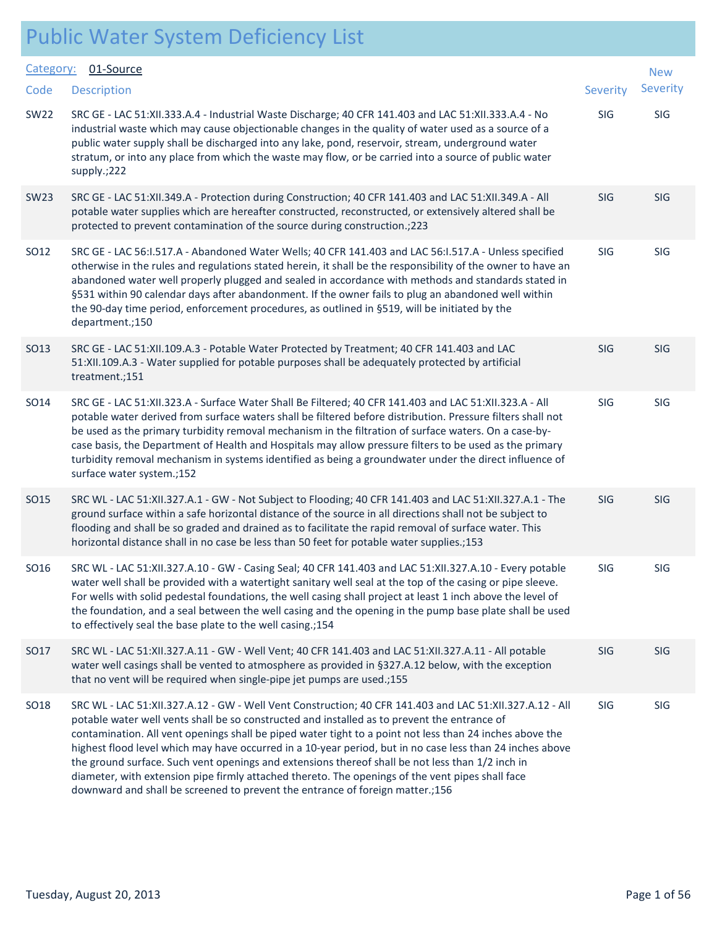| Category:   | 01-Source                                                                                                                                                                                                                                                                                                                                                                                                                                                                                                                                                                                                                                                                                                                  |            | <b>New</b> |  |
|-------------|----------------------------------------------------------------------------------------------------------------------------------------------------------------------------------------------------------------------------------------------------------------------------------------------------------------------------------------------------------------------------------------------------------------------------------------------------------------------------------------------------------------------------------------------------------------------------------------------------------------------------------------------------------------------------------------------------------------------------|------------|------------|--|
| Code        | <b>Description</b>                                                                                                                                                                                                                                                                                                                                                                                                                                                                                                                                                                                                                                                                                                         | Severity   | Severity   |  |
| <b>SW22</b> | SRC GE - LAC 51:XII.333.A.4 - Industrial Waste Discharge; 40 CFR 141.403 and LAC 51:XII.333.A.4 - No<br>industrial waste which may cause objectionable changes in the quality of water used as a source of a<br>public water supply shall be discharged into any lake, pond, reservoir, stream, underground water<br>stratum, or into any place from which the waste may flow, or be carried into a source of public water<br>supply.;222                                                                                                                                                                                                                                                                                  | SIG        | SIG        |  |
| <b>SW23</b> | SRC GE - LAC 51:XII.349.A - Protection during Construction; 40 CFR 141.403 and LAC 51:XII.349.A - All<br>potable water supplies which are hereafter constructed, reconstructed, or extensively altered shall be<br>protected to prevent contamination of the source during construction.;223                                                                                                                                                                                                                                                                                                                                                                                                                               | <b>SIG</b> | <b>SIG</b> |  |
| SO12        | SRC GE - LAC 56:1.517.A - Abandoned Water Wells; 40 CFR 141.403 and LAC 56:1.517.A - Unless specified<br>otherwise in the rules and regulations stated herein, it shall be the responsibility of the owner to have an<br>abandoned water well properly plugged and sealed in accordance with methods and standards stated in<br>§531 within 90 calendar days after abandonment. If the owner fails to plug an abandoned well within<br>the 90-day time period, enforcement procedures, as outlined in §519, will be initiated by the<br>department.;150                                                                                                                                                                    | SIG        | SIG        |  |
| SO13        | SRC GE - LAC 51:XII.109.A.3 - Potable Water Protected by Treatment; 40 CFR 141.403 and LAC<br>51:XII.109.A.3 - Water supplied for potable purposes shall be adequately protected by artificial<br>treatment.;151                                                                                                                                                                                                                                                                                                                                                                                                                                                                                                           | <b>SIG</b> | <b>SIG</b> |  |
| SO14        | SRC GE - LAC 51:XII.323.A - Surface Water Shall Be Filtered; 40 CFR 141.403 and LAC 51:XII.323.A - All<br>potable water derived from surface waters shall be filtered before distribution. Pressure filters shall not<br>be used as the primary turbidity removal mechanism in the filtration of surface waters. On a case-by-<br>case basis, the Department of Health and Hospitals may allow pressure filters to be used as the primary<br>turbidity removal mechanism in systems identified as being a groundwater under the direct influence of<br>surface water system.;152                                                                                                                                           | SIG        | SIG        |  |
| SO15        | SRC WL - LAC 51:XII.327.A.1 - GW - Not Subject to Flooding; 40 CFR 141.403 and LAC 51:XII.327.A.1 - The<br>ground surface within a safe horizontal distance of the source in all directions shall not be subject to<br>flooding and shall be so graded and drained as to facilitate the rapid removal of surface water. This<br>horizontal distance shall in no case be less than 50 feet for potable water supplies.;153                                                                                                                                                                                                                                                                                                  | SIG        | SIG        |  |
| SO16        | SRC WL - LAC 51:XII.327.A.10 - GW - Casing Seal; 40 CFR 141.403 and LAC 51:XII.327.A.10 - Every potable<br>water well shall be provided with a watertight sanitary well seal at the top of the casing or pipe sleeve.<br>For wells with solid pedestal foundations, the well casing shall project at least 1 inch above the level of<br>the foundation, and a seal between the well casing and the opening in the pump base plate shall be used<br>to effectively seal the base plate to the well casing.;154                                                                                                                                                                                                              | SIG        | SIG        |  |
| SO17        | SRC WL - LAC 51:XII.327.A.11 - GW - Well Vent; 40 CFR 141.403 and LAC 51:XII.327.A.11 - All potable<br>water well casings shall be vented to atmosphere as provided in §327.A.12 below, with the exception<br>that no vent will be required when single-pipe jet pumps are used.;155                                                                                                                                                                                                                                                                                                                                                                                                                                       | SIG        | <b>SIG</b> |  |
| <b>SO18</b> | SRC WL - LAC 51:XII.327.A.12 - GW - Well Vent Construction; 40 CFR 141.403 and LAC 51:XII.327.A.12 - All<br>potable water well vents shall be so constructed and installed as to prevent the entrance of<br>contamination. All vent openings shall be piped water tight to a point not less than 24 inches above the<br>highest flood level which may have occurred in a 10-year period, but in no case less than 24 inches above<br>the ground surface. Such vent openings and extensions thereof shall be not less than 1/2 inch in<br>diameter, with extension pipe firmly attached thereto. The openings of the vent pipes shall face<br>downward and shall be screened to prevent the entrance of foreign matter.;156 | SIG        | SIG        |  |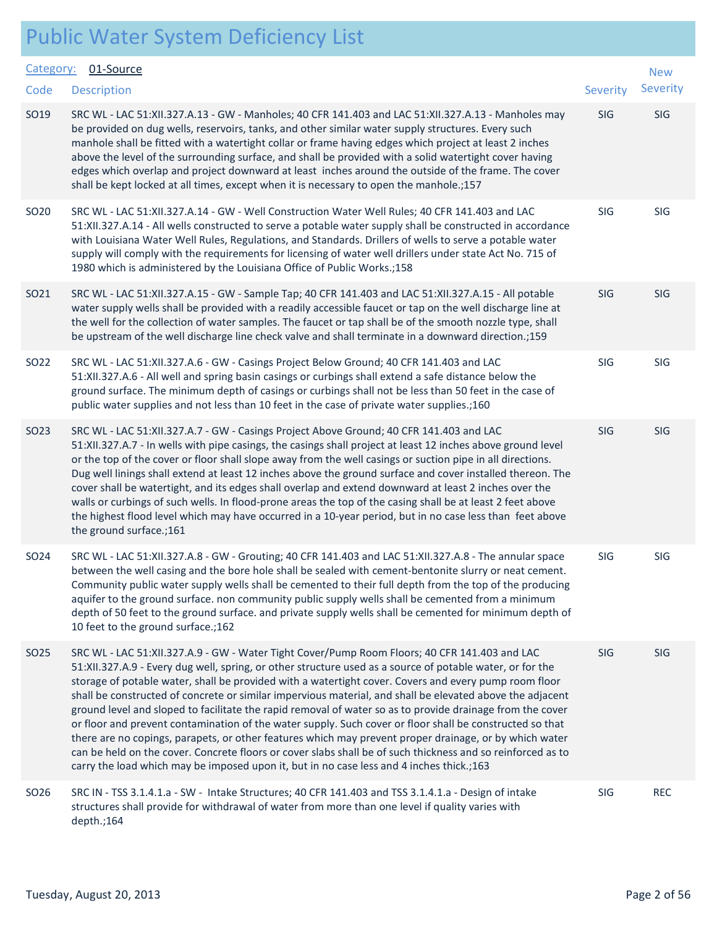| Category:        | 01-Source                                                                                                                                                                                                                                                                                                                                                                                                                                                                                                                                                                                                                                                                                                                                                                                                                                                                                                                                                                      |            | <b>New</b> |
|------------------|--------------------------------------------------------------------------------------------------------------------------------------------------------------------------------------------------------------------------------------------------------------------------------------------------------------------------------------------------------------------------------------------------------------------------------------------------------------------------------------------------------------------------------------------------------------------------------------------------------------------------------------------------------------------------------------------------------------------------------------------------------------------------------------------------------------------------------------------------------------------------------------------------------------------------------------------------------------------------------|------------|------------|
| Code             | <b>Description</b>                                                                                                                                                                                                                                                                                                                                                                                                                                                                                                                                                                                                                                                                                                                                                                                                                                                                                                                                                             | Severity   | Severity   |
| SO19             | SRC WL - LAC 51:XII.327.A.13 - GW - Manholes; 40 CFR 141.403 and LAC 51:XII.327.A.13 - Manholes may<br>be provided on dug wells, reservoirs, tanks, and other similar water supply structures. Every such<br>manhole shall be fitted with a watertight collar or frame having edges which project at least 2 inches<br>above the level of the surrounding surface, and shall be provided with a solid watertight cover having<br>edges which overlap and project downward at least inches around the outside of the frame. The cover<br>shall be kept locked at all times, except when it is necessary to open the manhole.;157                                                                                                                                                                                                                                                                                                                                                | SIG        | SIG        |
| SO20             | SRC WL - LAC 51:XII.327.A.14 - GW - Well Construction Water Well Rules; 40 CFR 141.403 and LAC<br>51:XII.327.A.14 - All wells constructed to serve a potable water supply shall be constructed in accordance<br>with Louisiana Water Well Rules, Regulations, and Standards. Drillers of wells to serve a potable water<br>supply will comply with the requirements for licensing of water well drillers under state Act No. 715 of<br>1980 which is administered by the Louisiana Office of Public Works.;158                                                                                                                                                                                                                                                                                                                                                                                                                                                                 | SIG        | SIG        |
| SO21             | SRC WL - LAC 51:XII.327.A.15 - GW - Sample Tap; 40 CFR 141.403 and LAC 51:XII.327.A.15 - All potable<br>water supply wells shall be provided with a readily accessible faucet or tap on the well discharge line at<br>the well for the collection of water samples. The faucet or tap shall be of the smooth nozzle type, shall<br>be upstream of the well discharge line check valve and shall terminate in a downward direction.;159                                                                                                                                                                                                                                                                                                                                                                                                                                                                                                                                         | <b>SIG</b> | SIG        |
| SO22             | SRC WL - LAC 51:XII.327.A.6 - GW - Casings Project Below Ground; 40 CFR 141.403 and LAC<br>51:XII.327.A.6 - All well and spring basin casings or curbings shall extend a safe distance below the<br>ground surface. The minimum depth of casings or curbings shall not be less than 50 feet in the case of<br>public water supplies and not less than 10 feet in the case of private water supplies.;160                                                                                                                                                                                                                                                                                                                                                                                                                                                                                                                                                                       | SIG        | SIG        |
| SO <sub>23</sub> | SRC WL - LAC 51:XII.327.A.7 - GW - Casings Project Above Ground; 40 CFR 141.403 and LAC<br>51:XII.327.A.7 - In wells with pipe casings, the casings shall project at least 12 inches above ground level<br>or the top of the cover or floor shall slope away from the well casings or suction pipe in all directions.<br>Dug well linings shall extend at least 12 inches above the ground surface and cover installed thereon. The<br>cover shall be watertight, and its edges shall overlap and extend downward at least 2 inches over the<br>walls or curbings of such wells. In flood-prone areas the top of the casing shall be at least 2 feet above<br>the highest flood level which may have occurred in a 10-year period, but in no case less than feet above<br>the ground surface.;161                                                                                                                                                                              | SIG        | SIG        |
| SO24             | SRC WL - LAC 51:XII.327.A.8 - GW - Grouting; 40 CFR 141.403 and LAC 51:XII.327.A.8 - The annular space<br>between the well casing and the bore hole shall be sealed with cement-bentonite slurry or neat cement.<br>Community public water supply wells shall be cemented to their full depth from the top of the producing<br>aquifer to the ground surface. non community public supply wells shall be cemented from a minimum<br>depth of 50 feet to the ground surface. and private supply wells shall be cemented for minimum depth of<br>10 feet to the ground surface.; 162                                                                                                                                                                                                                                                                                                                                                                                             | SIG        | SIG        |
| SO <sub>25</sub> | SRC WL - LAC 51:XII.327.A.9 - GW - Water Tight Cover/Pump Room Floors; 40 CFR 141.403 and LAC<br>51:XII.327.A.9 - Every dug well, spring, or other structure used as a source of potable water, or for the<br>storage of potable water, shall be provided with a watertight cover. Covers and every pump room floor<br>shall be constructed of concrete or similar impervious material, and shall be elevated above the adjacent<br>ground level and sloped to facilitate the rapid removal of water so as to provide drainage from the cover<br>or floor and prevent contamination of the water supply. Such cover or floor shall be constructed so that<br>there are no copings, parapets, or other features which may prevent proper drainage, or by which water<br>can be held on the cover. Concrete floors or cover slabs shall be of such thickness and so reinforced as to<br>carry the load which may be imposed upon it, but in no case less and 4 inches thick.;163 | SIG        | SIG        |
| SO26             | SRC IN - TSS 3.1.4.1.a - SW - Intake Structures; 40 CFR 141.403 and TSS 3.1.4.1.a - Design of intake<br>structures shall provide for withdrawal of water from more than one level if quality varies with<br>depth.;164                                                                                                                                                                                                                                                                                                                                                                                                                                                                                                                                                                                                                                                                                                                                                         | SIG        | <b>REC</b> |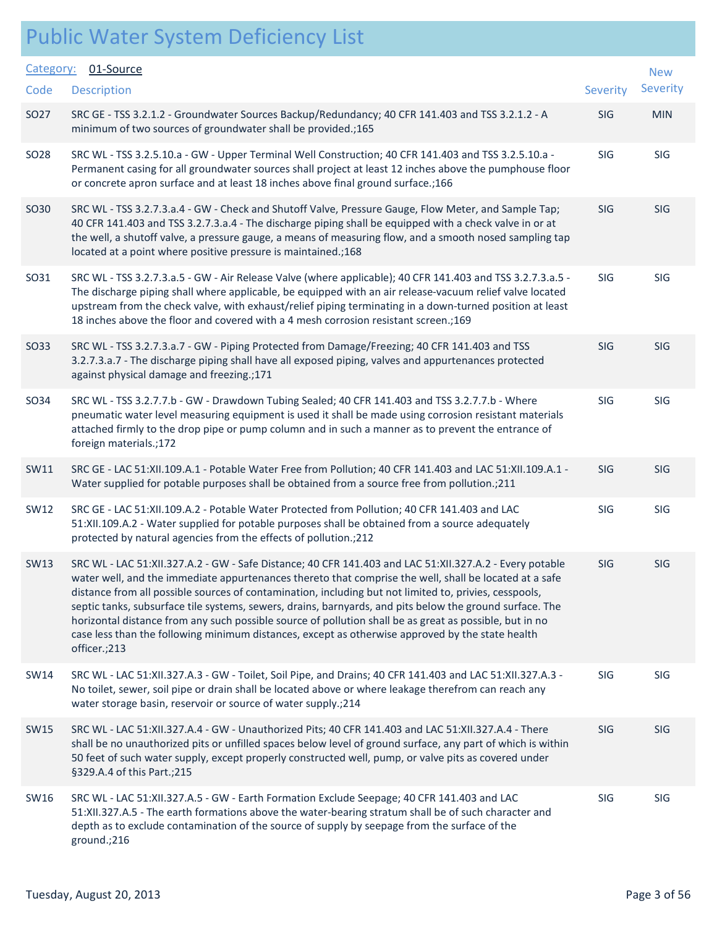| Category:<br>Code | 01-Source<br><b>Description</b>                                                                                                                                                                                                                                                                                                                                                                                                                                                                                                                                                                                                                                        | Severity   | <b>New</b><br>Severity |
|-------------------|------------------------------------------------------------------------------------------------------------------------------------------------------------------------------------------------------------------------------------------------------------------------------------------------------------------------------------------------------------------------------------------------------------------------------------------------------------------------------------------------------------------------------------------------------------------------------------------------------------------------------------------------------------------------|------------|------------------------|
| SO27              | SRC GE - TSS 3.2.1.2 - Groundwater Sources Backup/Redundancy; 40 CFR 141.403 and TSS 3.2.1.2 - A<br>minimum of two sources of groundwater shall be provided.;165                                                                                                                                                                                                                                                                                                                                                                                                                                                                                                       | SIG        | <b>MIN</b>             |
| SO28              | SRC WL - TSS 3.2.5.10.a - GW - Upper Terminal Well Construction; 40 CFR 141.403 and TSS 3.2.5.10.a -<br>Permanent casing for all groundwater sources shall project at least 12 inches above the pumphouse floor<br>or concrete apron surface and at least 18 inches above final ground surface.; 166                                                                                                                                                                                                                                                                                                                                                                   | SIG        | SIG                    |
| SO30              | SRC WL - TSS 3.2.7.3.a.4 - GW - Check and Shutoff Valve, Pressure Gauge, Flow Meter, and Sample Tap;<br>40 CFR 141.403 and TSS 3.2.7.3.a.4 - The discharge piping shall be equipped with a check valve in or at<br>the well, a shutoff valve, a pressure gauge, a means of measuring flow, and a smooth nosed sampling tap<br>located at a point where positive pressure is maintained.;168                                                                                                                                                                                                                                                                            | SIG        | SIG                    |
| SO31              | SRC WL - TSS 3.2.7.3.a.5 - GW - Air Release Valve (where applicable); 40 CFR 141.403 and TSS 3.2.7.3.a.5 -<br>The discharge piping shall where applicable, be equipped with an air release-vacuum relief valve located<br>upstream from the check valve, with exhaust/relief piping terminating in a down-turned position at least<br>18 inches above the floor and covered with a 4 mesh corrosion resistant screen.;169                                                                                                                                                                                                                                              | SIG        | SIG                    |
| SO33              | SRC WL - TSS 3.2.7.3.a.7 - GW - Piping Protected from Damage/Freezing; 40 CFR 141.403 and TSS<br>3.2.7.3.a.7 - The discharge piping shall have all exposed piping, valves and appurtenances protected<br>against physical damage and freezing.;171                                                                                                                                                                                                                                                                                                                                                                                                                     | <b>SIG</b> | <b>SIG</b>             |
| SO34              | SRC WL - TSS 3.2.7.7.b - GW - Drawdown Tubing Sealed; 40 CFR 141.403 and TSS 3.2.7.7.b - Where<br>pneumatic water level measuring equipment is used it shall be made using corrosion resistant materials<br>attached firmly to the drop pipe or pump column and in such a manner as to prevent the entrance of<br>foreign materials.;172                                                                                                                                                                                                                                                                                                                               | SIG        | SIG                    |
| SW11              | SRC GE - LAC 51:XII.109.A.1 - Potable Water Free from Pollution; 40 CFR 141.403 and LAC 51:XII.109.A.1 -<br>Water supplied for potable purposes shall be obtained from a source free from pollution.;211                                                                                                                                                                                                                                                                                                                                                                                                                                                               | SIG        | <b>SIG</b>             |
| SW12              | SRC GE - LAC 51:XII.109.A.2 - Potable Water Protected from Pollution; 40 CFR 141.403 and LAC<br>51:XII.109.A.2 - Water supplied for potable purposes shall be obtained from a source adequately<br>protected by natural agencies from the effects of pollution.;212                                                                                                                                                                                                                                                                                                                                                                                                    | SIG        | <b>SIG</b>             |
| <b>SW13</b>       | SRC WL - LAC 51:XII.327.A.2 - GW - Safe Distance; 40 CFR 141.403 and LAC 51:XII.327.A.2 - Every potable<br>water well, and the immediate appurtenances thereto that comprise the well, shall be located at a safe<br>distance from all possible sources of contamination, including but not limited to, privies, cesspools,<br>septic tanks, subsurface tile systems, sewers, drains, barnyards, and pits below the ground surface. The<br>horizontal distance from any such possible source of pollution shall be as great as possible, but in no<br>case less than the following minimum distances, except as otherwise approved by the state health<br>officer.;213 | <b>SIG</b> | <b>SIG</b>             |
| SW14              | SRC WL - LAC 51:XII.327.A.3 - GW - Toilet, Soil Pipe, and Drains; 40 CFR 141.403 and LAC 51:XII.327.A.3 -<br>No toilet, sewer, soil pipe or drain shall be located above or where leakage therefrom can reach any<br>water storage basin, reservoir or source of water supply.; 214                                                                                                                                                                                                                                                                                                                                                                                    | SIG        | <b>SIG</b>             |
| <b>SW15</b>       | SRC WL - LAC 51:XII.327.A.4 - GW - Unauthorized Pits; 40 CFR 141.403 and LAC 51:XII.327.A.4 - There<br>shall be no unauthorized pits or unfilled spaces below level of ground surface, any part of which is within<br>50 feet of such water supply, except properly constructed well, pump, or valve pits as covered under<br>§329.A.4 of this Part.;215                                                                                                                                                                                                                                                                                                               | SIG        | SIG                    |
| SW16              | SRC WL - LAC 51:XII.327.A.5 - GW - Earth Formation Exclude Seepage; 40 CFR 141.403 and LAC<br>51:XII.327.A.5 - The earth formations above the water-bearing stratum shall be of such character and<br>depth as to exclude contamination of the source of supply by seepage from the surface of the<br>ground.;216                                                                                                                                                                                                                                                                                                                                                      | SIG        | SIG                    |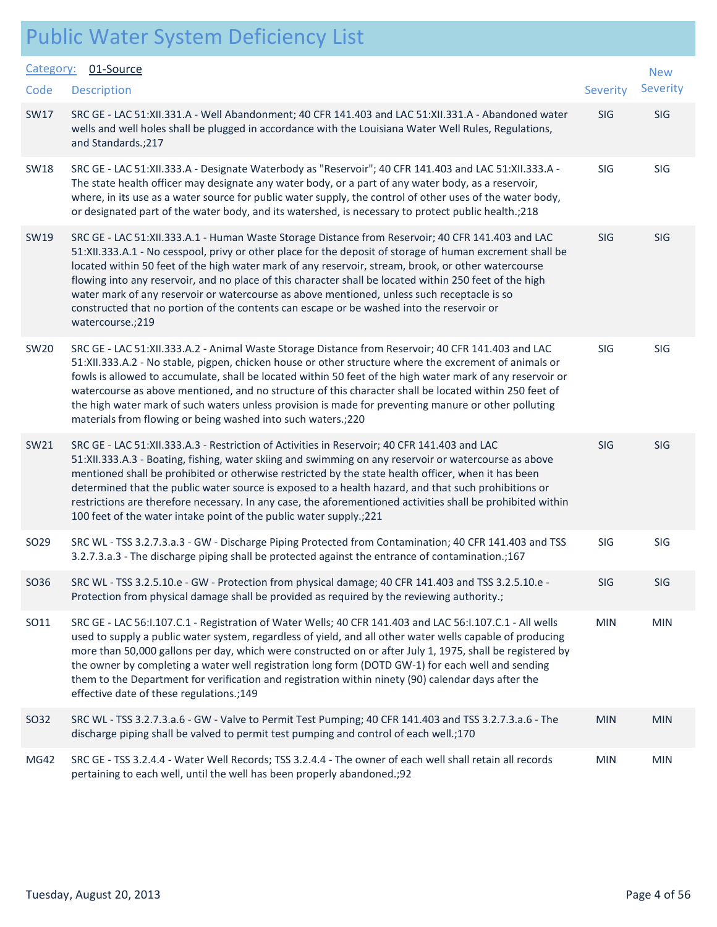| Category:        | 01-Source                                                                                                                                                                                                                                                                                                                                                                                                                                                                                                                                                                                                                                        |                 | <b>New</b> |  |
|------------------|--------------------------------------------------------------------------------------------------------------------------------------------------------------------------------------------------------------------------------------------------------------------------------------------------------------------------------------------------------------------------------------------------------------------------------------------------------------------------------------------------------------------------------------------------------------------------------------------------------------------------------------------------|-----------------|------------|--|
| Code             | <b>Description</b>                                                                                                                                                                                                                                                                                                                                                                                                                                                                                                                                                                                                                               | <b>Severity</b> | Severity   |  |
| <b>SW17</b>      | SRC GE - LAC 51:XII.331.A - Well Abandonment; 40 CFR 141.403 and LAC 51:XII.331.A - Abandoned water<br>wells and well holes shall be plugged in accordance with the Louisiana Water Well Rules, Regulations,<br>and Standards.; 217                                                                                                                                                                                                                                                                                                                                                                                                              | SIG             | SIG        |  |
| <b>SW18</b>      | SRC GE - LAC 51:XII.333.A - Designate Waterbody as "Reservoir"; 40 CFR 141.403 and LAC 51:XII.333.A -<br>The state health officer may designate any water body, or a part of any water body, as a reservoir,<br>where, in its use as a water source for public water supply, the control of other uses of the water body,<br>or designated part of the water body, and its watershed, is necessary to protect public health.; 218                                                                                                                                                                                                                | SIG             | SIG        |  |
| SW19             | SRC GE - LAC 51:XII.333.A.1 - Human Waste Storage Distance from Reservoir; 40 CFR 141.403 and LAC<br>51:XII.333.A.1 - No cesspool, privy or other place for the deposit of storage of human excrement shall be<br>located within 50 feet of the high water mark of any reservoir, stream, brook, or other watercourse<br>flowing into any reservoir, and no place of this character shall be located within 250 feet of the high<br>water mark of any reservoir or watercourse as above mentioned, unless such receptacle is so<br>constructed that no portion of the contents can escape or be washed into the reservoir or<br>watercourse.;219 | SIG             | SIG        |  |
| <b>SW20</b>      | SRC GE - LAC 51:XII.333.A.2 - Animal Waste Storage Distance from Reservoir; 40 CFR 141.403 and LAC<br>51:XII.333.A.2 - No stable, pigpen, chicken house or other structure where the excrement of animals or<br>fowls is allowed to accumulate, shall be located within 50 feet of the high water mark of any reservoir or<br>watercourse as above mentioned, and no structure of this character shall be located within 250 feet of<br>the high water mark of such waters unless provision is made for preventing manure or other polluting<br>materials from flowing or being washed into such waters.; 220                                    | SIG             | SIG        |  |
| SW21             | SRC GE - LAC 51:XII.333.A.3 - Restriction of Activities in Reservoir; 40 CFR 141.403 and LAC<br>51:XII.333.A.3 - Boating, fishing, water skiing and swimming on any reservoir or watercourse as above<br>mentioned shall be prohibited or otherwise restricted by the state health officer, when it has been<br>determined that the public water source is exposed to a health hazard, and that such prohibitions or<br>restrictions are therefore necessary. In any case, the aforementioned activities shall be prohibited within<br>100 feet of the water intake point of the public water supply.; 221                                       | SIG             | SIG        |  |
| SO <sub>29</sub> | SRC WL - TSS 3.2.7.3.a.3 - GW - Discharge Piping Protected from Contamination; 40 CFR 141.403 and TSS<br>3.2.7.3.a.3 - The discharge piping shall be protected against the entrance of contamination.;167                                                                                                                                                                                                                                                                                                                                                                                                                                        | SIG             | SIG        |  |
| SO36             | SRC WL - TSS 3.2.5.10.e - GW - Protection from physical damage; 40 CFR 141.403 and TSS 3.2.5.10.e -<br>Protection from physical damage shall be provided as required by the reviewing authority.;                                                                                                                                                                                                                                                                                                                                                                                                                                                | SIG             | SIG        |  |
| SO11             | SRC GE - LAC 56:1.107.C.1 - Registration of Water Wells; 40 CFR 141.403 and LAC 56:1.107.C.1 - All wells<br>used to supply a public water system, regardless of yield, and all other water wells capable of producing<br>more than 50,000 gallons per day, which were constructed on or after July 1, 1975, shall be registered by<br>the owner by completing a water well registration long form (DOTD GW-1) for each well and sending<br>them to the Department for verification and registration within ninety (90) calendar days after the<br>effective date of these regulations.;149                                                       | <b>MIN</b>      | <b>MIN</b> |  |
| SO32             | SRC WL - TSS 3.2.7.3.a.6 - GW - Valve to Permit Test Pumping; 40 CFR 141.403 and TSS 3.2.7.3.a.6 - The<br>discharge piping shall be valved to permit test pumping and control of each well.;170                                                                                                                                                                                                                                                                                                                                                                                                                                                  | <b>MIN</b>      | <b>MIN</b> |  |
| <b>MG42</b>      | SRC GE - TSS 3.2.4.4 - Water Well Records; TSS 3.2.4.4 - The owner of each well shall retain all records<br>pertaining to each well, until the well has been properly abandoned.;92                                                                                                                                                                                                                                                                                                                                                                                                                                                              | <b>MIN</b>      | <b>MIN</b> |  |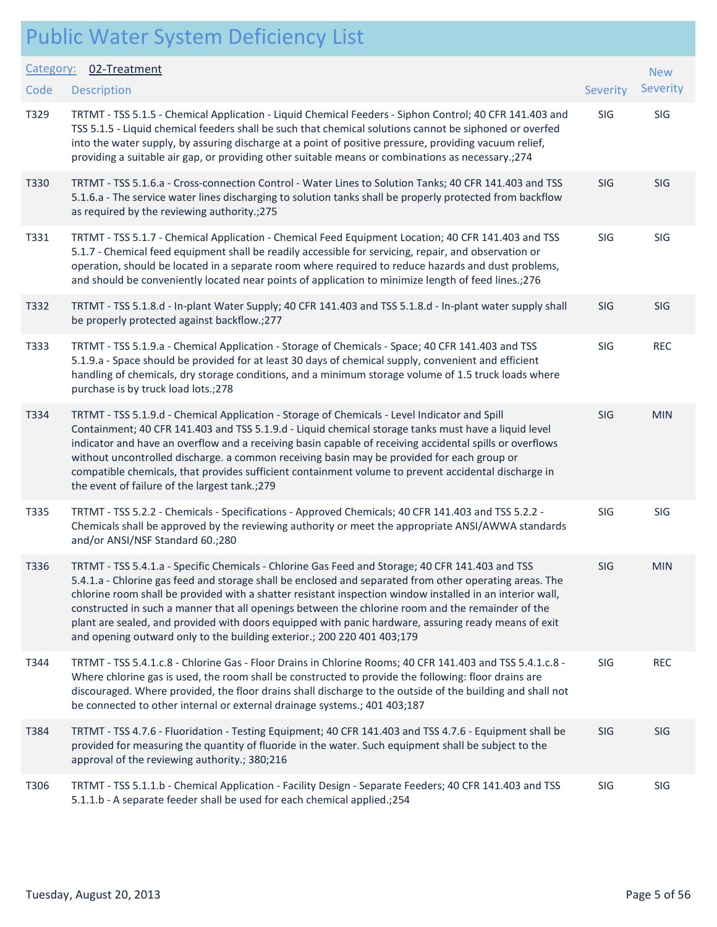| Category: | 02-Treatment                                                                                                                                                                                                                                                                                                                                                                                                                                                                                                                                                                                                     |          | <b>New</b> |
|-----------|------------------------------------------------------------------------------------------------------------------------------------------------------------------------------------------------------------------------------------------------------------------------------------------------------------------------------------------------------------------------------------------------------------------------------------------------------------------------------------------------------------------------------------------------------------------------------------------------------------------|----------|------------|
| Code      | <b>Description</b>                                                                                                                                                                                                                                                                                                                                                                                                                                                                                                                                                                                               | Severity | Severity   |
| T329      | TRTMT - TSS 5.1.5 - Chemical Application - Liquid Chemical Feeders - Siphon Control; 40 CFR 141.403 and<br>TSS 5.1.5 - Liquid chemical feeders shall be such that chemical solutions cannot be siphoned or overfed<br>into the water supply, by assuring discharge at a point of positive pressure, providing vacuum relief,<br>providing a suitable air gap, or providing other suitable means or combinations as necessary.; 274                                                                                                                                                                               | SIG      | SIG        |
| T330      | TRTMT - TSS 5.1.6.a - Cross-connection Control - Water Lines to Solution Tanks; 40 CFR 141.403 and TSS<br>5.1.6.a - The service water lines discharging to solution tanks shall be properly protected from backflow<br>as required by the reviewing authority.; 275                                                                                                                                                                                                                                                                                                                                              | SIG      | <b>SIG</b> |
| T331      | TRTMT - TSS 5.1.7 - Chemical Application - Chemical Feed Equipment Location; 40 CFR 141.403 and TSS<br>5.1.7 - Chemical feed equipment shall be readily accessible for servicing, repair, and observation or<br>operation, should be located in a separate room where required to reduce hazards and dust problems,<br>and should be conveniently located near points of application to minimize length of feed lines.; 276                                                                                                                                                                                      | SIG      | SIG        |
| T332      | TRTMT - TSS 5.1.8.d - In-plant Water Supply; 40 CFR 141.403 and TSS 5.1.8.d - In-plant water supply shall<br>be properly protected against backflow.;277                                                                                                                                                                                                                                                                                                                                                                                                                                                         | SIG      | SIG        |
| T333      | TRTMT - TSS 5.1.9.a - Chemical Application - Storage of Chemicals - Space; 40 CFR 141.403 and TSS<br>5.1.9.a - Space should be provided for at least 30 days of chemical supply, convenient and efficient<br>handling of chemicals, dry storage conditions, and a minimum storage volume of 1.5 truck loads where<br>purchase is by truck load lots.;278                                                                                                                                                                                                                                                         | SIG      | <b>REC</b> |
| T334      | TRTMT - TSS 5.1.9.d - Chemical Application - Storage of Chemicals - Level Indicator and Spill<br>Containment; 40 CFR 141.403 and TSS 5.1.9.d - Liquid chemical storage tanks must have a liquid level<br>indicator and have an overflow and a receiving basin capable of receiving accidental spills or overflows<br>without uncontrolled discharge. a common receiving basin may be provided for each group or<br>compatible chemicals, that provides sufficient containment volume to prevent accidental discharge in<br>the event of failure of the largest tank.; 279                                        | SIG      | <b>MIN</b> |
| T335      | TRTMT - TSS 5.2.2 - Chemicals - Specifications - Approved Chemicals; 40 CFR 141.403 and TSS 5.2.2 -<br>Chemicals shall be approved by the reviewing authority or meet the appropriate ANSI/AWWA standards<br>and/or ANSI/NSF Standard 60.;280                                                                                                                                                                                                                                                                                                                                                                    | SIG      | SIG        |
| T336      | TRTMT - TSS 5.4.1.a - Specific Chemicals - Chlorine Gas Feed and Storage; 40 CFR 141.403 and TSS<br>5.4.1.a - Chlorine gas feed and storage shall be enclosed and separated from other operating areas. The<br>chlorine room shall be provided with a shatter resistant inspection window installed in an interior wall,<br>constructed in such a manner that all openings between the chlorine room and the remainder of the<br>plant are sealed, and provided with doors equipped with panic hardware, assuring ready means of exit<br>and opening outward only to the building exterior.; 200 220 401 403;179 | SIG      | <b>MIN</b> |
| T344      | TRTMT - TSS 5.4.1.c.8 - Chlorine Gas - Floor Drains in Chlorine Rooms; 40 CFR 141.403 and TSS 5.4.1.c.8 -<br>Where chlorine gas is used, the room shall be constructed to provide the following: floor drains are<br>discouraged. Where provided, the floor drains shall discharge to the outside of the building and shall not<br>be connected to other internal or external drainage systems.; 401 403;187                                                                                                                                                                                                     | SIG      | <b>REC</b> |
| T384      | TRTMT - TSS 4.7.6 - Fluoridation - Testing Equipment; 40 CFR 141.403 and TSS 4.7.6 - Equipment shall be<br>provided for measuring the quantity of fluoride in the water. Such equipment shall be subject to the<br>approval of the reviewing authority.; 380;216                                                                                                                                                                                                                                                                                                                                                 | SIG      | <b>SIG</b> |
| T306      | TRTMT - TSS 5.1.1.b - Chemical Application - Facility Design - Separate Feeders; 40 CFR 141.403 and TSS<br>5.1.1.b - A separate feeder shall be used for each chemical applied.;254                                                                                                                                                                                                                                                                                                                                                                                                                              | SIG      | SIG        |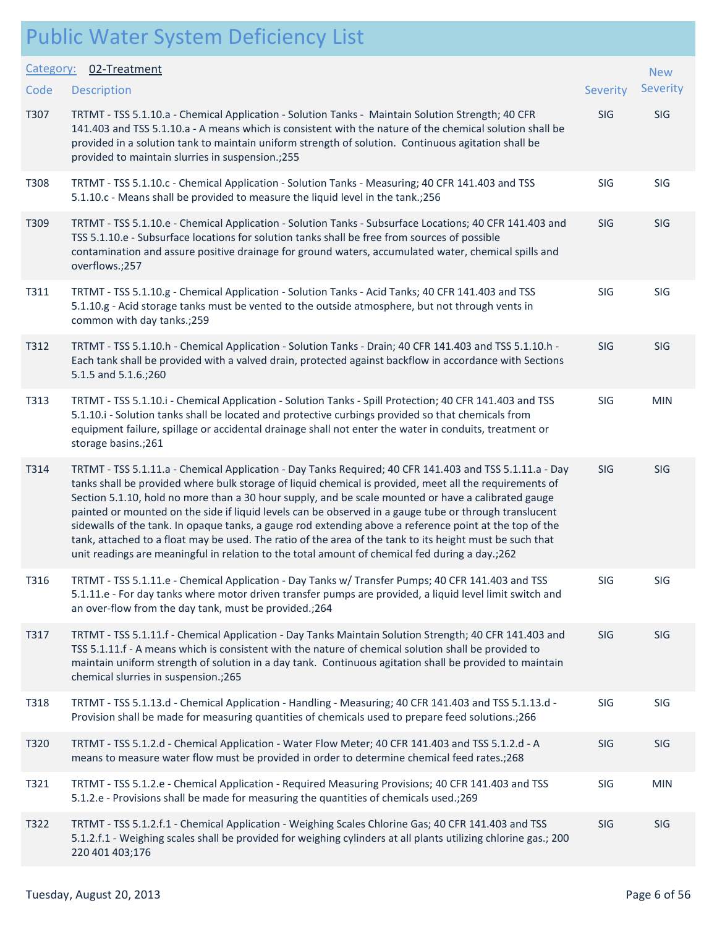| Category: | 02-Treatment                                                                                                                                                                                                                                                                                                                                                                                                                                                                                                                                                                                                                                                                                                                                                  |            | <b>New</b> |
|-----------|---------------------------------------------------------------------------------------------------------------------------------------------------------------------------------------------------------------------------------------------------------------------------------------------------------------------------------------------------------------------------------------------------------------------------------------------------------------------------------------------------------------------------------------------------------------------------------------------------------------------------------------------------------------------------------------------------------------------------------------------------------------|------------|------------|
| Code      | <b>Description</b>                                                                                                                                                                                                                                                                                                                                                                                                                                                                                                                                                                                                                                                                                                                                            | Severity   | Severity   |
| T307      | TRTMT - TSS 5.1.10.a - Chemical Application - Solution Tanks - Maintain Solution Strength; 40 CFR<br>141.403 and TSS 5.1.10.a - A means which is consistent with the nature of the chemical solution shall be<br>provided in a solution tank to maintain uniform strength of solution. Continuous agitation shall be<br>provided to maintain slurries in suspension.;255                                                                                                                                                                                                                                                                                                                                                                                      | SIG        | SIG        |
| T308      | TRTMT - TSS 5.1.10.c - Chemical Application - Solution Tanks - Measuring; 40 CFR 141.403 and TSS<br>5.1.10.c - Means shall be provided to measure the liquid level in the tank.; 256                                                                                                                                                                                                                                                                                                                                                                                                                                                                                                                                                                          | <b>SIG</b> | SIG        |
| T309      | TRTMT - TSS 5.1.10.e - Chemical Application - Solution Tanks - Subsurface Locations; 40 CFR 141.403 and<br>TSS 5.1.10.e - Subsurface locations for solution tanks shall be free from sources of possible<br>contamination and assure positive drainage for ground waters, accumulated water, chemical spills and<br>overflows.;257                                                                                                                                                                                                                                                                                                                                                                                                                            | SIG        | SIG        |
| T311      | TRTMT - TSS 5.1.10.g - Chemical Application - Solution Tanks - Acid Tanks; 40 CFR 141.403 and TSS<br>5.1.10.g - Acid storage tanks must be vented to the outside atmosphere, but not through vents in<br>common with day tanks.;259                                                                                                                                                                                                                                                                                                                                                                                                                                                                                                                           | SIG        | SIG        |
| T312      | TRTMT - TSS 5.1.10.h - Chemical Application - Solution Tanks - Drain; 40 CFR 141.403 and TSS 5.1.10.h -<br>Each tank shall be provided with a valved drain, protected against backflow in accordance with Sections<br>5.1.5 and 5.1.6.;260                                                                                                                                                                                                                                                                                                                                                                                                                                                                                                                    | <b>SIG</b> | SIG        |
| T313      | TRTMT - TSS 5.1.10.i - Chemical Application - Solution Tanks - Spill Protection; 40 CFR 141.403 and TSS<br>5.1.10.i - Solution tanks shall be located and protective curbings provided so that chemicals from<br>equipment failure, spillage or accidental drainage shall not enter the water in conduits, treatment or<br>storage basins.;261                                                                                                                                                                                                                                                                                                                                                                                                                | SIG        | <b>MIN</b> |
| T314      | TRTMT - TSS 5.1.11.a - Chemical Application - Day Tanks Required; 40 CFR 141.403 and TSS 5.1.11.a - Day<br>tanks shall be provided where bulk storage of liquid chemical is provided, meet all the requirements of<br>Section 5.1.10, hold no more than a 30 hour supply, and be scale mounted or have a calibrated gauge<br>painted or mounted on the side if liquid levels can be observed in a gauge tube or through translucent<br>sidewalls of the tank. In opaque tanks, a gauge rod extending above a reference point at the top of the<br>tank, attached to a float may be used. The ratio of the area of the tank to its height must be such that<br>unit readings are meaningful in relation to the total amount of chemical fed during a day.; 262 | <b>SIG</b> | <b>SIG</b> |
| T316      | TRTMT - TSS 5.1.11.e - Chemical Application - Day Tanks w/ Transfer Pumps; 40 CFR 141.403 and TSS<br>5.1.11.e - For day tanks where motor driven transfer pumps are provided, a liquid level limit switch and<br>an over-flow from the day tank, must be provided.;264                                                                                                                                                                                                                                                                                                                                                                                                                                                                                        | SIG        | SIG        |
| T317      | TRTMT - TSS 5.1.11.f - Chemical Application - Day Tanks Maintain Solution Strength; 40 CFR 141.403 and<br>TSS 5.1.11.f - A means which is consistent with the nature of chemical solution shall be provided to<br>maintain uniform strength of solution in a day tank. Continuous agitation shall be provided to maintain<br>chemical slurries in suspension.; 265                                                                                                                                                                                                                                                                                                                                                                                            | SIG        | SIG        |
| T318      | TRTMT - TSS 5.1.13.d - Chemical Application - Handling - Measuring; 40 CFR 141.403 and TSS 5.1.13.d -<br>Provision shall be made for measuring quantities of chemicals used to prepare feed solutions.; 266                                                                                                                                                                                                                                                                                                                                                                                                                                                                                                                                                   | SIG        | SIG        |
| T320      | TRTMT - TSS 5.1.2.d - Chemical Application - Water Flow Meter; 40 CFR 141.403 and TSS 5.1.2.d - A<br>means to measure water flow must be provided in order to determine chemical feed rates.; 268                                                                                                                                                                                                                                                                                                                                                                                                                                                                                                                                                             | SIG        | SIG        |
| T321      | TRTMT - TSS 5.1.2.e - Chemical Application - Required Measuring Provisions; 40 CFR 141.403 and TSS<br>5.1.2.e - Provisions shall be made for measuring the quantities of chemicals used.;269                                                                                                                                                                                                                                                                                                                                                                                                                                                                                                                                                                  | SIG        | <b>MIN</b> |
| T322      | TRTMT - TSS 5.1.2.f.1 - Chemical Application - Weighing Scales Chlorine Gas; 40 CFR 141.403 and TSS<br>5.1.2.f.1 - Weighing scales shall be provided for weighing cylinders at all plants utilizing chlorine gas.; 200<br>220 401 403;176                                                                                                                                                                                                                                                                                                                                                                                                                                                                                                                     | SIG        | SIG        |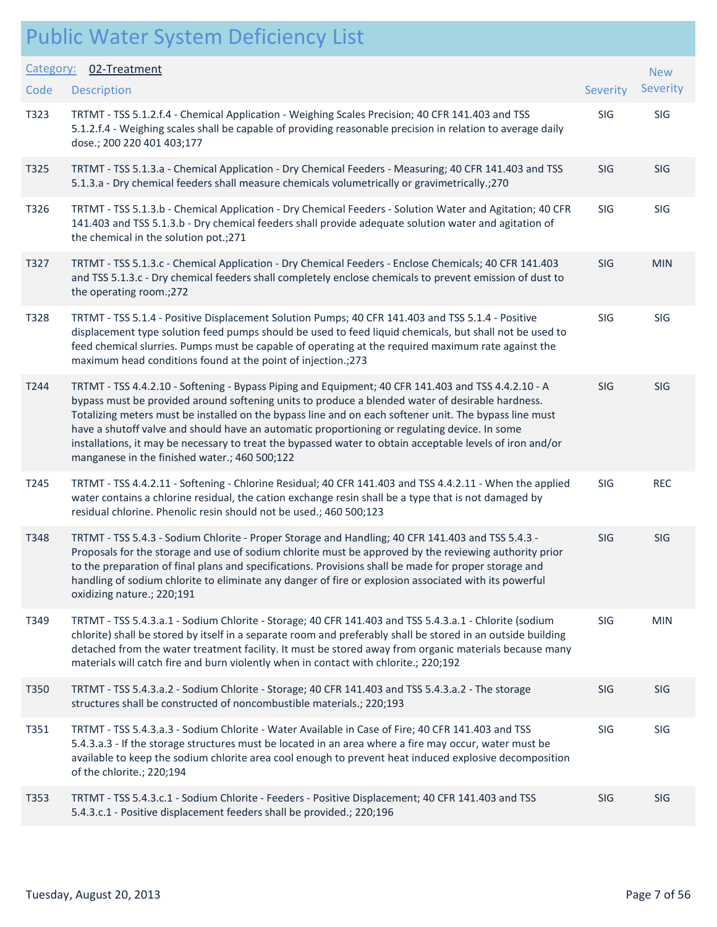| Category: | 02-Treatment                                                                                                                                                                                                                                                                                                                                                                                                                                                                                                                                                                     |            | <b>New</b> |
|-----------|----------------------------------------------------------------------------------------------------------------------------------------------------------------------------------------------------------------------------------------------------------------------------------------------------------------------------------------------------------------------------------------------------------------------------------------------------------------------------------------------------------------------------------------------------------------------------------|------------|------------|
| Code      | <b>Description</b>                                                                                                                                                                                                                                                                                                                                                                                                                                                                                                                                                               | Severity   | Severity   |
| T323      | TRTMT - TSS 5.1.2.f.4 - Chemical Application - Weighing Scales Precision; 40 CFR 141.403 and TSS<br>5.1.2.f.4 - Weighing scales shall be capable of providing reasonable precision in relation to average daily<br>dose.; 200 220 401 403;177                                                                                                                                                                                                                                                                                                                                    | SIG        | SIG        |
| T325      | TRTMT - TSS 5.1.3.a - Chemical Application - Dry Chemical Feeders - Measuring; 40 CFR 141.403 and TSS<br>5.1.3.a - Dry chemical feeders shall measure chemicals volumetrically or gravimetrically.;270                                                                                                                                                                                                                                                                                                                                                                           | <b>SIG</b> | <b>SIG</b> |
| T326      | TRTMT - TSS 5.1.3.b - Chemical Application - Dry Chemical Feeders - Solution Water and Agitation; 40 CFR<br>141.403 and TSS 5.1.3.b - Dry chemical feeders shall provide adequate solution water and agitation of<br>the chemical in the solution pot.;271                                                                                                                                                                                                                                                                                                                       | SIG        | SIG        |
| T327      | TRTMT - TSS 5.1.3.c - Chemical Application - Dry Chemical Feeders - Enclose Chemicals; 40 CFR 141.403<br>and TSS 5.1.3.c - Dry chemical feeders shall completely enclose chemicals to prevent emission of dust to<br>the operating room.;272                                                                                                                                                                                                                                                                                                                                     | SIG        | <b>MIN</b> |
| T328      | TRTMT - TSS 5.1.4 - Positive Displacement Solution Pumps; 40 CFR 141.403 and TSS 5.1.4 - Positive<br>displacement type solution feed pumps should be used to feed liquid chemicals, but shall not be used to<br>feed chemical slurries. Pumps must be capable of operating at the required maximum rate against the<br>maximum head conditions found at the point of injection.;273                                                                                                                                                                                              | SIG        | SIG        |
| T244      | TRTMT - TSS 4.4.2.10 - Softening - Bypass Piping and Equipment; 40 CFR 141.403 and TSS 4.4.2.10 - A<br>bypass must be provided around softening units to produce a blended water of desirable hardness.<br>Totalizing meters must be installed on the bypass line and on each softener unit. The bypass line must<br>have a shutoff valve and should have an automatic proportioning or regulating device. In some<br>installations, it may be necessary to treat the bypassed water to obtain acceptable levels of iron and/or<br>manganese in the finished water.; 460 500;122 | SIG        | SIG        |
| T245      | TRTMT - TSS 4.4.2.11 - Softening - Chlorine Residual; 40 CFR 141.403 and TSS 4.4.2.11 - When the applied<br>water contains a chlorine residual, the cation exchange resin shall be a type that is not damaged by<br>residual chlorine. Phenolic resin should not be used.; 460 500;123                                                                                                                                                                                                                                                                                           | SIG        | <b>REC</b> |
| T348      | TRTMT - TSS 5.4.3 - Sodium Chlorite - Proper Storage and Handling; 40 CFR 141.403 and TSS 5.4.3 -<br>Proposals for the storage and use of sodium chlorite must be approved by the reviewing authority prior<br>to the preparation of final plans and specifications. Provisions shall be made for proper storage and<br>handling of sodium chlorite to eliminate any danger of fire or explosion associated with its powerful<br>oxidizing nature.; 220;191                                                                                                                      | SIG        | SIG        |
| T349      | TRTMT - TSS 5.4.3.a.1 - Sodium Chlorite - Storage; 40 CFR 141.403 and TSS 5.4.3.a.1 - Chlorite (sodium<br>chlorite) shall be stored by itself in a separate room and preferably shall be stored in an outside building<br>detached from the water treatment facility. It must be stored away from organic materials because many<br>materials will catch fire and burn violently when in contact with chlorite.; 220;192                                                                                                                                                         | SIG        | <b>MIN</b> |
| T350      | TRTMT - TSS 5.4.3.a.2 - Sodium Chlorite - Storage; 40 CFR 141.403 and TSS 5.4.3.a.2 - The storage<br>structures shall be constructed of noncombustible materials.; 220;193                                                                                                                                                                                                                                                                                                                                                                                                       | SIG        | <b>SIG</b> |
| T351      | TRTMT - TSS 5.4.3.a.3 - Sodium Chlorite - Water Available in Case of Fire; 40 CFR 141.403 and TSS<br>5.4.3.a.3 - If the storage structures must be located in an area where a fire may occur, water must be<br>available to keep the sodium chlorite area cool enough to prevent heat induced explosive decomposition<br>of the chlorite.; 220;194                                                                                                                                                                                                                               | SIG        | SIG        |
| T353      | TRTMT - TSS 5.4.3.c.1 - Sodium Chlorite - Feeders - Positive Displacement; 40 CFR 141.403 and TSS<br>5.4.3.c.1 - Positive displacement feeders shall be provided.; 220;196                                                                                                                                                                                                                                                                                                                                                                                                       | <b>SIG</b> | <b>SIG</b> |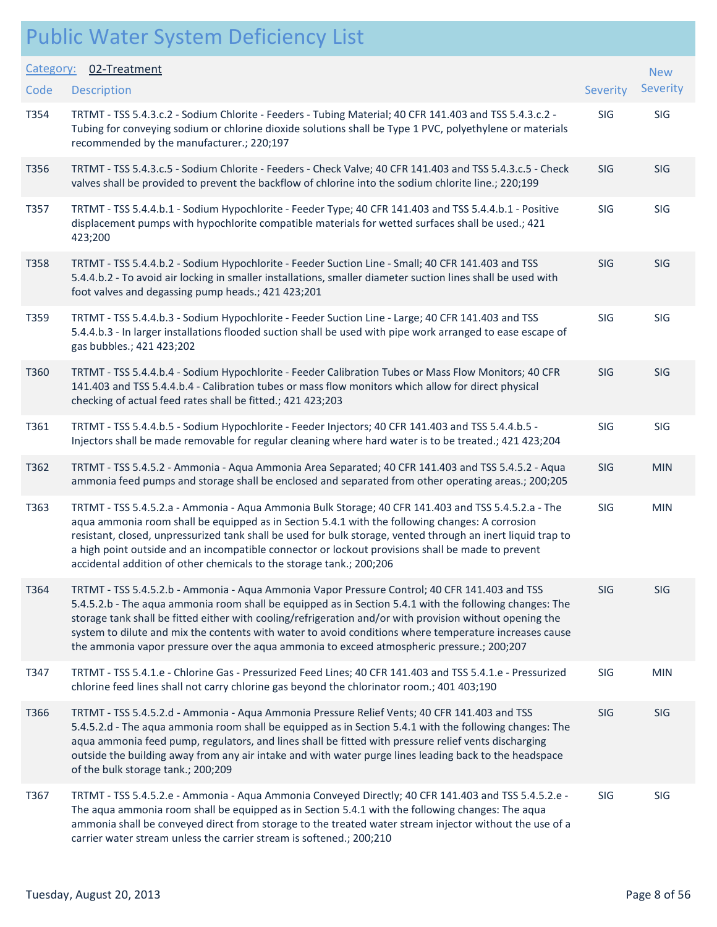| Category: | 02-Treatment                                                                                                                                                                                                                                                                                                                                                                                                                                                                                                                |            | <b>New</b> |
|-----------|-----------------------------------------------------------------------------------------------------------------------------------------------------------------------------------------------------------------------------------------------------------------------------------------------------------------------------------------------------------------------------------------------------------------------------------------------------------------------------------------------------------------------------|------------|------------|
| Code      | <b>Description</b>                                                                                                                                                                                                                                                                                                                                                                                                                                                                                                          | Severity   | Severity   |
| T354      | TRTMT - TSS 5.4.3.c.2 - Sodium Chlorite - Feeders - Tubing Material; 40 CFR 141.403 and TSS 5.4.3.c.2 -<br>Tubing for conveying sodium or chlorine dioxide solutions shall be Type 1 PVC, polyethylene or materials<br>recommended by the manufacturer.; 220;197                                                                                                                                                                                                                                                            | SIG        | SIG        |
| T356      | TRTMT - TSS 5.4.3.c.5 - Sodium Chlorite - Feeders - Check Valve; 40 CFR 141.403 and TSS 5.4.3.c.5 - Check<br>valves shall be provided to prevent the backflow of chlorine into the sodium chlorite line.; 220;199                                                                                                                                                                                                                                                                                                           | SIG        | <b>SIG</b> |
| T357      | TRTMT - TSS 5.4.4.b.1 - Sodium Hypochlorite - Feeder Type; 40 CFR 141.403 and TSS 5.4.4.b.1 - Positive<br>displacement pumps with hypochlorite compatible materials for wetted surfaces shall be used.; 421<br>423;200                                                                                                                                                                                                                                                                                                      | SIG        | SIG        |
| T358      | TRTMT - TSS 5.4.4.b.2 - Sodium Hypochlorite - Feeder Suction Line - Small; 40 CFR 141.403 and TSS<br>5.4.4.b.2 - To avoid air locking in smaller installations, smaller diameter suction lines shall be used with<br>foot valves and degassing pump heads.; 421 423;201                                                                                                                                                                                                                                                     | SIG        | <b>SIG</b> |
| T359      | TRTMT - TSS 5.4.4.b.3 - Sodium Hypochlorite - Feeder Suction Line - Large; 40 CFR 141.403 and TSS<br>5.4.4.b.3 - In larger installations flooded suction shall be used with pipe work arranged to ease escape of<br>gas bubbles.; 421 423;202                                                                                                                                                                                                                                                                               | SIG        | SIG        |
| T360      | TRTMT - TSS 5.4.4.b.4 - Sodium Hypochlorite - Feeder Calibration Tubes or Mass Flow Monitors; 40 CFR<br>141.403 and TSS 5.4.4.b.4 - Calibration tubes or mass flow monitors which allow for direct physical<br>checking of actual feed rates shall be fitted.; 421 423;203                                                                                                                                                                                                                                                  | <b>SIG</b> | <b>SIG</b> |
| T361      | TRTMT - TSS 5.4.4.b.5 - Sodium Hypochlorite - Feeder Injectors; 40 CFR 141.403 and TSS 5.4.4.b.5 -<br>Injectors shall be made removable for regular cleaning where hard water is to be treated.; 421 423;204                                                                                                                                                                                                                                                                                                                | SIG        | SIG        |
| T362      | TRTMT - TSS 5.4.5.2 - Ammonia - Aqua Ammonia Area Separated; 40 CFR 141.403 and TSS 5.4.5.2 - Aqua<br>ammonia feed pumps and storage shall be enclosed and separated from other operating areas.; 200;205                                                                                                                                                                                                                                                                                                                   | SIG        | <b>MIN</b> |
| T363      | TRTMT - TSS 5.4.5.2.a - Ammonia - Aqua Ammonia Bulk Storage; 40 CFR 141.403 and TSS 5.4.5.2.a - The<br>aqua ammonia room shall be equipped as in Section 5.4.1 with the following changes: A corrosion<br>resistant, closed, unpressurized tank shall be used for bulk storage, vented through an inert liquid trap to<br>a high point outside and an incompatible connector or lockout provisions shall be made to prevent<br>accidental addition of other chemicals to the storage tank.; 200;206                         | SIG        | <b>MIN</b> |
| T364      | TRTMT - TSS 5.4.5.2.b - Ammonia - Aqua Ammonia Vapor Pressure Control; 40 CFR 141.403 and TSS<br>5.4.5.2.b - The aqua ammonia room shall be equipped as in Section 5.4.1 with the following changes: The<br>storage tank shall be fitted either with cooling/refrigeration and/or with provision without opening the<br>system to dilute and mix the contents with water to avoid conditions where temperature increases cause<br>the ammonia vapor pressure over the aqua ammonia to exceed atmospheric pressure.; 200;207 | <b>SIG</b> | <b>SIG</b> |
| T347      | TRTMT - TSS 5.4.1.e - Chlorine Gas - Pressurized Feed Lines; 40 CFR 141.403 and TSS 5.4.1.e - Pressurized<br>chlorine feed lines shall not carry chlorine gas beyond the chlorinator room.; 401 403;190                                                                                                                                                                                                                                                                                                                     | SIG        | <b>MIN</b> |
| T366      | TRTMT - TSS 5.4.5.2.d - Ammonia - Aqua Ammonia Pressure Relief Vents; 40 CFR 141.403 and TSS<br>5.4.5.2.d - The aqua ammonia room shall be equipped as in Section 5.4.1 with the following changes: The<br>aqua ammonia feed pump, regulators, and lines shall be fitted with pressure relief vents discharging<br>outside the building away from any air intake and with water purge lines leading back to the headspace<br>of the bulk storage tank.; 200;209                                                             | <b>SIG</b> | <b>SIG</b> |
| T367      | TRTMT - TSS 5.4.5.2.e - Ammonia - Aqua Ammonia Conveyed Directly; 40 CFR 141.403 and TSS 5.4.5.2.e -<br>The aqua ammonia room shall be equipped as in Section 5.4.1 with the following changes: The aqua<br>ammonia shall be conveyed direct from storage to the treated water stream injector without the use of a<br>carrier water stream unless the carrier stream is softened.; 200;210                                                                                                                                 | SIG        | SIG        |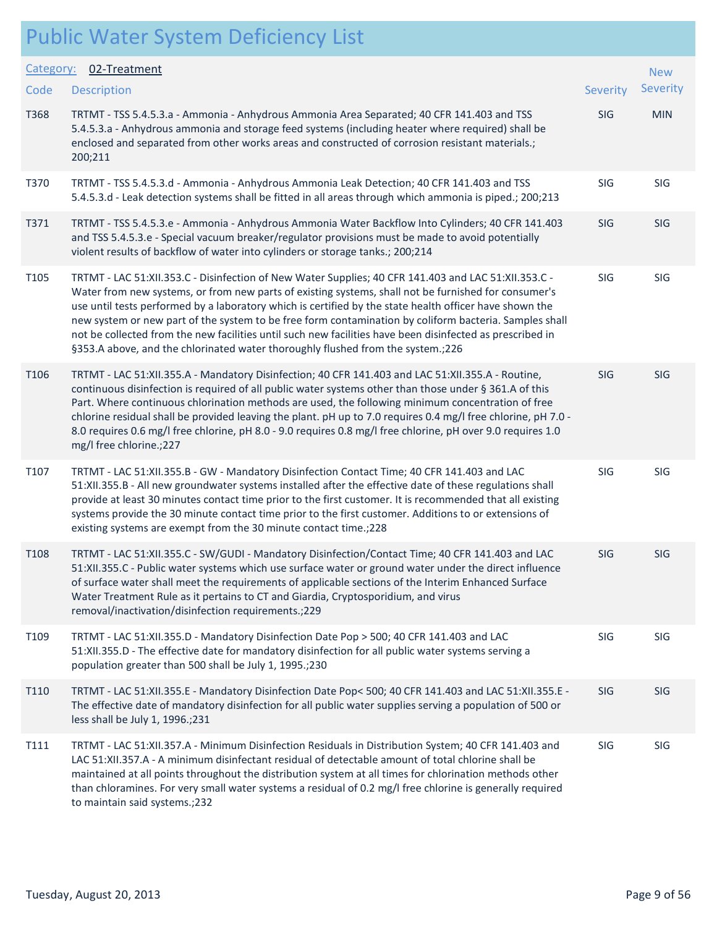| Category:        | 02-Treatment                                                                                                                                                                                                                                                                                                                                                                                                                                                                                                                                                                                                                      |            | <b>New</b> |  |
|------------------|-----------------------------------------------------------------------------------------------------------------------------------------------------------------------------------------------------------------------------------------------------------------------------------------------------------------------------------------------------------------------------------------------------------------------------------------------------------------------------------------------------------------------------------------------------------------------------------------------------------------------------------|------------|------------|--|
| Code             | <b>Description</b>                                                                                                                                                                                                                                                                                                                                                                                                                                                                                                                                                                                                                | Severity   | Severity   |  |
| T368             | TRTMT - TSS 5.4.5.3.a - Ammonia - Anhydrous Ammonia Area Separated; 40 CFR 141.403 and TSS<br>5.4.5.3.a - Anhydrous ammonia and storage feed systems (including heater where required) shall be<br>enclosed and separated from other works areas and constructed of corrosion resistant materials.;<br>200;211                                                                                                                                                                                                                                                                                                                    | <b>SIG</b> | <b>MIN</b> |  |
| T370             | TRTMT - TSS 5.4.5.3.d - Ammonia - Anhydrous Ammonia Leak Detection; 40 CFR 141.403 and TSS<br>5.4.5.3.d - Leak detection systems shall be fitted in all areas through which ammonia is piped.; 200;213                                                                                                                                                                                                                                                                                                                                                                                                                            | SIG        | SIG        |  |
| T371             | TRTMT - TSS 5.4.5.3.e - Ammonia - Anhydrous Ammonia Water Backflow Into Cylinders; 40 CFR 141.403<br>and TSS 5.4.5.3.e - Special vacuum breaker/regulator provisions must be made to avoid potentially<br>violent results of backflow of water into cylinders or storage tanks.; 200;214                                                                                                                                                                                                                                                                                                                                          | <b>SIG</b> | <b>SIG</b> |  |
| T105             | TRTMT - LAC 51:XII.353.C - Disinfection of New Water Supplies; 40 CFR 141.403 and LAC 51:XII.353.C -<br>Water from new systems, or from new parts of existing systems, shall not be furnished for consumer's<br>use until tests performed by a laboratory which is certified by the state health officer have shown the<br>new system or new part of the system to be free form contamination by coliform bacteria. Samples shall<br>not be collected from the new facilities until such new facilities have been disinfected as prescribed in<br>§353.A above, and the chlorinated water thoroughly flushed from the system.;226 | SIG        | SIG        |  |
| T106             | TRTMT - LAC 51:XII.355.A - Mandatory Disinfection; 40 CFR 141.403 and LAC 51:XII.355.A - Routine,<br>continuous disinfection is required of all public water systems other than those under § 361.A of this<br>Part. Where continuous chlorination methods are used, the following minimum concentration of free<br>chlorine residual shall be provided leaving the plant. pH up to 7.0 requires 0.4 mg/l free chlorine, pH 7.0 -<br>8.0 requires 0.6 mg/l free chlorine, pH 8.0 - 9.0 requires 0.8 mg/l free chlorine, pH over 9.0 requires 1.0<br>mg/I free chlorine.;227                                                       | SIG        | SIG        |  |
| T107             | TRTMT - LAC 51:XII.355.B - GW - Mandatory Disinfection Contact Time; 40 CFR 141.403 and LAC<br>51:XII.355.B - All new groundwater systems installed after the effective date of these regulations shall<br>provide at least 30 minutes contact time prior to the first customer. It is recommended that all existing<br>systems provide the 30 minute contact time prior to the first customer. Additions to or extensions of<br>existing systems are exempt from the 30 minute contact time.; 228                                                                                                                                | SIG        | SIG        |  |
| T <sub>108</sub> | TRTMT - LAC 51:XII.355.C - SW/GUDI - Mandatory Disinfection/Contact Time; 40 CFR 141.403 and LAC<br>51:XII.355.C - Public water systems which use surface water or ground water under the direct influence<br>of surface water shall meet the requirements of applicable sections of the Interim Enhanced Surface<br>Water Treatment Rule as it pertains to CT and Giardia, Cryptosporidium, and virus<br>removal/inactivation/disinfection requirements.;229                                                                                                                                                                     | SIG        | SIG        |  |
| T109             | TRTMT - LAC 51:XII.355.D - Mandatory Disinfection Date Pop > 500; 40 CFR 141.403 and LAC<br>51:XII.355.D - The effective date for mandatory disinfection for all public water systems serving a<br>population greater than 500 shall be July 1, 1995.;230                                                                                                                                                                                                                                                                                                                                                                         | SIG        | SIG        |  |
| T110             | TRTMT - LAC 51:XII.355.E - Mandatory Disinfection Date Pop< 500; 40 CFR 141.403 and LAC 51:XII.355.E -<br>The effective date of mandatory disinfection for all public water supplies serving a population of 500 or<br>less shall be July 1, 1996.;231                                                                                                                                                                                                                                                                                                                                                                            | SIG        | SIG        |  |
| T111             | TRTMT - LAC 51:XII.357.A - Minimum Disinfection Residuals in Distribution System; 40 CFR 141.403 and<br>LAC 51:XII.357.A - A minimum disinfectant residual of detectable amount of total chlorine shall be<br>maintained at all points throughout the distribution system at all times for chlorination methods other<br>than chloramines. For very small water systems a residual of 0.2 mg/l free chlorine is generally required<br>to maintain said systems.;232                                                                                                                                                               | SIG        | SIG        |  |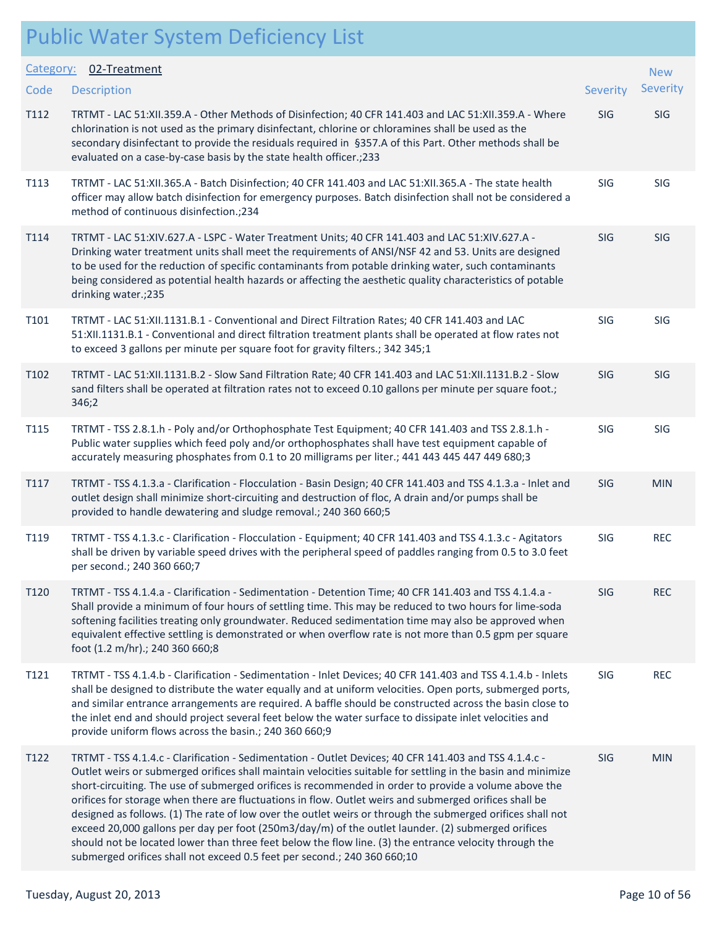| <b>Public Water System Deficiency List</b> |  |
|--------------------------------------------|--|
|--------------------------------------------|--|

| Category:        | 02-Treatment                                                                                                                                                                                                                                                                                                                                                                                                                                                                                                                                                                                                                                                                                                                                                                                                                                        |            | <b>New</b> |
|------------------|-----------------------------------------------------------------------------------------------------------------------------------------------------------------------------------------------------------------------------------------------------------------------------------------------------------------------------------------------------------------------------------------------------------------------------------------------------------------------------------------------------------------------------------------------------------------------------------------------------------------------------------------------------------------------------------------------------------------------------------------------------------------------------------------------------------------------------------------------------|------------|------------|
| Code             | <b>Description</b>                                                                                                                                                                                                                                                                                                                                                                                                                                                                                                                                                                                                                                                                                                                                                                                                                                  | Severity   | Severity   |
| T112             | TRTMT - LAC 51:XII.359.A - Other Methods of Disinfection; 40 CFR 141.403 and LAC 51:XII.359.A - Where<br>chlorination is not used as the primary disinfectant, chlorine or chloramines shall be used as the<br>secondary disinfectant to provide the residuals required in §357.A of this Part. Other methods shall be<br>evaluated on a case-by-case basis by the state health officer.; 233                                                                                                                                                                                                                                                                                                                                                                                                                                                       | SIG        | SIG        |
| T113             | TRTMT - LAC 51:XII.365.A - Batch Disinfection; 40 CFR 141.403 and LAC 51:XII.365.A - The state health<br>officer may allow batch disinfection for emergency purposes. Batch disinfection shall not be considered a<br>method of continuous disinfection.;234                                                                                                                                                                                                                                                                                                                                                                                                                                                                                                                                                                                        | SIG        | SIG        |
| T114             | TRTMT - LAC 51:XIV.627.A - LSPC - Water Treatment Units; 40 CFR 141.403 and LAC 51:XIV.627.A -<br>Drinking water treatment units shall meet the requirements of ANSI/NSF 42 and 53. Units are designed<br>to be used for the reduction of specific contaminants from potable drinking water, such contaminants<br>being considered as potential health hazards or affecting the aesthetic quality characteristics of potable<br>drinking water.;235                                                                                                                                                                                                                                                                                                                                                                                                 | <b>SIG</b> | SIG        |
| T101             | TRTMT - LAC 51:XII.1131.B.1 - Conventional and Direct Filtration Rates; 40 CFR 141.403 and LAC<br>51:XII.1131.B.1 - Conventional and direct filtration treatment plants shall be operated at flow rates not<br>to exceed 3 gallons per minute per square foot for gravity filters.; 342 345;1                                                                                                                                                                                                                                                                                                                                                                                                                                                                                                                                                       | SIG        | SIG        |
| T <sub>102</sub> | TRTMT - LAC 51:XII.1131.B.2 - Slow Sand Filtration Rate; 40 CFR 141.403 and LAC 51:XII.1131.B.2 - Slow<br>sand filters shall be operated at filtration rates not to exceed 0.10 gallons per minute per square foot.;<br>346;2                                                                                                                                                                                                                                                                                                                                                                                                                                                                                                                                                                                                                       | SIG        | SIG        |
| T115             | TRTMT - TSS 2.8.1.h - Poly and/or Orthophosphate Test Equipment; 40 CFR 141.403 and TSS 2.8.1.h -<br>Public water supplies which feed poly and/or orthophosphates shall have test equipment capable of<br>accurately measuring phosphates from 0.1 to 20 milligrams per liter.; 441 443 445 447 449 680;3                                                                                                                                                                                                                                                                                                                                                                                                                                                                                                                                           | SIG        | <b>SIG</b> |
| T117             | TRTMT - TSS 4.1.3.a - Clarification - Flocculation - Basin Design; 40 CFR 141.403 and TSS 4.1.3.a - Inlet and<br>outlet design shall minimize short-circuiting and destruction of floc, A drain and/or pumps shall be<br>provided to handle dewatering and sludge removal.; 240 360 660;5                                                                                                                                                                                                                                                                                                                                                                                                                                                                                                                                                           | SIG        | <b>MIN</b> |
| T119             | TRTMT - TSS 4.1.3.c - Clarification - Flocculation - Equipment; 40 CFR 141.403 and TSS 4.1.3.c - Agitators<br>shall be driven by variable speed drives with the peripheral speed of paddles ranging from 0.5 to 3.0 feet<br>per second.; 240 360 660;7                                                                                                                                                                                                                                                                                                                                                                                                                                                                                                                                                                                              | SIG        | <b>REC</b> |
| T <sub>120</sub> | TRTMT - TSS 4.1.4.a - Clarification - Sedimentation - Detention Time; 40 CFR 141.403 and TSS 4.1.4.a -<br>Shall provide a minimum of four hours of settling time. This may be reduced to two hours for lime-soda<br>softening facilities treating only groundwater. Reduced sedimentation time may also be approved when<br>equivalent effective settling is demonstrated or when overflow rate is not more than 0.5 gpm per square<br>foot (1.2 m/hr).; 240 360 660;8                                                                                                                                                                                                                                                                                                                                                                              | SIG        | <b>REC</b> |
| T121             | TRTMT - TSS 4.1.4.b - Clarification - Sedimentation - Inlet Devices; 40 CFR 141.403 and TSS 4.1.4.b - Inlets<br>shall be designed to distribute the water equally and at uniform velocities. Open ports, submerged ports,<br>and similar entrance arrangements are required. A baffle should be constructed across the basin close to<br>the inlet end and should project several feet below the water surface to dissipate inlet velocities and<br>provide uniform flows across the basin.; 240 360 660;9                                                                                                                                                                                                                                                                                                                                          | SIG        | <b>REC</b> |
| T122             | TRTMT - TSS 4.1.4.c - Clarification - Sedimentation - Outlet Devices; 40 CFR 141.403 and TSS 4.1.4.c -<br>Outlet weirs or submerged orifices shall maintain velocities suitable for settling in the basin and minimize<br>short-circuiting. The use of submerged orifices is recommended in order to provide a volume above the<br>orifices for storage when there are fluctuations in flow. Outlet weirs and submerged orifices shall be<br>designed as follows. (1) The rate of low over the outlet weirs or through the submerged orifices shall not<br>exceed 20,000 gallons per day per foot (250m3/day/m) of the outlet launder. (2) submerged orifices<br>should not be located lower than three feet below the flow line. (3) the entrance velocity through the<br>submerged orifices shall not exceed 0.5 feet per second.; 240 360 660;10 | <b>SIG</b> | <b>MIN</b> |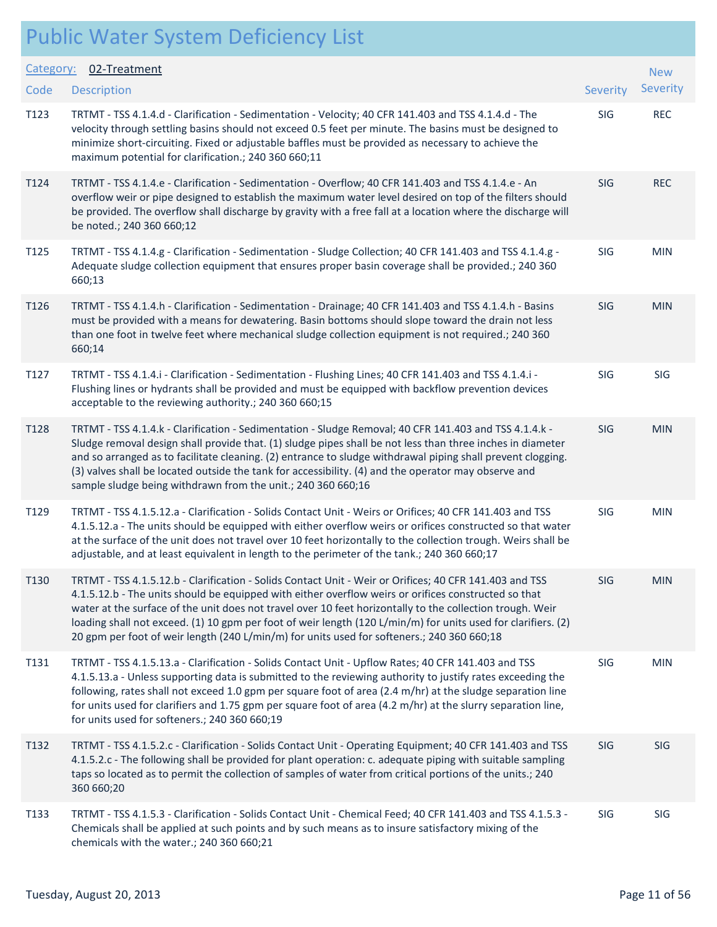| Category: | 02-Treatment                                                                                                                                                                                                                                                                                                                                                                                                                                                                                                                                |            | <b>New</b> |  |
|-----------|---------------------------------------------------------------------------------------------------------------------------------------------------------------------------------------------------------------------------------------------------------------------------------------------------------------------------------------------------------------------------------------------------------------------------------------------------------------------------------------------------------------------------------------------|------------|------------|--|
| Code      | <b>Description</b>                                                                                                                                                                                                                                                                                                                                                                                                                                                                                                                          | Severity   | Severity   |  |
| T123      | TRTMT - TSS 4.1.4.d - Clarification - Sedimentation - Velocity; 40 CFR 141.403 and TSS 4.1.4.d - The<br>velocity through settling basins should not exceed 0.5 feet per minute. The basins must be designed to<br>minimize short-circuiting. Fixed or adjustable baffles must be provided as necessary to achieve the<br>maximum potential for clarification.; 240 360 660;11                                                                                                                                                               | SIG        | <b>REC</b> |  |
| T124      | TRTMT - TSS 4.1.4.e - Clarification - Sedimentation - Overflow; 40 CFR 141.403 and TSS 4.1.4.e - An<br>overflow weir or pipe designed to establish the maximum water level desired on top of the filters should<br>be provided. The overflow shall discharge by gravity with a free fall at a location where the discharge will<br>be noted.; 240 360 660;12                                                                                                                                                                                | SIG        | <b>REC</b> |  |
| T125      | TRTMT - TSS 4.1.4.g - Clarification - Sedimentation - Sludge Collection; 40 CFR 141.403 and TSS 4.1.4.g -<br>Adequate sludge collection equipment that ensures proper basin coverage shall be provided.; 240 360<br>660;13                                                                                                                                                                                                                                                                                                                  | SIG        | <b>MIN</b> |  |
| T126      | TRTMT - TSS 4.1.4.h - Clarification - Sedimentation - Drainage; 40 CFR 141.403 and TSS 4.1.4.h - Basins<br>must be provided with a means for dewatering. Basin bottoms should slope toward the drain not less<br>than one foot in twelve feet where mechanical sludge collection equipment is not required.; 240 360<br>660;14                                                                                                                                                                                                              | <b>SIG</b> | <b>MIN</b> |  |
| T127      | TRTMT - TSS 4.1.4.i - Clarification - Sedimentation - Flushing Lines; 40 CFR 141.403 and TSS 4.1.4.i -<br>Flushing lines or hydrants shall be provided and must be equipped with backflow prevention devices<br>acceptable to the reviewing authority.; 240 360 660;15                                                                                                                                                                                                                                                                      | SIG        | SIG        |  |
| T128      | TRTMT - TSS 4.1.4.k - Clarification - Sedimentation - Sludge Removal; 40 CFR 141.403 and TSS 4.1.4.k -<br>Sludge removal design shall provide that. (1) sludge pipes shall be not less than three inches in diameter<br>and so arranged as to facilitate cleaning. (2) entrance to sludge withdrawal piping shall prevent clogging.<br>(3) valves shall be located outside the tank for accessibility. (4) and the operator may observe and<br>sample sludge being withdrawn from the unit.; 240 360 660;16                                 | SIG        | <b>MIN</b> |  |
| T129      | TRTMT - TSS 4.1.5.12.a - Clarification - Solids Contact Unit - Weirs or Orifices; 40 CFR 141.403 and TSS<br>4.1.5.12.a - The units should be equipped with either overflow weirs or orifices constructed so that water<br>at the surface of the unit does not travel over 10 feet horizontally to the collection trough. Weirs shall be<br>adjustable, and at least equivalent in length to the perimeter of the tank.; 240 360 660;17                                                                                                      | SIG        | <b>MIN</b> |  |
| T130      | TRTMT - TSS 4.1.5.12.b - Clarification - Solids Contact Unit - Weir or Orifices; 40 CFR 141.403 and TSS<br>4.1.5.12.b - The units should be equipped with either overflow weirs or orifices constructed so that<br>water at the surface of the unit does not travel over 10 feet horizontally to the collection trough. Weir<br>loading shall not exceed. (1) 10 gpm per foot of weir length (120 L/min/m) for units used for clarifiers. (2)<br>20 gpm per foot of weir length (240 L/min/m) for units used for softeners.; 240 360 660;18 | SIG        | <b>MIN</b> |  |
| T131      | TRTMT - TSS 4.1.5.13.a - Clarification - Solids Contact Unit - Upflow Rates; 40 CFR 141.403 and TSS<br>4.1.5.13.a - Unless supporting data is submitted to the reviewing authority to justify rates exceeding the<br>following, rates shall not exceed 1.0 gpm per square foot of area (2.4 m/hr) at the sludge separation line<br>for units used for clarifiers and 1.75 gpm per square foot of area (4.2 m/hr) at the slurry separation line,<br>for units used for softeners.; 240 360 660;19                                            | SIG        | <b>MIN</b> |  |
| T132      | TRTMT - TSS 4.1.5.2.c - Clarification - Solids Contact Unit - Operating Equipment; 40 CFR 141.403 and TSS<br>4.1.5.2.c - The following shall be provided for plant operation: c. adequate piping with suitable sampling<br>taps so located as to permit the collection of samples of water from critical portions of the units.; 240<br>360 660;20                                                                                                                                                                                          | SIG        | <b>SIG</b> |  |
| T133      | TRTMT - TSS 4.1.5.3 - Clarification - Solids Contact Unit - Chemical Feed; 40 CFR 141.403 and TSS 4.1.5.3 -<br>Chemicals shall be applied at such points and by such means as to insure satisfactory mixing of the<br>chemicals with the water.; 240 360 660;21                                                                                                                                                                                                                                                                             | SIG        | SIG        |  |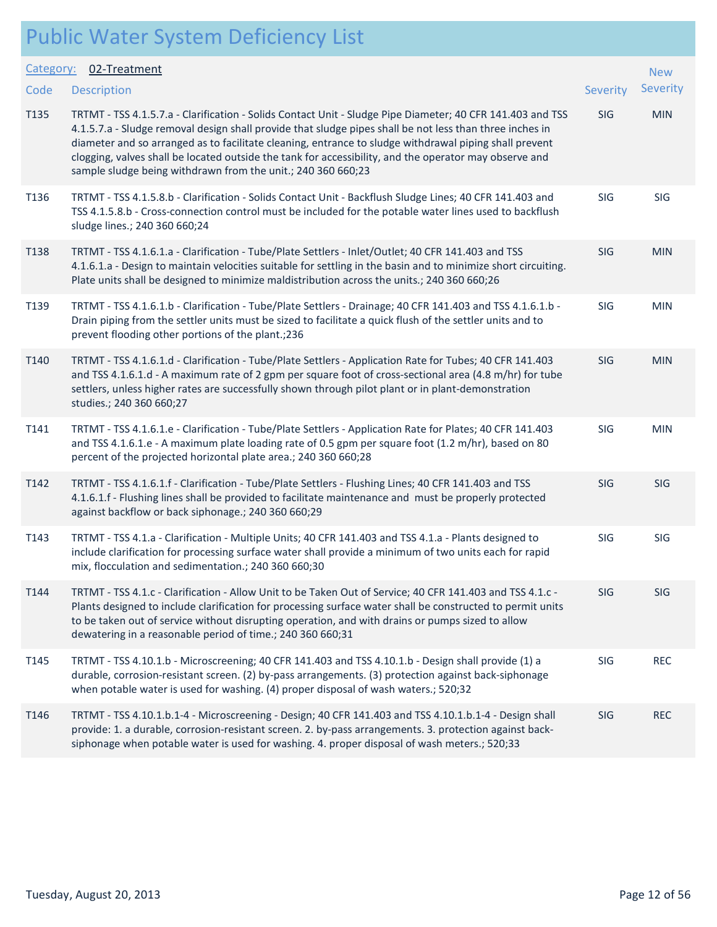|  |  | <b>Public Water System Deficiency List</b> |  |
|--|--|--------------------------------------------|--|
|--|--|--------------------------------------------|--|

|           | I GOIL WOULD SYSLEM BEHEICHT LIST                                                                                                                                                                                                                                                                                                                                                                                                                                                                          |          |            |
|-----------|------------------------------------------------------------------------------------------------------------------------------------------------------------------------------------------------------------------------------------------------------------------------------------------------------------------------------------------------------------------------------------------------------------------------------------------------------------------------------------------------------------|----------|------------|
| Category: | 02-Treatment                                                                                                                                                                                                                                                                                                                                                                                                                                                                                               |          | <b>New</b> |
| Code      | <b>Description</b>                                                                                                                                                                                                                                                                                                                                                                                                                                                                                         | Severity | Severity   |
| T135      | TRTMT - TSS 4.1.5.7.a - Clarification - Solids Contact Unit - Sludge Pipe Diameter; 40 CFR 141.403 and TSS<br>4.1.5.7.a - Sludge removal design shall provide that sludge pipes shall be not less than three inches in<br>diameter and so arranged as to facilitate cleaning, entrance to sludge withdrawal piping shall prevent<br>clogging, valves shall be located outside the tank for accessibility, and the operator may observe and<br>sample sludge being withdrawn from the unit.; 240 360 660;23 | SIG      | <b>MIN</b> |
| T136      | TRTMT - TSS 4.1.5.8.b - Clarification - Solids Contact Unit - Backflush Sludge Lines; 40 CFR 141.403 and<br>TSS 4.1.5.8.b - Cross-connection control must be included for the potable water lines used to backflush<br>sludge lines.; 240 360 660;24                                                                                                                                                                                                                                                       | SIG      | SIG        |
| T138      | TRTMT - TSS 4.1.6.1.a - Clarification - Tube/Plate Settlers - Inlet/Outlet; 40 CFR 141.403 and TSS<br>4.1.6.1.a - Design to maintain velocities suitable for settling in the basin and to minimize short circuiting.<br>Plate units shall be designed to minimize maldistribution across the units.; 240 360 660;26                                                                                                                                                                                        | SIG      | <b>MIN</b> |
| T139      | TRTMT - TSS 4.1.6.1.b - Clarification - Tube/Plate Settlers - Drainage; 40 CFR 141.403 and TSS 4.1.6.1.b -<br>Drain piping from the settler units must be sized to facilitate a quick flush of the settler units and to<br>prevent flooding other portions of the plant.; 236                                                                                                                                                                                                                              | SIG      | <b>MIN</b> |
| T140      | TRTMT - TSS 4.1.6.1.d - Clarification - Tube/Plate Settlers - Application Rate for Tubes; 40 CFR 141.403<br>and TSS 4.1.6.1.d - A maximum rate of 2 gpm per square foot of cross-sectional area (4.8 m/hr) for tube<br>settlers, unless higher rates are successfully shown through pilot plant or in plant-demonstration<br>studies.; 240 360 660;27                                                                                                                                                      | SIG      | <b>MIN</b> |
| T141      | TRTMT - TSS 4.1.6.1.e - Clarification - Tube/Plate Settlers - Application Rate for Plates; 40 CFR 141.403<br>and TSS 4.1.6.1.e - A maximum plate loading rate of 0.5 gpm per square foot (1.2 m/hr), based on 80<br>percent of the projected horizontal plate area.; 240 360 660;28                                                                                                                                                                                                                        | SIG      | <b>MIN</b> |
| T142      | TRTMT - TSS 4.1.6.1.f - Clarification - Tube/Plate Settlers - Flushing Lines; 40 CFR 141.403 and TSS<br>4.1.6.1.f - Flushing lines shall be provided to facilitate maintenance and must be properly protected<br>against backflow or back siphonage.; 240 360 660;29                                                                                                                                                                                                                                       | SIG      | SIG        |
| T143      | TRTMT - TSS 4.1.a - Clarification - Multiple Units; 40 CFR 141.403 and TSS 4.1.a - Plants designed to<br>include clarification for processing surface water shall provide a minimum of two units each for rapid<br>mix, flocculation and sedimentation.; 240 360 660;30                                                                                                                                                                                                                                    | SIG      | SIG        |
| T144      | TRTMT - TSS 4.1.c - Clarification - Allow Unit to be Taken Out of Service; 40 CFR 141.403 and TSS 4.1.c -<br>Plants designed to include clarification for processing surface water shall be constructed to permit units<br>to be taken out of service without disrupting operation, and with drains or pumps sized to allow<br>dewatering in a reasonable period of time.; 240 360 660;31                                                                                                                  | SIG      | SIG        |
| T145      | TRTMT - TSS 4.10.1.b - Microscreening; 40 CFR 141.403 and TSS 4.10.1.b - Design shall provide (1) a<br>durable, corrosion-resistant screen. (2) by-pass arrangements. (3) protection against back-siphonage<br>when potable water is used for washing. (4) proper disposal of wash waters.; 520;32                                                                                                                                                                                                         | SIG      | <b>REC</b> |
| T146      | TRTMT - TSS 4.10.1.b.1-4 - Microscreening - Design; 40 CFR 141.403 and TSS 4.10.1.b.1-4 - Design shall<br>provide: 1. a durable, corrosion-resistant screen. 2. by-pass arrangements. 3. protection against back-<br>siphonage when potable water is used for washing. 4. proper disposal of wash meters.; 520;33                                                                                                                                                                                          | SIG      | <b>REC</b> |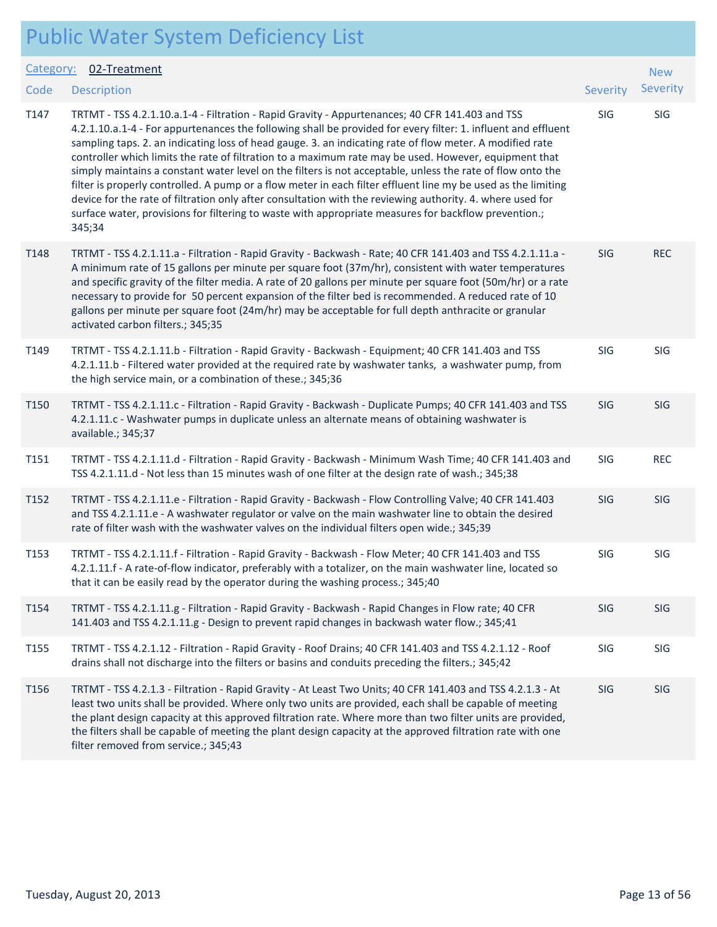| <b>Public Water System Deficiency List</b> |  |
|--------------------------------------------|--|
|--------------------------------------------|--|

| Category:        | 02-Treatment                                                                                                                                                                                                                                                                                                                                                                                                                                                                                                                                                                                                                                                                                                                                                                                                                                                                                        |            | <b>New</b> |
|------------------|-----------------------------------------------------------------------------------------------------------------------------------------------------------------------------------------------------------------------------------------------------------------------------------------------------------------------------------------------------------------------------------------------------------------------------------------------------------------------------------------------------------------------------------------------------------------------------------------------------------------------------------------------------------------------------------------------------------------------------------------------------------------------------------------------------------------------------------------------------------------------------------------------------|------------|------------|
| Code             | <b>Description</b>                                                                                                                                                                                                                                                                                                                                                                                                                                                                                                                                                                                                                                                                                                                                                                                                                                                                                  | Severity   | Severity   |
| T147             | TRTMT - TSS 4.2.1.10.a.1-4 - Filtration - Rapid Gravity - Appurtenances; 40 CFR 141.403 and TSS<br>4.2.1.10.a.1-4 - For appurtenances the following shall be provided for every filter: 1. influent and effluent<br>sampling taps. 2. an indicating loss of head gauge. 3. an indicating rate of flow meter. A modified rate<br>controller which limits the rate of filtration to a maximum rate may be used. However, equipment that<br>simply maintains a constant water level on the filters is not acceptable, unless the rate of flow onto the<br>filter is properly controlled. A pump or a flow meter in each filter effluent line my be used as the limiting<br>device for the rate of filtration only after consultation with the reviewing authority. 4. where used for<br>surface water, provisions for filtering to waste with appropriate measures for backflow prevention.;<br>345;34 | SIG        | SIG        |
| T148             | TRTMT - TSS 4.2.1.11.a - Filtration - Rapid Gravity - Backwash - Rate; 40 CFR 141.403 and TSS 4.2.1.11.a -<br>A minimum rate of 15 gallons per minute per square foot (37m/hr), consistent with water temperatures<br>and specific gravity of the filter media. A rate of 20 gallons per minute per square foot (50m/hr) or a rate<br>necessary to provide for 50 percent expansion of the filter bed is recommended. A reduced rate of 10<br>gallons per minute per square foot (24m/hr) may be acceptable for full depth anthracite or granular<br>activated carbon filters.; 345;35                                                                                                                                                                                                                                                                                                              | <b>SIG</b> | <b>REC</b> |
| T149             | TRTMT - TSS 4.2.1.11.b - Filtration - Rapid Gravity - Backwash - Equipment; 40 CFR 141.403 and TSS<br>4.2.1.11.b - Filtered water provided at the required rate by washwater tanks, a washwater pump, from<br>the high service main, or a combination of these.; 345;36                                                                                                                                                                                                                                                                                                                                                                                                                                                                                                                                                                                                                             | SIG        | SIG        |
| T <sub>150</sub> | TRTMT - TSS 4.2.1.11.c - Filtration - Rapid Gravity - Backwash - Duplicate Pumps; 40 CFR 141.403 and TSS<br>4.2.1.11.c - Washwater pumps in duplicate unless an alternate means of obtaining washwater is<br>available.; 345;37                                                                                                                                                                                                                                                                                                                                                                                                                                                                                                                                                                                                                                                                     | <b>SIG</b> | SIG        |
| T151             | TRTMT - TSS 4.2.1.11.d - Filtration - Rapid Gravity - Backwash - Minimum Wash Time; 40 CFR 141.403 and<br>TSS 4.2.1.11.d - Not less than 15 minutes wash of one filter at the design rate of wash.; 345;38                                                                                                                                                                                                                                                                                                                                                                                                                                                                                                                                                                                                                                                                                          | SIG        | <b>REC</b> |
| T152             | TRTMT - TSS 4.2.1.11.e - Filtration - Rapid Gravity - Backwash - Flow Controlling Valve; 40 CFR 141.403<br>and TSS 4.2.1.11.e - A washwater regulator or valve on the main washwater line to obtain the desired<br>rate of filter wash with the washwater valves on the individual filters open wide.; 345;39                                                                                                                                                                                                                                                                                                                                                                                                                                                                                                                                                                                       | SIG        | SIG        |
| T153             | TRTMT - TSS 4.2.1.11.f - Filtration - Rapid Gravity - Backwash - Flow Meter; 40 CFR 141.403 and TSS<br>4.2.1.11.f - A rate-of-flow indicator, preferably with a totalizer, on the main washwater line, located so<br>that it can be easily read by the operator during the washing process.; 345;40                                                                                                                                                                                                                                                                                                                                                                                                                                                                                                                                                                                                 | SIG        | SIG        |
| T154             | TRTMT - TSS 4.2.1.11.g - Filtration - Rapid Gravity - Backwash - Rapid Changes in Flow rate; 40 CFR<br>141.403 and TSS 4.2.1.11.g - Design to prevent rapid changes in backwash water flow.; 345;41                                                                                                                                                                                                                                                                                                                                                                                                                                                                                                                                                                                                                                                                                                 | <b>SIG</b> | SIG        |
| T155             | TRTMT - TSS 4.2.1.12 - Filtration - Rapid Gravity - Roof Drains; 40 CFR 141.403 and TSS 4.2.1.12 - Roof<br>drains shall not discharge into the filters or basins and conduits preceding the filters.; 345;42                                                                                                                                                                                                                                                                                                                                                                                                                                                                                                                                                                                                                                                                                        | SIG        | SIG        |
| T156             | TRTMT - TSS 4.2.1.3 - Filtration - Rapid Gravity - At Least Two Units; 40 CFR 141.403 and TSS 4.2.1.3 - At<br>least two units shall be provided. Where only two units are provided, each shall be capable of meeting<br>the plant design capacity at this approved filtration rate. Where more than two filter units are provided,<br>the filters shall be capable of meeting the plant design capacity at the approved filtration rate with one<br>filter removed from service.; 345;43                                                                                                                                                                                                                                                                                                                                                                                                            | SIG        | SIG        |
|                  |                                                                                                                                                                                                                                                                                                                                                                                                                                                                                                                                                                                                                                                                                                                                                                                                                                                                                                     |            |            |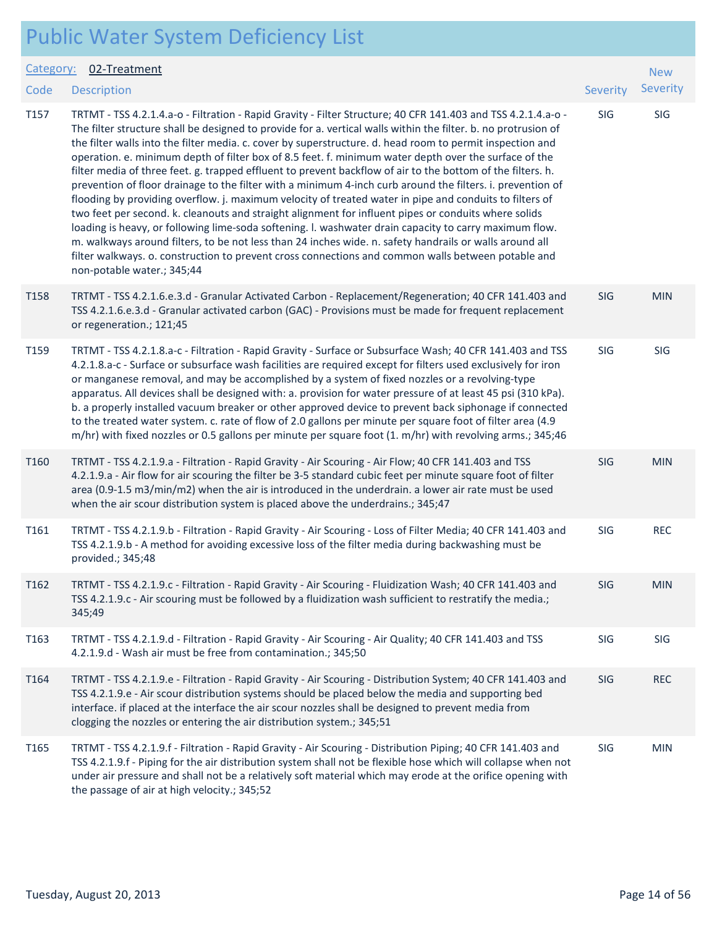| <b>Public Water System Deficiency List</b> |  |
|--------------------------------------------|--|
|--------------------------------------------|--|

| Category:        | 02-Treatment                                                                                                                                                                                                                                                                                                                                                                                                                                                                                                                                                                                                                                                                                                                                                                                                                                                                                                                                                                                                                                                                                                                                                                                                                                                   |            | <b>New</b> |
|------------------|----------------------------------------------------------------------------------------------------------------------------------------------------------------------------------------------------------------------------------------------------------------------------------------------------------------------------------------------------------------------------------------------------------------------------------------------------------------------------------------------------------------------------------------------------------------------------------------------------------------------------------------------------------------------------------------------------------------------------------------------------------------------------------------------------------------------------------------------------------------------------------------------------------------------------------------------------------------------------------------------------------------------------------------------------------------------------------------------------------------------------------------------------------------------------------------------------------------------------------------------------------------|------------|------------|
| Code             | <b>Description</b>                                                                                                                                                                                                                                                                                                                                                                                                                                                                                                                                                                                                                                                                                                                                                                                                                                                                                                                                                                                                                                                                                                                                                                                                                                             | Severity   | Severity   |
| T157             | TRTMT - TSS 4.2.1.4.a-o - Filtration - Rapid Gravity - Filter Structure; 40 CFR 141.403 and TSS 4.2.1.4.a-o -<br>The filter structure shall be designed to provide for a. vertical walls within the filter. b. no protrusion of<br>the filter walls into the filter media. c. cover by superstructure. d. head room to permit inspection and<br>operation. e. minimum depth of filter box of 8.5 feet. f. minimum water depth over the surface of the<br>filter media of three feet. g. trapped effluent to prevent backflow of air to the bottom of the filters. h.<br>prevention of floor drainage to the filter with a minimum 4-inch curb around the filters. i. prevention of<br>flooding by providing overflow. j. maximum velocity of treated water in pipe and conduits to filters of<br>two feet per second. k. cleanouts and straight alignment for influent pipes or conduits where solids<br>loading is heavy, or following lime-soda softening. I. washwater drain capacity to carry maximum flow.<br>m. walkways around filters, to be not less than 24 inches wide. n. safety handrails or walls around all<br>filter walkways. o. construction to prevent cross connections and common walls between potable and<br>non-potable water.; 345;44 | SIG        | SIG        |
| T158             | TRTMT - TSS 4.2.1.6.e.3.d - Granular Activated Carbon - Replacement/Regeneration; 40 CFR 141.403 and<br>TSS 4.2.1.6.e.3.d - Granular activated carbon (GAC) - Provisions must be made for frequent replacement<br>or regeneration.; 121;45                                                                                                                                                                                                                                                                                                                                                                                                                                                                                                                                                                                                                                                                                                                                                                                                                                                                                                                                                                                                                     | <b>SIG</b> | <b>MIN</b> |
| T159             | TRTMT - TSS 4.2.1.8.a-c - Filtration - Rapid Gravity - Surface or Subsurface Wash; 40 CFR 141.403 and TSS<br>4.2.1.8.a-c - Surface or subsurface wash facilities are required except for filters used exclusively for iron<br>or manganese removal, and may be accomplished by a system of fixed nozzles or a revolving-type<br>apparatus. All devices shall be designed with: a. provision for water pressure of at least 45 psi (310 kPa).<br>b. a properly installed vacuum breaker or other approved device to prevent back siphonage if connected<br>to the treated water system. c. rate of flow of 2.0 gallons per minute per square foot of filter area (4.9<br>m/hr) with fixed nozzles or 0.5 gallons per minute per square foot (1. m/hr) with revolving arms.; 345;46                                                                                                                                                                                                                                                                                                                                                                                                                                                                              | SIG        | SIG        |
| T <sub>160</sub> | TRTMT - TSS 4.2.1.9.a - Filtration - Rapid Gravity - Air Scouring - Air Flow; 40 CFR 141.403 and TSS<br>4.2.1.9.a - Air flow for air scouring the filter be 3-5 standard cubic feet per minute square foot of filter<br>area (0.9-1.5 m3/min/m2) when the air is introduced in the underdrain. a lower air rate must be used<br>when the air scour distribution system is placed above the underdrains.; 345;47                                                                                                                                                                                                                                                                                                                                                                                                                                                                                                                                                                                                                                                                                                                                                                                                                                                | <b>SIG</b> | <b>MIN</b> |
| T161             | TRTMT - TSS 4.2.1.9.b - Filtration - Rapid Gravity - Air Scouring - Loss of Filter Media; 40 CFR 141.403 and<br>TSS 4.2.1.9.b - A method for avoiding excessive loss of the filter media during backwashing must be<br>provided.; 345;48                                                                                                                                                                                                                                                                                                                                                                                                                                                                                                                                                                                                                                                                                                                                                                                                                                                                                                                                                                                                                       | SIG        | <b>REC</b> |
| T162             | TRTMT - TSS 4.2.1.9.c - Filtration - Rapid Gravity - Air Scouring - Fluidization Wash; 40 CFR 141.403 and<br>TSS 4.2.1.9.c - Air scouring must be followed by a fluidization wash sufficient to restratify the media.;<br>345;49                                                                                                                                                                                                                                                                                                                                                                                                                                                                                                                                                                                                                                                                                                                                                                                                                                                                                                                                                                                                                               | SIG        | <b>MIN</b> |
| T163             | TRTMT - TSS 4.2.1.9.d - Filtration - Rapid Gravity - Air Scouring - Air Quality; 40 CFR 141.403 and TSS<br>4.2.1.9.d - Wash air must be free from contamination.; 345;50                                                                                                                                                                                                                                                                                                                                                                                                                                                                                                                                                                                                                                                                                                                                                                                                                                                                                                                                                                                                                                                                                       | SIG        | <b>SIG</b> |
| T164             | TRTMT - TSS 4.2.1.9.e - Filtration - Rapid Gravity - Air Scouring - Distribution System; 40 CFR 141.403 and<br>TSS 4.2.1.9.e - Air scour distribution systems should be placed below the media and supporting bed<br>interface. if placed at the interface the air scour nozzles shall be designed to prevent media from<br>clogging the nozzles or entering the air distribution system.; 345;51                                                                                                                                                                                                                                                                                                                                                                                                                                                                                                                                                                                                                                                                                                                                                                                                                                                              | <b>SIG</b> | <b>REC</b> |
| T165             | TRTMT - TSS 4.2.1.9.f - Filtration - Rapid Gravity - Air Scouring - Distribution Piping; 40 CFR 141.403 and<br>TSS 4.2.1.9.f - Piping for the air distribution system shall not be flexible hose which will collapse when not<br>under air pressure and shall not be a relatively soft material which may erode at the orifice opening with<br>the passage of air at high velocity.; 345;52                                                                                                                                                                                                                                                                                                                                                                                                                                                                                                                                                                                                                                                                                                                                                                                                                                                                    | SIG        | <b>MIN</b> |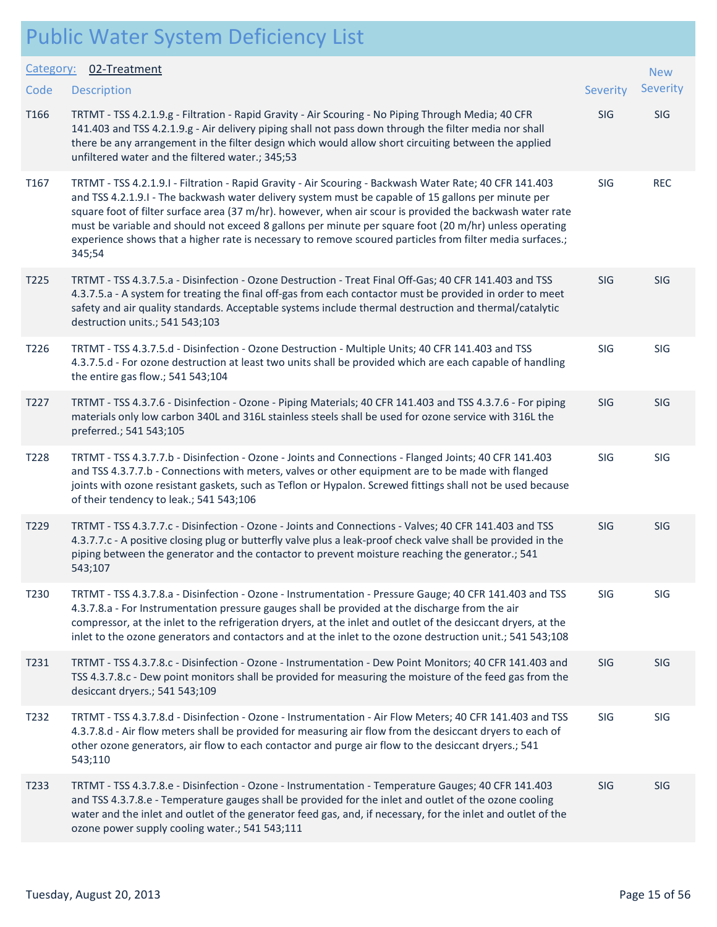|           | I GOIL WALL SYSLEM DENCICITY LIST                                                                                                                                                                                                                                                                                                                                                                                                                                                                                                                            |            |            |
|-----------|--------------------------------------------------------------------------------------------------------------------------------------------------------------------------------------------------------------------------------------------------------------------------------------------------------------------------------------------------------------------------------------------------------------------------------------------------------------------------------------------------------------------------------------------------------------|------------|------------|
| Category: | 02-Treatment                                                                                                                                                                                                                                                                                                                                                                                                                                                                                                                                                 |            | <b>New</b> |
| Code      | <b>Description</b>                                                                                                                                                                                                                                                                                                                                                                                                                                                                                                                                           | Severity   | Severity   |
| T166      | TRTMT - TSS 4.2.1.9.g - Filtration - Rapid Gravity - Air Scouring - No Piping Through Media; 40 CFR<br>141.403 and TSS 4.2.1.9.g - Air delivery piping shall not pass down through the filter media nor shall<br>there be any arrangement in the filter design which would allow short circuiting between the applied<br>unfiltered water and the filtered water.; 345;53                                                                                                                                                                                    | SIG        | SIG        |
| T167      | TRTMT - TSS 4.2.1.9.I - Filtration - Rapid Gravity - Air Scouring - Backwash Water Rate; 40 CFR 141.403<br>and TSS 4.2.1.9.1 - The backwash water delivery system must be capable of 15 gallons per minute per<br>square foot of filter surface area (37 m/hr). however, when air scour is provided the backwash water rate<br>must be variable and should not exceed 8 gallons per minute per square foot (20 m/hr) unless operating<br>experience shows that a higher rate is necessary to remove scoured particles from filter media surfaces.;<br>345;54 | SIG        | <b>REC</b> |
| T225      | TRTMT - TSS 4.3.7.5.a - Disinfection - Ozone Destruction - Treat Final Off-Gas; 40 CFR 141.403 and TSS<br>4.3.7.5.a - A system for treating the final off-gas from each contactor must be provided in order to meet<br>safety and air quality standards. Acceptable systems include thermal destruction and thermal/catalytic<br>destruction units.; 541 543;103                                                                                                                                                                                             | SIG        | SIG        |
| T226      | TRTMT - TSS 4.3.7.5.d - Disinfection - Ozone Destruction - Multiple Units; 40 CFR 141.403 and TSS<br>4.3.7.5.d - For ozone destruction at least two units shall be provided which are each capable of handling<br>the entire gas flow.; 541 543;104                                                                                                                                                                                                                                                                                                          | SIG        | SIG        |
| T227      | TRTMT - TSS 4.3.7.6 - Disinfection - Ozone - Piping Materials; 40 CFR 141.403 and TSS 4.3.7.6 - For piping<br>materials only low carbon 340L and 316L stainless steels shall be used for ozone service with 316L the<br>preferred.; 541 543;105                                                                                                                                                                                                                                                                                                              | <b>SIG</b> | SIG        |
| T228      | TRTMT - TSS 4.3.7.7.b - Disinfection - Ozone - Joints and Connections - Flanged Joints; 40 CFR 141.403<br>and TSS 4.3.7.7.b - Connections with meters, valves or other equipment are to be made with flanged<br>joints with ozone resistant gaskets, such as Teflon or Hypalon. Screwed fittings shall not be used because<br>of their tendency to leak.; 541 543;106                                                                                                                                                                                        | SIG        | SIG        |
| T229      | TRTMT - TSS 4.3.7.7.c - Disinfection - Ozone - Joints and Connections - Valves; 40 CFR 141.403 and TSS<br>4.3.7.7.c - A positive closing plug or butterfly valve plus a leak-proof check valve shall be provided in the<br>piping between the generator and the contactor to prevent moisture reaching the generator.; 541<br>543;107                                                                                                                                                                                                                        | <b>SIG</b> | SIG        |
| T230      | TRTMT - TSS 4.3.7.8.a - Disinfection - Ozone - Instrumentation - Pressure Gauge; 40 CFR 141.403 and TSS<br>4.3.7.8.a - For Instrumentation pressure gauges shall be provided at the discharge from the air<br>compressor, at the inlet to the refrigeration dryers, at the inlet and outlet of the desiccant dryers, at the<br>inlet to the ozone generators and contactors and at the inlet to the ozone destruction unit.; 541 543;108                                                                                                                     | SIG        | SIG        |
| T231      | TRTMT - TSS 4.3.7.8.c - Disinfection - Ozone - Instrumentation - Dew Point Monitors; 40 CFR 141.403 and<br>TSS 4.3.7.8.c - Dew point monitors shall be provided for measuring the moisture of the feed gas from the<br>desiccant dryers.; 541 543;109                                                                                                                                                                                                                                                                                                        | <b>SIG</b> | SIG        |
| T232      | TRTMT - TSS 4.3.7.8.d - Disinfection - Ozone - Instrumentation - Air Flow Meters; 40 CFR 141.403 and TSS<br>4.3.7.8.d - Air flow meters shall be provided for measuring air flow from the desiccant dryers to each of<br>other ozone generators, air flow to each contactor and purge air flow to the desiccant dryers.; 541<br>543;110                                                                                                                                                                                                                      | SIG        | SIG        |
| T233      | TRTMT - TSS 4.3.7.8.e - Disinfection - Ozone - Instrumentation - Temperature Gauges; 40 CFR 141.403<br>and TSS 4.3.7.8.e - Temperature gauges shall be provided for the inlet and outlet of the ozone cooling<br>water and the inlet and outlet of the generator feed gas, and, if necessary, for the inlet and outlet of the<br>ozone power supply cooling water.; 541 543;111                                                                                                                                                                              | <b>SIG</b> | <b>SIG</b> |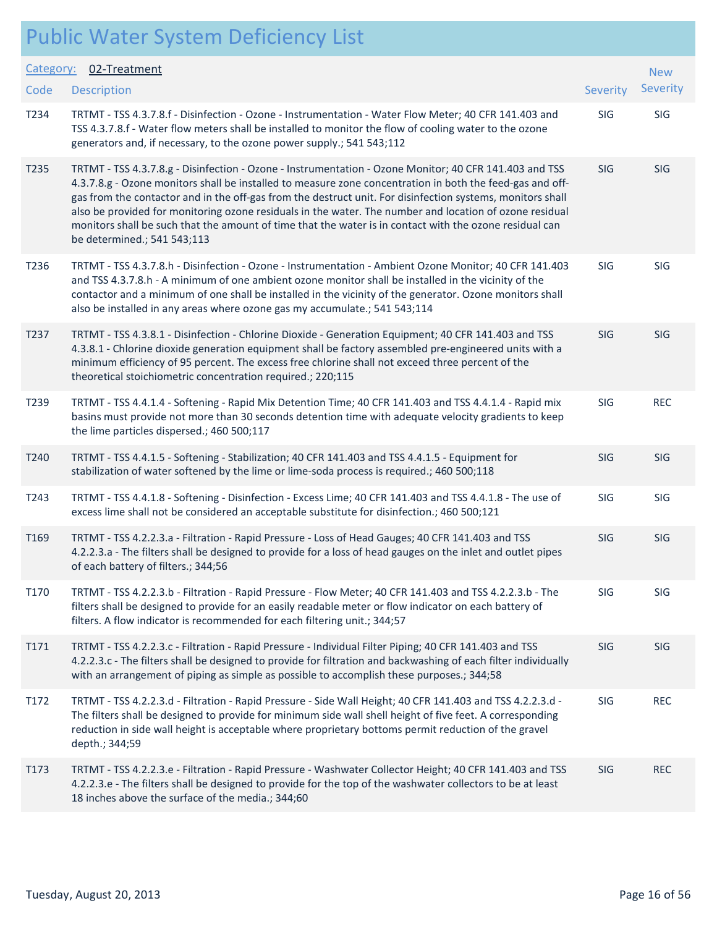|                  | <b>Public Water System Deficiency List</b>                                                                                                                                                                                                                                                                                                                                                                                                                                                                                                                                             |            |            |
|------------------|----------------------------------------------------------------------------------------------------------------------------------------------------------------------------------------------------------------------------------------------------------------------------------------------------------------------------------------------------------------------------------------------------------------------------------------------------------------------------------------------------------------------------------------------------------------------------------------|------------|------------|
| Category:        | 02-Treatment                                                                                                                                                                                                                                                                                                                                                                                                                                                                                                                                                                           |            | <b>New</b> |
| Code             | <b>Description</b>                                                                                                                                                                                                                                                                                                                                                                                                                                                                                                                                                                     | Severity   | Severity   |
| T234             | TRTMT - TSS 4.3.7.8.f - Disinfection - Ozone - Instrumentation - Water Flow Meter; 40 CFR 141.403 and<br>TSS 4.3.7.8.f - Water flow meters shall be installed to monitor the flow of cooling water to the ozone<br>generators and, if necessary, to the ozone power supply.; 541 543;112                                                                                                                                                                                                                                                                                               | SIG        | SIG        |
| T <sub>235</sub> | TRTMT - TSS 4.3.7.8.g - Disinfection - Ozone - Instrumentation - Ozone Monitor; 40 CFR 141.403 and TSS<br>4.3.7.8.g - Ozone monitors shall be installed to measure zone concentration in both the feed-gas and off-<br>gas from the contactor and in the off-gas from the destruct unit. For disinfection systems, monitors shall<br>also be provided for monitoring ozone residuals in the water. The number and location of ozone residual<br>monitors shall be such that the amount of time that the water is in contact with the ozone residual can<br>be determined.; 541 543;113 | <b>SIG</b> | <b>SIG</b> |
| T236             | TRTMT - TSS 4.3.7.8.h - Disinfection - Ozone - Instrumentation - Ambient Ozone Monitor; 40 CFR 141.403<br>and TSS 4.3.7.8.h - A minimum of one ambient ozone monitor shall be installed in the vicinity of the<br>contactor and a minimum of one shall be installed in the vicinity of the generator. Ozone monitors shall<br>also be installed in any areas where ozone gas my accumulate.; 541 543;114                                                                                                                                                                               | SIG        | SIG        |
| T237             | TRTMT - TSS 4.3.8.1 - Disinfection - Chlorine Dioxide - Generation Equipment; 40 CFR 141.403 and TSS<br>4.3.8.1 - Chlorine dioxide generation equipment shall be factory assembled pre-engineered units with a<br>minimum efficiency of 95 percent. The excess free chlorine shall not exceed three percent of the<br>theoretical stoichiometric concentration required.; 220;115                                                                                                                                                                                                      | SIG        | SIG        |
| T239             | TRTMT - TSS 4.4.1.4 - Softening - Rapid Mix Detention Time; 40 CFR 141.403 and TSS 4.4.1.4 - Rapid mix<br>basins must provide not more than 30 seconds detention time with adequate velocity gradients to keep<br>the lime particles dispersed.; 460 500;117                                                                                                                                                                                                                                                                                                                           | SIG        | <b>REC</b> |
| T240             | TRTMT - TSS 4.4.1.5 - Softening - Stabilization; 40 CFR 141.403 and TSS 4.4.1.5 - Equipment for<br>stabilization of water softened by the lime or lime-soda process is required.; 460 500;118                                                                                                                                                                                                                                                                                                                                                                                          | SIG        | <b>SIG</b> |
| T243             | TRTMT - TSS 4.4.1.8 - Softening - Disinfection - Excess Lime; 40 CFR 141.403 and TSS 4.4.1.8 - The use of<br>excess lime shall not be considered an acceptable substitute for disinfection.; 460 500;121                                                                                                                                                                                                                                                                                                                                                                               | <b>SIG</b> | SIG        |
| T169             | TRTMT - TSS 4.2.2.3.a - Filtration - Rapid Pressure - Loss of Head Gauges; 40 CFR 141.403 and TSS<br>4.2.2.3.a - The filters shall be designed to provide for a loss of head gauges on the inlet and outlet pipes<br>of each battery of filters.; 344;56                                                                                                                                                                                                                                                                                                                               | SIG        | SIG        |
| T170             | TRTMT - TSS 4.2.2.3.b - Filtration - Rapid Pressure - Flow Meter; 40 CFR 141.403 and TSS 4.2.2.3.b - The<br>filters shall be designed to provide for an easily readable meter or flow indicator on each battery of<br>filters. A flow indicator is recommended for each filtering unit.; 344;57                                                                                                                                                                                                                                                                                        | SIG        | SIG        |
| T171             | TRTMT - TSS 4.2.2.3.c - Filtration - Rapid Pressure - Individual Filter Piping; 40 CFR 141.403 and TSS<br>4.2.2.3.c - The filters shall be designed to provide for filtration and backwashing of each filter individually<br>with an arrangement of piping as simple as possible to accomplish these purposes.; 344;58                                                                                                                                                                                                                                                                 | SIG        | SIG        |
| T172             | TRTMT - TSS 4.2.2.3.d - Filtration - Rapid Pressure - Side Wall Height; 40 CFR 141.403 and TSS 4.2.2.3.d -<br>The filters shall be designed to provide for minimum side wall shell height of five feet. A corresponding<br>reduction in side wall height is acceptable where proprietary bottoms permit reduction of the gravel<br>depth.; 344;59                                                                                                                                                                                                                                      | SIG        | <b>REC</b> |
| T173             | TRTMT - TSS 4.2.2.3.e - Filtration - Rapid Pressure - Washwater Collector Height; 40 CFR 141.403 and TSS<br>4.2.2.3.e - The filters shall be designed to provide for the top of the washwater collectors to be at least<br>18 inches above the surface of the media.; 344;60                                                                                                                                                                                                                                                                                                           | SIG        | <b>REC</b> |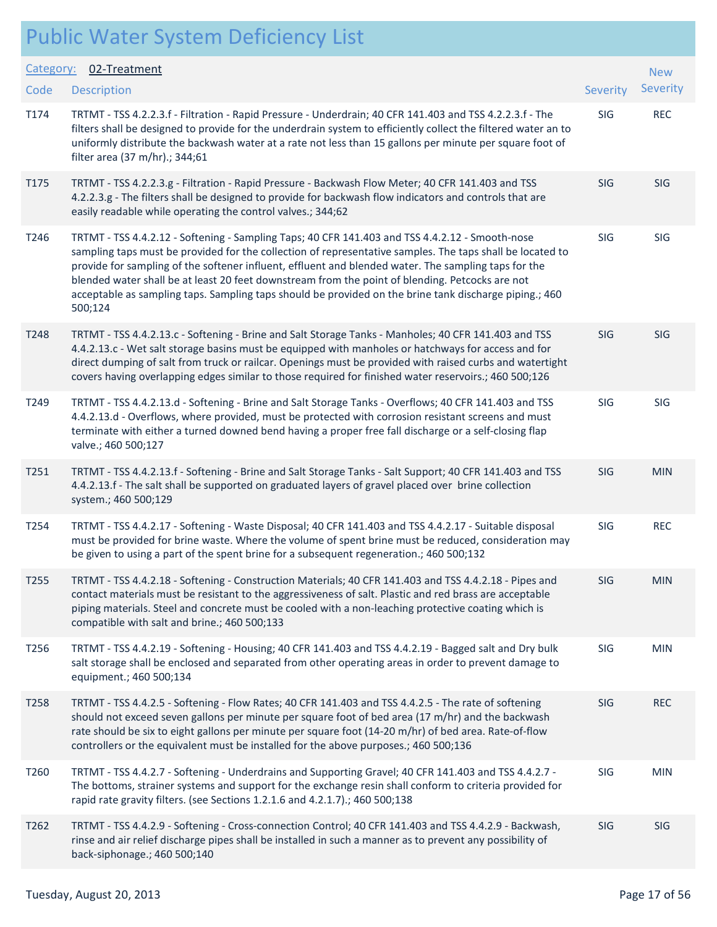| Category: | 02-Treatment                                                                                                                                                                                                                                                                                                                                                                                                                                                                                                                                 |          | <b>New</b> |
|-----------|----------------------------------------------------------------------------------------------------------------------------------------------------------------------------------------------------------------------------------------------------------------------------------------------------------------------------------------------------------------------------------------------------------------------------------------------------------------------------------------------------------------------------------------------|----------|------------|
| Code      | <b>Description</b>                                                                                                                                                                                                                                                                                                                                                                                                                                                                                                                           | Severity | Severity   |
| T174      | TRTMT - TSS 4.2.2.3.f - Filtration - Rapid Pressure - Underdrain; 40 CFR 141.403 and TSS 4.2.2.3.f - The<br>filters shall be designed to provide for the underdrain system to efficiently collect the filtered water an to<br>uniformly distribute the backwash water at a rate not less than 15 gallons per minute per square foot of<br>filter area (37 m/hr).; 344;61                                                                                                                                                                     | SIG      | <b>REC</b> |
| T175      | TRTMT - TSS 4.2.2.3.g - Filtration - Rapid Pressure - Backwash Flow Meter; 40 CFR 141.403 and TSS<br>4.2.2.3.g - The filters shall be designed to provide for backwash flow indicators and controls that are<br>easily readable while operating the control valves.; 344;62                                                                                                                                                                                                                                                                  | SIG      | SIG        |
| T246      | TRTMT - TSS 4.4.2.12 - Softening - Sampling Taps; 40 CFR 141.403 and TSS 4.4.2.12 - Smooth-nose<br>sampling taps must be provided for the collection of representative samples. The taps shall be located to<br>provide for sampling of the softener influent, effluent and blended water. The sampling taps for the<br>blended water shall be at least 20 feet downstream from the point of blending. Petcocks are not<br>acceptable as sampling taps. Sampling taps should be provided on the brine tank discharge piping.; 460<br>500;124 | SIG      | SIG        |
| T248      | TRTMT - TSS 4.4.2.13.c - Softening - Brine and Salt Storage Tanks - Manholes; 40 CFR 141.403 and TSS<br>4.4.2.13.c - Wet salt storage basins must be equipped with manholes or hatchways for access and for<br>direct dumping of salt from truck or railcar. Openings must be provided with raised curbs and watertight<br>covers having overlapping edges similar to those required for finished water reservoirs.; 460 500;126                                                                                                             | SIG      | SIG        |
| T249      | TRTMT - TSS 4.4.2.13.d - Softening - Brine and Salt Storage Tanks - Overflows; 40 CFR 141.403 and TSS<br>4.4.2.13.d - Overflows, where provided, must be protected with corrosion resistant screens and must<br>terminate with either a turned downed bend having a proper free fall discharge or a self-closing flap<br>valve.; 460 500;127                                                                                                                                                                                                 | SIG      | SIG        |
| T251      | TRTMT - TSS 4.4.2.13.f - Softening - Brine and Salt Storage Tanks - Salt Support; 40 CFR 141.403 and TSS<br>4.4.2.13.f - The salt shall be supported on graduated layers of gravel placed over brine collection<br>system.; 460 500;129                                                                                                                                                                                                                                                                                                      | SIG      | <b>MIN</b> |
| T254      | TRTMT - TSS 4.4.2.17 - Softening - Waste Disposal; 40 CFR 141.403 and TSS 4.4.2.17 - Suitable disposal<br>must be provided for brine waste. Where the volume of spent brine must be reduced, consideration may<br>be given to using a part of the spent brine for a subsequent regeneration.; 460 500;132                                                                                                                                                                                                                                    | SIG      | <b>REC</b> |
| T255      | TRTMT - TSS 4.4.2.18 - Softening - Construction Materials; 40 CFR 141.403 and TSS 4.4.2.18 - Pipes and<br>contact materials must be resistant to the aggressiveness of salt. Plastic and red brass are acceptable<br>piping materials. Steel and concrete must be cooled with a non-leaching protective coating which is<br>compatible with salt and brine.; 460 500;133                                                                                                                                                                     | SIG      | <b>MIN</b> |
| T256      | TRTMT - TSS 4.4.2.19 - Softening - Housing; 40 CFR 141.403 and TSS 4.4.2.19 - Bagged salt and Dry bulk<br>salt storage shall be enclosed and separated from other operating areas in order to prevent damage to<br>equipment.; 460 500;134                                                                                                                                                                                                                                                                                                   | SIG      | <b>MIN</b> |
| T258      | TRTMT - TSS 4.4.2.5 - Softening - Flow Rates; 40 CFR 141.403 and TSS 4.4.2.5 - The rate of softening<br>should not exceed seven gallons per minute per square foot of bed area (17 m/hr) and the backwash<br>rate should be six to eight gallons per minute per square foot (14-20 m/hr) of bed area. Rate-of-flow<br>controllers or the equivalent must be installed for the above purposes.; 460 500;136                                                                                                                                   | SIG      | <b>REC</b> |
| T260      | TRTMT - TSS 4.4.2.7 - Softening - Underdrains and Supporting Gravel; 40 CFR 141.403 and TSS 4.4.2.7 -<br>The bottoms, strainer systems and support for the exchange resin shall conform to criteria provided for<br>rapid rate gravity filters. (see Sections 1.2.1.6 and 4.2.1.7).; 460 500;138                                                                                                                                                                                                                                             | SIG      | <b>MIN</b> |
| T262      | TRTMT - TSS 4.4.2.9 - Softening - Cross-connection Control; 40 CFR 141.403 and TSS 4.4.2.9 - Backwash,<br>rinse and air relief discharge pipes shall be installed in such a manner as to prevent any possibility of<br>back-siphonage.; 460 500;140                                                                                                                                                                                                                                                                                          | SIG      | <b>SIG</b> |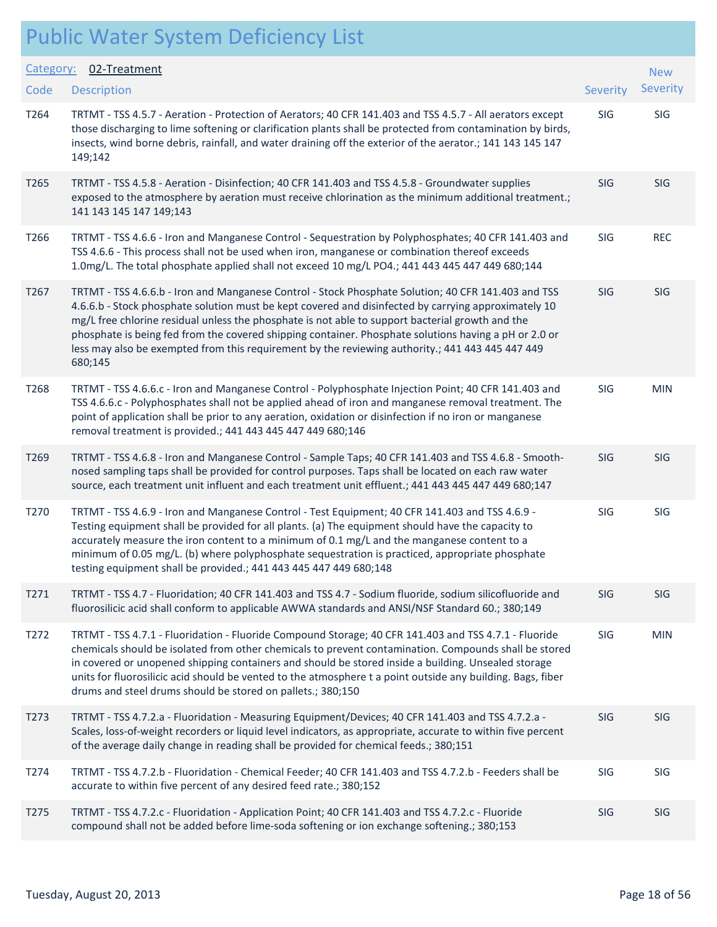| Category:        | 02-Treatment                                                                                                                                                                                                                                                                                                                                                                                                                                                                                                                             |            | <b>New</b> |
|------------------|------------------------------------------------------------------------------------------------------------------------------------------------------------------------------------------------------------------------------------------------------------------------------------------------------------------------------------------------------------------------------------------------------------------------------------------------------------------------------------------------------------------------------------------|------------|------------|
| Code             | <b>Description</b>                                                                                                                                                                                                                                                                                                                                                                                                                                                                                                                       | Severity   | Severity   |
| T264             | TRTMT - TSS 4.5.7 - Aeration - Protection of Aerators; 40 CFR 141.403 and TSS 4.5.7 - All aerators except<br>those discharging to lime softening or clarification plants shall be protected from contamination by birds,<br>insects, wind borne debris, rainfall, and water draining off the exterior of the aerator.; 141 143 145 147<br>149;142                                                                                                                                                                                        | SIG        | SIG        |
| T265             | TRTMT - TSS 4.5.8 - Aeration - Disinfection; 40 CFR 141.403 and TSS 4.5.8 - Groundwater supplies<br>exposed to the atmosphere by aeration must receive chlorination as the minimum additional treatment.;<br>141 143 145 147 149;143                                                                                                                                                                                                                                                                                                     | SIG        | SIG        |
| T266             | TRTMT - TSS 4.6.6 - Iron and Manganese Control - Sequestration by Polyphosphates; 40 CFR 141.403 and<br>TSS 4.6.6 - This process shall not be used when iron, manganese or combination thereof exceeds<br>1.0mg/L. The total phosphate applied shall not exceed 10 mg/L PO4.; 441 443 445 447 449 680;144                                                                                                                                                                                                                                | SIG        | <b>REC</b> |
| T <sub>267</sub> | TRTMT - TSS 4.6.6.b - Iron and Manganese Control - Stock Phosphate Solution; 40 CFR 141.403 and TSS<br>4.6.6.b - Stock phosphate solution must be kept covered and disinfected by carrying approximately 10<br>mg/L free chlorine residual unless the phosphate is not able to support bacterial growth and the<br>phosphate is being fed from the covered shipping container. Phosphate solutions having a pH or 2.0 or<br>less may also be exempted from this requirement by the reviewing authority .; 441 443 445 447 449<br>680;145 | <b>SIG</b> | SIG        |
| T268             | TRTMT - TSS 4.6.6.c - Iron and Manganese Control - Polyphosphate Injection Point; 40 CFR 141.403 and<br>TSS 4.6.6.c - Polyphosphates shall not be applied ahead of iron and manganese removal treatment. The<br>point of application shall be prior to any aeration, oxidation or disinfection if no iron or manganese<br>removal treatment is provided.; 441 443 445 447 449 680;146                                                                                                                                                    | SIG        | <b>MIN</b> |
| T <sub>269</sub> | TRTMT - TSS 4.6.8 - Iron and Manganese Control - Sample Taps; 40 CFR 141.403 and TSS 4.6.8 - Smooth-<br>nosed sampling taps shall be provided for control purposes. Taps shall be located on each raw water<br>source, each treatment unit influent and each treatment unit effluent.; 441 443 445 447 449 680;147                                                                                                                                                                                                                       | SIG        | SIG        |
| T270             | TRTMT - TSS 4.6.9 - Iron and Manganese Control - Test Equipment; 40 CFR 141.403 and TSS 4.6.9 -<br>Testing equipment shall be provided for all plants. (a) The equipment should have the capacity to<br>accurately measure the iron content to a minimum of 0.1 mg/L and the manganese content to a<br>minimum of 0.05 mg/L. (b) where polyphosphate sequestration is practiced, appropriate phosphate<br>testing equipment shall be provided.; 441 443 445 447 449 680;148                                                              | SIG        | SIG        |
| T271             | TRTMT - TSS 4.7 - Fluoridation; 40 CFR 141.403 and TSS 4.7 - Sodium fluoride, sodium silicofluoride and<br>fluorosilicic acid shall conform to applicable AWWA standards and ANSI/NSF Standard 60.; 380;149                                                                                                                                                                                                                                                                                                                              | SIG        | SIG        |
| T272             | TRTMT - TSS 4.7.1 - Fluoridation - Fluoride Compound Storage; 40 CFR 141.403 and TSS 4.7.1 - Fluoride<br>chemicals should be isolated from other chemicals to prevent contamination. Compounds shall be stored<br>in covered or unopened shipping containers and should be stored inside a building. Unsealed storage<br>units for fluorosilicic acid should be vented to the atmosphere t a point outside any building. Bags, fiber<br>drums and steel drums should be stored on pallets.; 380;150                                      | SIG        | <b>MIN</b> |
| T273             | TRTMT - TSS 4.7.2.a - Fluoridation - Measuring Equipment/Devices; 40 CFR 141.403 and TSS 4.7.2.a -<br>Scales, loss-of-weight recorders or liquid level indicators, as appropriate, accurate to within five percent<br>of the average daily change in reading shall be provided for chemical feeds.; 380;151                                                                                                                                                                                                                              | SIG        | SIG        |
| T274             | TRTMT - TSS 4.7.2.b - Fluoridation - Chemical Feeder; 40 CFR 141.403 and TSS 4.7.2.b - Feeders shall be<br>accurate to within five percent of any desired feed rate.; 380;152                                                                                                                                                                                                                                                                                                                                                            | SIG        | SIG        |
| T275             | TRTMT - TSS 4.7.2.c - Fluoridation - Application Point; 40 CFR 141.403 and TSS 4.7.2.c - Fluoride<br>compound shall not be added before lime-soda softening or ion exchange softening.; 380;153                                                                                                                                                                                                                                                                                                                                          | SIG        | SIG        |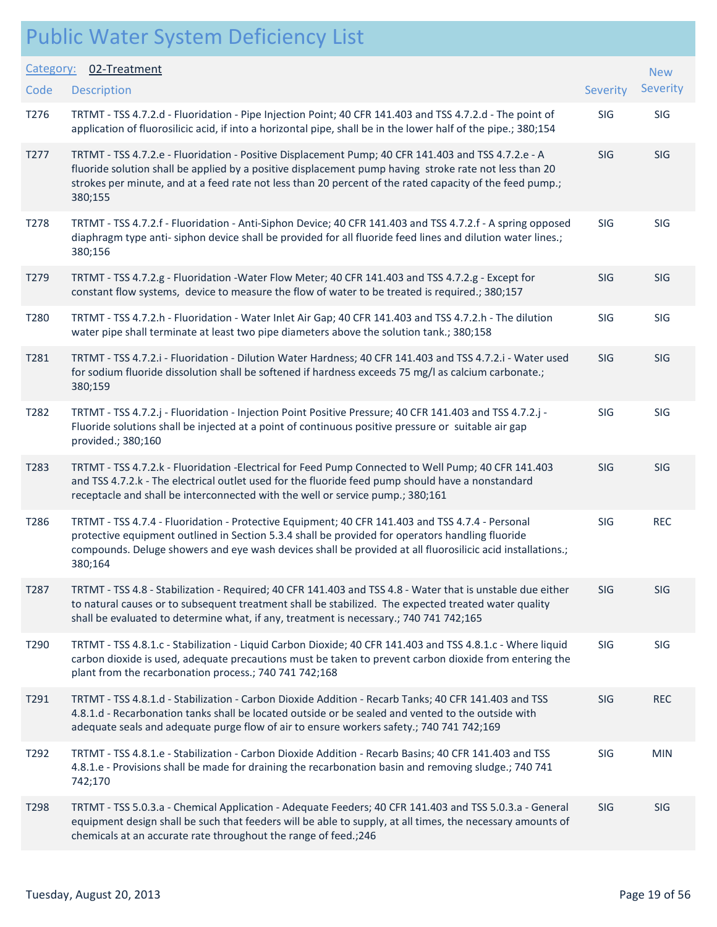#### Public Water System Deficiency List Description Severity of the contract of the contract of the contract of the contract of the contract of the contract of the contract of the contract of the contract of the contract of the contract of the contract of the co Category: 02-Treatment **Code** New **Severity** T276 TRTMT - TSS 4.7.2.d - Fluoridation - Pipe Injection Point; 40 CFR 141.403 and TSS 4.7.2.d - The point of SIG SIG application of fluorosilicic acid, if into a horizontal pipe, shall be in the lower half of the pipe.; 380;154 T277 TRTMT - TSS 4.7.2.e - Fluoridation - Positive Displacement Pump; 40 CFR 141.403 and TSS 4.7.2.e - A SIG SIG fluoride solution shall be applied by a positive displacement pump having stroke rate not less than 20 strokes per minute, and at a feed rate not less than 20 percent of the rated capacity of the feed pump.; 380;155 T278 TRTMT - TSS 4.7.2.f - Fluoridation - Anti-Siphon Device; 40 CFR 141.403 and TSS 4.7.2.f - A spring opposed SIG SIG diaphragm type anti- siphon device shall be provided for all fluoride feed lines and dilution water lines.; 380;156 T279 TRTMT - TSS 4.7.2.g - Fluoridation -Water Flow Meter; 40 CFR 141.403 and TSS 4.7.2.g - Except for SIG SIG constant flow systems, device to measure the flow of water to be treated is required.; 380;157 T280 TRTMT - TSS 4.7.2.h - Fluoridation - Water Inlet Air Gap; 40 CFR 141.403 and TSS 4.7.2.h - The dilution SIG SIG water pipe shall terminate at least two pipe diameters above the solution tank.; 380;158 T281 TRTMT - TSS 4.7.2.i - Fluoridation - Dilution Water Hardness; 40 CFR 141.403 and TSS 4.7.2.i - Water used SIG SIG for sodium fluoride dissolution shall be softened if hardness exceeds 75 mg/l as calcium carbonate.; 380;159 T282 TRTMT - TSS 4.7.2.j - Fluoridation - Injection Point Positive Pressure; 40 CFR 141.403 and TSS 4.7.2.j - SIG SIG Fluoride solutions shall be injected at a point of continuous positive pressure or suitable air gap provided.; 380;160 T283 TRTMT - TSS 4.7.2.k - Fluoridation -Electrical for Feed Pump Connected to Well Pump; 40 CFR 141.403 SIG SIG and TSS 4.7.2.k - The electrical outlet used for the fluoride feed pump should have a nonstandard receptacle and shall be interconnected with the well or service pump.; 380;161 T286 TRTMT - TSS 4.7.4 - Fluoridation - Protective Equipment; 40 CFR 141.403 and TSS 4.7.4 - Personal SIG BIG protective equipment outlined in Section 5.3.4 shall be provided for operators handling fluoride compounds. Deluge showers and eye wash devices shall be provided at all fluorosilicic acid installations.; 380;164 T287 TRTMT - TSS 4.8 - Stabilization - Required; 40 CFR 141.403 and TSS 4.8 - Water that is unstable due either SIG SIG to natural causes or to subsequent treatment shall be stabilized. The expected treated water quality shall be evaluated to determine what, if any, treatment is necessary.; 740 741 742;165 T290 TRTMT - TSS 4.8.1.c - Stabilization - Liquid Carbon Dioxide; 40 CFR 141.403 and TSS 4.8.1.c - Where liquid SIG SIG carbon dioxide is used, adequate precautions must be taken to prevent carbon dioxide from entering the plant from the recarbonation process.; 740 741 742;168 T291 TRTMT - TSS 4.8.1.d - Stabilization - Carbon Dioxide Addition - Recarb Tanks; 40 CFR 141.403 and TSS SIG REC 4.8.1.d - Recarbonation tanks shall be located outside or be sealed and vented to the outside with adequate seals and adequate purge flow of air to ensure workers safety.; 740 741 742;169 T292 TRTMT - TSS 4.8.1.e - Stabilization - Carbon Dioxide Addition - Recarb Basins; 40 CFR 141.403 and TSS SIG MIN 4.8.1.e - Provisions shall be made for draining the recarbonation basin and removing sludge.; 740 741 742;170 T298 TRTMT - TSS 5.0.3.a - Chemical Application - Adequate Feeders; 40 CFR 141.403 and TSS 5.0.3.a - General SIG SIG equipment design shall be such that feeders will be able to supply, at all times, the necessary amounts of chemicals at an accurate rate throughout the range of feed.;246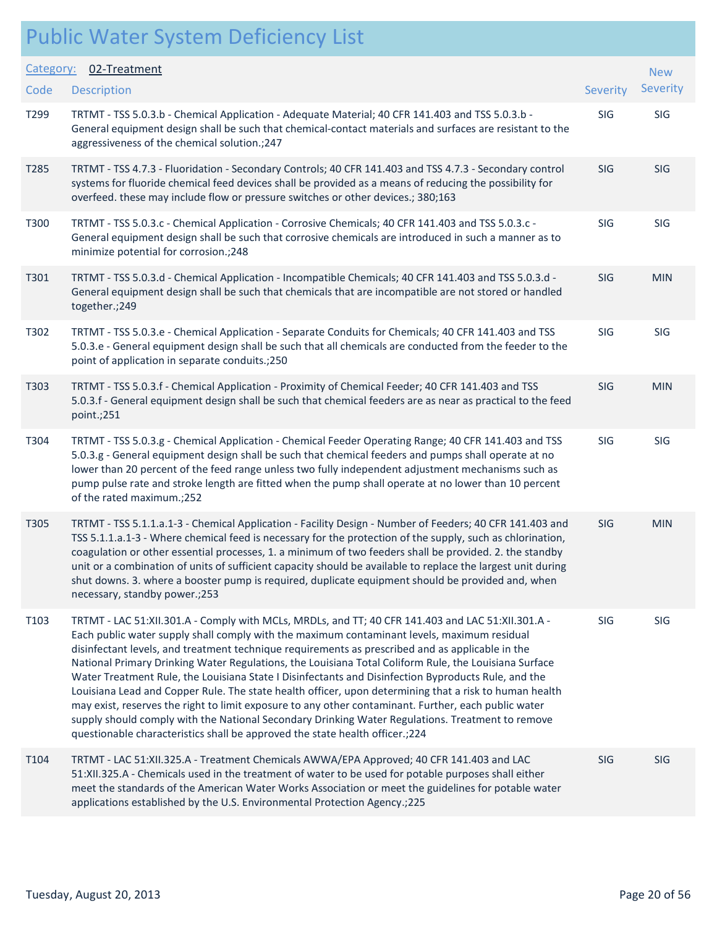| Category:        | 02-Treatment                                                                                                                                                                                                                                                                                                                                                                                                                                                                                                                                                                                                                                                                                                                                                                                                                                                                                                                |                 | <b>New</b> |
|------------------|-----------------------------------------------------------------------------------------------------------------------------------------------------------------------------------------------------------------------------------------------------------------------------------------------------------------------------------------------------------------------------------------------------------------------------------------------------------------------------------------------------------------------------------------------------------------------------------------------------------------------------------------------------------------------------------------------------------------------------------------------------------------------------------------------------------------------------------------------------------------------------------------------------------------------------|-----------------|------------|
| Code             | <b>Description</b>                                                                                                                                                                                                                                                                                                                                                                                                                                                                                                                                                                                                                                                                                                                                                                                                                                                                                                          | <b>Severity</b> | Severity   |
| T299             | TRTMT - TSS 5.0.3.b - Chemical Application - Adequate Material; 40 CFR 141.403 and TSS 5.0.3.b -<br>General equipment design shall be such that chemical-contact materials and surfaces are resistant to the<br>aggressiveness of the chemical solution.; 247                                                                                                                                                                                                                                                                                                                                                                                                                                                                                                                                                                                                                                                               | SIG             | SIG        |
| T <sub>285</sub> | TRTMT - TSS 4.7.3 - Fluoridation - Secondary Controls; 40 CFR 141.403 and TSS 4.7.3 - Secondary control<br>systems for fluoride chemical feed devices shall be provided as a means of reducing the possibility for<br>overfeed. these may include flow or pressure switches or other devices.; 380;163                                                                                                                                                                                                                                                                                                                                                                                                                                                                                                                                                                                                                      | SIG             | SIG        |
| T300             | TRTMT - TSS 5.0.3.c - Chemical Application - Corrosive Chemicals; 40 CFR 141.403 and TSS 5.0.3.c -<br>General equipment design shall be such that corrosive chemicals are introduced in such a manner as to<br>minimize potential for corrosion.; 248                                                                                                                                                                                                                                                                                                                                                                                                                                                                                                                                                                                                                                                                       | <b>SIG</b>      | SIG        |
| T301             | TRTMT - TSS 5.0.3.d - Chemical Application - Incompatible Chemicals; 40 CFR 141.403 and TSS 5.0.3.d -<br>General equipment design shall be such that chemicals that are incompatible are not stored or handled<br>together.; 249                                                                                                                                                                                                                                                                                                                                                                                                                                                                                                                                                                                                                                                                                            | SIG             | <b>MIN</b> |
| T302             | TRTMT - TSS 5.0.3.e - Chemical Application - Separate Conduits for Chemicals; 40 CFR 141.403 and TSS<br>5.0.3.e - General equipment design shall be such that all chemicals are conducted from the feeder to the<br>point of application in separate conduits.;250                                                                                                                                                                                                                                                                                                                                                                                                                                                                                                                                                                                                                                                          | SIG             | SIG        |
| T303             | TRTMT - TSS 5.0.3.f - Chemical Application - Proximity of Chemical Feeder; 40 CFR 141.403 and TSS<br>5.0.3.f - General equipment design shall be such that chemical feeders are as near as practical to the feed<br>point.;251                                                                                                                                                                                                                                                                                                                                                                                                                                                                                                                                                                                                                                                                                              | <b>SIG</b>      | <b>MIN</b> |
| T304             | TRTMT - TSS 5.0.3.g - Chemical Application - Chemical Feeder Operating Range; 40 CFR 141.403 and TSS<br>5.0.3.g - General equipment design shall be such that chemical feeders and pumps shall operate at no<br>lower than 20 percent of the feed range unless two fully independent adjustment mechanisms such as<br>pump pulse rate and stroke length are fitted when the pump shall operate at no lower than 10 percent<br>of the rated maximum.;252                                                                                                                                                                                                                                                                                                                                                                                                                                                                     | SIG             | <b>SIG</b> |
| T305             | TRTMT - TSS 5.1.1.a.1-3 - Chemical Application - Facility Design - Number of Feeders; 40 CFR 141.403 and<br>TSS 5.1.1.a.1-3 - Where chemical feed is necessary for the protection of the supply, such as chlorination,<br>coagulation or other essential processes, 1. a minimum of two feeders shall be provided. 2. the standby<br>unit or a combination of units of sufficient capacity should be available to replace the largest unit during<br>shut downs. 3. where a booster pump is required, duplicate equipment should be provided and, when<br>necessary, standby power.;253                                                                                                                                                                                                                                                                                                                                     | <b>SIG</b>      | <b>MIN</b> |
| T103             | TRTMT - LAC 51:XII.301.A - Comply with MCLs, MRDLs, and TT; 40 CFR 141.403 and LAC 51:XII.301.A -<br>Each public water supply shall comply with the maximum contaminant levels, maximum residual<br>disinfectant levels, and treatment technique requirements as prescribed and as applicable in the<br>National Primary Drinking Water Regulations, the Louisiana Total Coliform Rule, the Louisiana Surface<br>Water Treatment Rule, the Louisiana State I Disinfectants and Disinfection Byproducts Rule, and the<br>Louisiana Lead and Copper Rule. The state health officer, upon determining that a risk to human health<br>may exist, reserves the right to limit exposure to any other contaminant. Further, each public water<br>supply should comply with the National Secondary Drinking Water Regulations. Treatment to remove<br>questionable characteristics shall be approved the state health officer.; 224 | SIG             | SIG        |
| T104             | TRTMT - LAC 51:XII.325.A - Treatment Chemicals AWWA/EPA Approved; 40 CFR 141.403 and LAC<br>51:XII.325.A - Chemicals used in the treatment of water to be used for potable purposes shall either<br>meet the standards of the American Water Works Association or meet the guidelines for potable water<br>applications established by the U.S. Environmental Protection Agency.; 225                                                                                                                                                                                                                                                                                                                                                                                                                                                                                                                                       | SIG             | SIG        |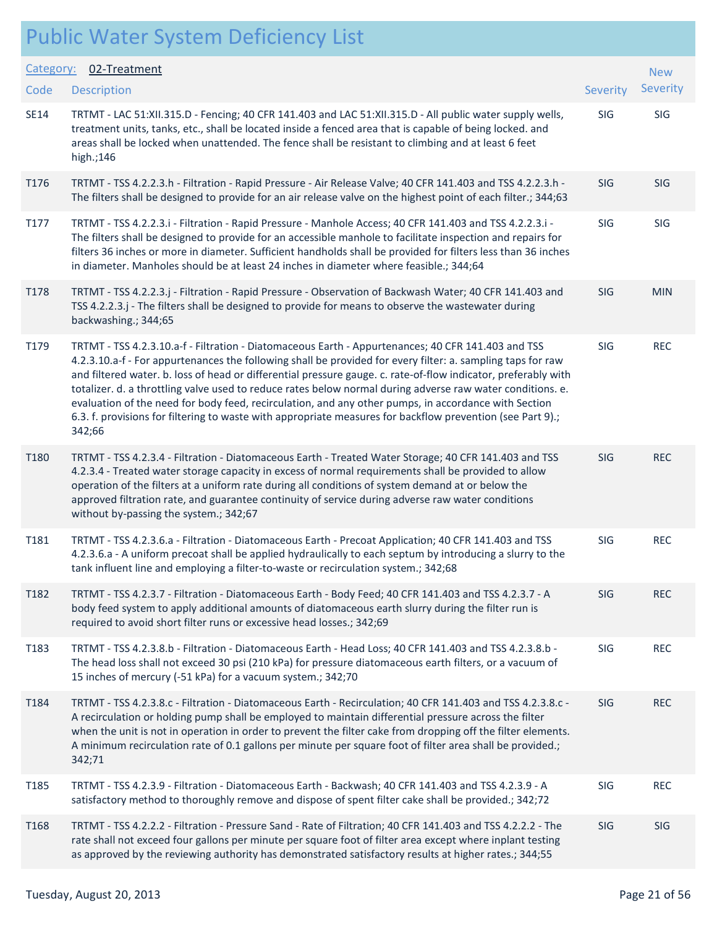|             | <b>Public Water System Deficiency List</b>                                                                                                                                                                                                                                                                                                                                                                                                                                                                                                                                                                                                                                        |            |            |
|-------------|-----------------------------------------------------------------------------------------------------------------------------------------------------------------------------------------------------------------------------------------------------------------------------------------------------------------------------------------------------------------------------------------------------------------------------------------------------------------------------------------------------------------------------------------------------------------------------------------------------------------------------------------------------------------------------------|------------|------------|
| Category:   | 02-Treatment                                                                                                                                                                                                                                                                                                                                                                                                                                                                                                                                                                                                                                                                      |            | <b>New</b> |
| Code        | <b>Description</b>                                                                                                                                                                                                                                                                                                                                                                                                                                                                                                                                                                                                                                                                | Severity   | Severity   |
| <b>SE14</b> | TRTMT - LAC 51:XII.315.D - Fencing; 40 CFR 141.403 and LAC 51:XII.315.D - All public water supply wells,<br>treatment units, tanks, etc., shall be located inside a fenced area that is capable of being locked. and<br>areas shall be locked when unattended. The fence shall be resistant to climbing and at least 6 feet<br>high.;146                                                                                                                                                                                                                                                                                                                                          | SIG        | SIG        |
| T176        | TRTMT - TSS 4.2.2.3.h - Filtration - Rapid Pressure - Air Release Valve; 40 CFR 141.403 and TSS 4.2.2.3.h -<br>The filters shall be designed to provide for an air release valve on the highest point of each filter.; 344;63                                                                                                                                                                                                                                                                                                                                                                                                                                                     | <b>SIG</b> | <b>SIG</b> |
| T177        | TRTMT - TSS 4.2.2.3.i - Filtration - Rapid Pressure - Manhole Access; 40 CFR 141.403 and TSS 4.2.2.3.i -<br>The filters shall be designed to provide for an accessible manhole to facilitate inspection and repairs for<br>filters 36 inches or more in diameter. Sufficient handholds shall be provided for filters less than 36 inches<br>in diameter. Manholes should be at least 24 inches in diameter where feasible.; 344;64                                                                                                                                                                                                                                                | SIG        | SIG        |
| T178        | TRTMT - TSS 4.2.2.3.j - Filtration - Rapid Pressure - Observation of Backwash Water; 40 CFR 141.403 and<br>TSS 4.2.2.3.j - The filters shall be designed to provide for means to observe the wastewater during<br>backwashing.; 344;65                                                                                                                                                                                                                                                                                                                                                                                                                                            | SIG        | <b>MIN</b> |
| T179        | TRTMT - TSS 4.2.3.10.a-f - Filtration - Diatomaceous Earth - Appurtenances; 40 CFR 141.403 and TSS<br>4.2.3.10.a-f - For appurtenances the following shall be provided for every filter: a. sampling taps for raw<br>and filtered water. b. loss of head or differential pressure gauge. c. rate-of-flow indicator, preferably with<br>totalizer. d. a throttling valve used to reduce rates below normal during adverse raw water conditions. e.<br>evaluation of the need for body feed, recirculation, and any other pumps, in accordance with Section<br>6.3. f. provisions for filtering to waste with appropriate measures for backflow prevention (see Part 9).;<br>342;66 | SIG        | <b>REC</b> |
| T180        | TRTMT - TSS 4.2.3.4 - Filtration - Diatomaceous Earth - Treated Water Storage; 40 CFR 141.403 and TSS<br>4.2.3.4 - Treated water storage capacity in excess of normal requirements shall be provided to allow<br>operation of the filters at a uniform rate during all conditions of system demand at or below the<br>approved filtration rate, and guarantee continuity of service during adverse raw water conditions<br>without by-passing the system.; 342;67                                                                                                                                                                                                                 | <b>SIG</b> | <b>REC</b> |
| T181        | TRTMT - TSS 4.2.3.6.a - Filtration - Diatomaceous Earth - Precoat Application; 40 CFR 141.403 and TSS<br>4.2.3.6.a - A uniform precoat shall be applied hydraulically to each septum by introducing a slurry to the<br>tank influent line and employing a filter-to-waste or recirculation system.; 342;68                                                                                                                                                                                                                                                                                                                                                                        | SIG        | <b>REC</b> |
| T182        | TRTMT - TSS 4.2.3.7 - Filtration - Diatomaceous Earth - Body Feed; 40 CFR 141.403 and TSS 4.2.3.7 - A<br>body feed system to apply additional amounts of diatomaceous earth slurry during the filter run is<br>required to avoid short filter runs or excessive head losses.; 342;69                                                                                                                                                                                                                                                                                                                                                                                              | SIG        | <b>REC</b> |
| T183        | TRTMT - TSS 4.2.3.8.b - Filtration - Diatomaceous Earth - Head Loss; 40 CFR 141.403 and TSS 4.2.3.8.b -<br>The head loss shall not exceed 30 psi (210 kPa) for pressure diatomaceous earth filters, or a vacuum of<br>15 inches of mercury (-51 kPa) for a vacuum system.; 342;70                                                                                                                                                                                                                                                                                                                                                                                                 | SIG        | <b>REC</b> |
| T184        | TRTMT - TSS 4.2.3.8.c - Filtration - Diatomaceous Earth - Recirculation; 40 CFR 141.403 and TSS 4.2.3.8.c -<br>A recirculation or holding pump shall be employed to maintain differential pressure across the filter<br>when the unit is not in operation in order to prevent the filter cake from dropping off the filter elements.<br>A minimum recirculation rate of 0.1 gallons per minute per square foot of filter area shall be provided.;<br>342;71                                                                                                                                                                                                                       | <b>SIG</b> | <b>REC</b> |
| T185        | TRTMT - TSS 4.2.3.9 - Filtration - Diatomaceous Earth - Backwash; 40 CFR 141.403 and TSS 4.2.3.9 - A<br>satisfactory method to thoroughly remove and dispose of spent filter cake shall be provided.; 342;72                                                                                                                                                                                                                                                                                                                                                                                                                                                                      | SIG        | <b>REC</b> |
| T168        | TRTMT - TSS 4.2.2.2 - Filtration - Pressure Sand - Rate of Filtration; 40 CFR 141.403 and TSS 4.2.2.2 - The<br>rate shall not exceed four gallons per minute per square foot of filter area except where inplant testing<br>as approved by the reviewing authority has demonstrated satisfactory results at higher rates.; 344;55                                                                                                                                                                                                                                                                                                                                                 | SIG        | SIG        |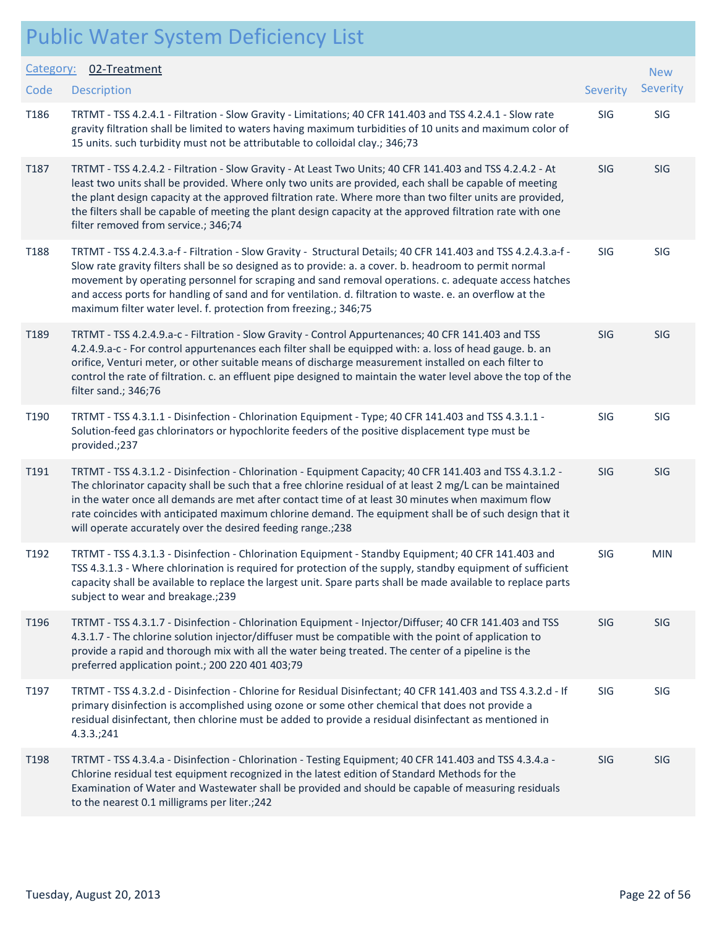| Category: | 02-Treatment                                                                                                                                                                                                                                                                                                                                                                                                                                                                                                     |            | <b>New</b> |
|-----------|------------------------------------------------------------------------------------------------------------------------------------------------------------------------------------------------------------------------------------------------------------------------------------------------------------------------------------------------------------------------------------------------------------------------------------------------------------------------------------------------------------------|------------|------------|
| Code      | <b>Description</b>                                                                                                                                                                                                                                                                                                                                                                                                                                                                                               | Severity   | Severity   |
| T186      | TRTMT - TSS 4.2.4.1 - Filtration - Slow Gravity - Limitations; 40 CFR 141.403 and TSS 4.2.4.1 - Slow rate<br>gravity filtration shall be limited to waters having maximum turbidities of 10 units and maximum color of<br>15 units. such turbidity must not be attributable to colloidal clay.; 346;73                                                                                                                                                                                                           | SIG        | <b>SIG</b> |
| T187      | TRTMT - TSS 4.2.4.2 - Filtration - Slow Gravity - At Least Two Units; 40 CFR 141.403 and TSS 4.2.4.2 - At<br>least two units shall be provided. Where only two units are provided, each shall be capable of meeting<br>the plant design capacity at the approved filtration rate. Where more than two filter units are provided,<br>the filters shall be capable of meeting the plant design capacity at the approved filtration rate with one<br>filter removed from service.; 346;74                           | SIG        | SIG        |
| T188      | TRTMT - TSS 4.2.4.3.a-f - Filtration - Slow Gravity - Structural Details; 40 CFR 141.403 and TSS 4.2.4.3.a-f -<br>Slow rate gravity filters shall be so designed as to provide: a. a cover. b. headroom to permit normal<br>movement by operating personnel for scraping and sand removal operations. c. adequate access hatches<br>and access ports for handling of sand and for ventilation. d. filtration to waste. e. an overflow at the<br>maximum filter water level. f. protection from freezing.; 346;75 | SIG        | SIG        |
| T189      | TRTMT - TSS 4.2.4.9.a-c - Filtration - Slow Gravity - Control Appurtenances; 40 CFR 141.403 and TSS<br>4.2.4.9.a-c - For control appurtenances each filter shall be equipped with: a. loss of head gauge. b. an<br>orifice, Venturi meter, or other suitable means of discharge measurement installed on each filter to<br>control the rate of filtration. c. an effluent pipe designed to maintain the water level above the top of the<br>filter sand.; 346;76                                                 | SIG        | SIG        |
| T190      | TRTMT - TSS 4.3.1.1 - Disinfection - Chlorination Equipment - Type; 40 CFR 141.403 and TSS 4.3.1.1 -<br>Solution-feed gas chlorinators or hypochlorite feeders of the positive displacement type must be<br>provided.;237                                                                                                                                                                                                                                                                                        | <b>SIG</b> | SIG        |
| T191      | TRTMT - TSS 4.3.1.2 - Disinfection - Chlorination - Equipment Capacity; 40 CFR 141.403 and TSS 4.3.1.2 -<br>The chlorinator capacity shall be such that a free chlorine residual of at least 2 mg/L can be maintained<br>in the water once all demands are met after contact time of at least 30 minutes when maximum flow<br>rate coincides with anticipated maximum chlorine demand. The equipment shall be of such design that it<br>will operate accurately over the desired feeding range.; 238             | SIG        | SIG        |
| T192      | TRTMT - TSS 4.3.1.3 - Disinfection - Chlorination Equipment - Standby Equipment; 40 CFR 141.403 and<br>TSS 4.3.1.3 - Where chlorination is required for protection of the supply, standby equipment of sufficient<br>capacity shall be available to replace the largest unit. Spare parts shall be made available to replace parts<br>subject to wear and breakage.;239                                                                                                                                          | SIG        | <b>MIN</b> |
| T196      | TRTMT - TSS 4.3.1.7 - Disinfection - Chlorination Equipment - Injector/Diffuser; 40 CFR 141.403 and TSS<br>4.3.1.7 - The chlorine solution injector/diffuser must be compatible with the point of application to<br>provide a rapid and thorough mix with all the water being treated. The center of a pipeline is the<br>preferred application point.; 200 220 401 403;79                                                                                                                                       | <b>SIG</b> | SIG        |
| T197      | TRTMT - TSS 4.3.2.d - Disinfection - Chlorine for Residual Disinfectant; 40 CFR 141.403 and TSS 4.3.2.d - If<br>primary disinfection is accomplished using ozone or some other chemical that does not provide a<br>residual disinfectant, then chlorine must be added to provide a residual disinfectant as mentioned in<br>4.3.3.;241                                                                                                                                                                           | SIG        | SIG        |
| T198      | TRTMT - TSS 4.3.4.a - Disinfection - Chlorination - Testing Equipment; 40 CFR 141.403 and TSS 4.3.4.a -<br>Chlorine residual test equipment recognized in the latest edition of Standard Methods for the<br>Examination of Water and Wastewater shall be provided and should be capable of measuring residuals<br>to the nearest 0.1 milligrams per liter.; 242                                                                                                                                                  | <b>SIG</b> | <b>SIG</b> |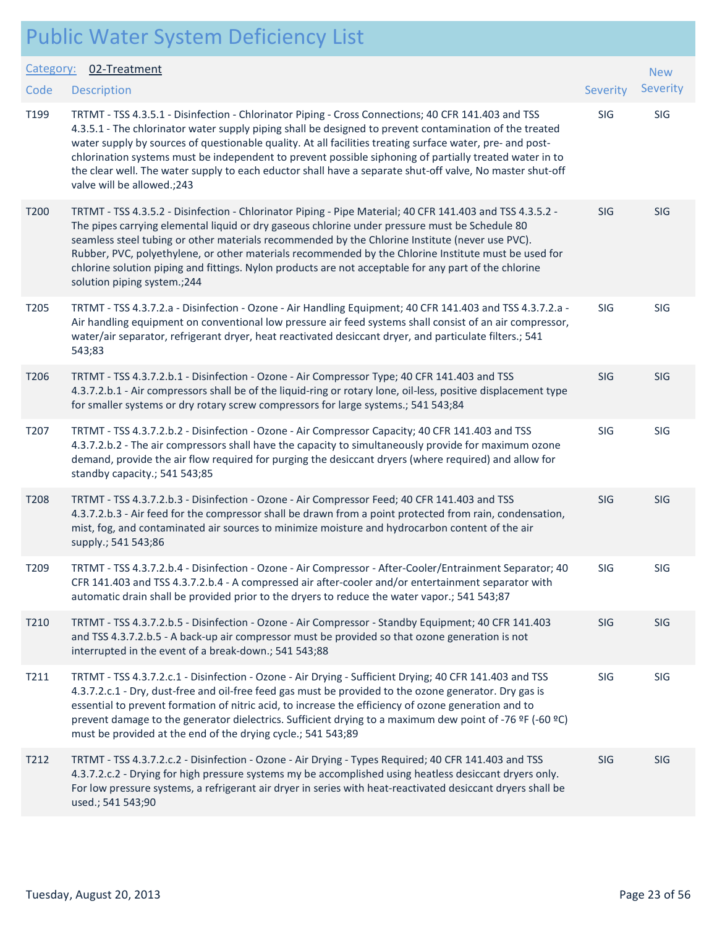| Category:<br>Code | 02-Treatment<br><b>Description</b>                                                                                                                                                                                                                                                                                                                                                                                                                                                                                                                                                | Severity   | <b>New</b><br>Severity |
|-------------------|-----------------------------------------------------------------------------------------------------------------------------------------------------------------------------------------------------------------------------------------------------------------------------------------------------------------------------------------------------------------------------------------------------------------------------------------------------------------------------------------------------------------------------------------------------------------------------------|------------|------------------------|
| T199              | TRTMT - TSS 4.3.5.1 - Disinfection - Chlorinator Piping - Cross Connections; 40 CFR 141.403 and TSS<br>4.3.5.1 - The chlorinator water supply piping shall be designed to prevent contamination of the treated<br>water supply by sources of questionable quality. At all facilities treating surface water, pre- and post-<br>chlorination systems must be independent to prevent possible siphoning of partially treated water in to<br>the clear well. The water supply to each eductor shall have a separate shut-off valve, No master shut-off<br>valve will be allowed.;243 | SIG        | SIG                    |
| T200              | TRTMT - TSS 4.3.5.2 - Disinfection - Chlorinator Piping - Pipe Material; 40 CFR 141.403 and TSS 4.3.5.2 -<br>The pipes carrying elemental liquid or dry gaseous chlorine under pressure must be Schedule 80<br>seamless steel tubing or other materials recommended by the Chlorine Institute (never use PVC).<br>Rubber, PVC, polyethylene, or other materials recommended by the Chlorine Institute must be used for<br>chlorine solution piping and fittings. Nylon products are not acceptable for any part of the chlorine<br>solution piping system.; 244                   | <b>SIG</b> | SIG                    |
| T205              | TRTMT - TSS 4.3.7.2.a - Disinfection - Ozone - Air Handling Equipment; 40 CFR 141.403 and TSS 4.3.7.2.a -<br>Air handling equipment on conventional low pressure air feed systems shall consist of an air compressor,<br>water/air separator, refrigerant dryer, heat reactivated desiccant dryer, and particulate filters.; 541<br>543;83                                                                                                                                                                                                                                        | SIG        | SIG                    |
| T206              | TRTMT - TSS 4.3.7.2.b.1 - Disinfection - Ozone - Air Compressor Type; 40 CFR 141.403 and TSS<br>4.3.7.2.b.1 - Air compressors shall be of the liquid-ring or rotary lone, oil-less, positive displacement type<br>for smaller systems or dry rotary screw compressors for large systems.; 541 543;84                                                                                                                                                                                                                                                                              | SIG        | SIG                    |
| T207              | TRTMT - TSS 4.3.7.2.b.2 - Disinfection - Ozone - Air Compressor Capacity; 40 CFR 141.403 and TSS<br>4.3.7.2.b.2 - The air compressors shall have the capacity to simultaneously provide for maximum ozone<br>demand, provide the air flow required for purging the desiccant dryers (where required) and allow for<br>standby capacity.; 541 543;85                                                                                                                                                                                                                               | SIG        | SIG                    |
| T <sub>208</sub>  | TRTMT - TSS 4.3.7.2.b.3 - Disinfection - Ozone - Air Compressor Feed; 40 CFR 141.403 and TSS<br>4.3.7.2.b.3 - Air feed for the compressor shall be drawn from a point protected from rain, condensation,<br>mist, fog, and contaminated air sources to minimize moisture and hydrocarbon content of the air<br>supply.; 541 543;86                                                                                                                                                                                                                                                | <b>SIG</b> | SIG                    |
| T209              | TRTMT - TSS 4.3.7.2.b.4 - Disinfection - Ozone - Air Compressor - After-Cooler/Entrainment Separator; 40<br>CFR 141.403 and TSS 4.3.7.2.b.4 - A compressed air after-cooler and/or entertainment separator with<br>automatic drain shall be provided prior to the dryers to reduce the water vapor.; 541 543;87                                                                                                                                                                                                                                                                   | SIG        | <b>SIG</b>             |
| T210              | TRTMT - TSS 4.3.7.2.b.5 - Disinfection - Ozone - Air Compressor - Standby Equipment; 40 CFR 141.403<br>and TSS 4.3.7.2.b.5 - A back-up air compressor must be provided so that ozone generation is not<br>interrupted in the event of a break-down.; 541 543;88                                                                                                                                                                                                                                                                                                                   | SIG        | SIG                    |
| T211              | TRTMT - TSS 4.3.7.2.c.1 - Disinfection - Ozone - Air Drying - Sufficient Drying; 40 CFR 141.403 and TSS<br>4.3.7.2.c.1 - Dry, dust-free and oil-free feed gas must be provided to the ozone generator. Dry gas is<br>essential to prevent formation of nitric acid, to increase the efficiency of ozone generation and to<br>prevent damage to the generator dielectrics. Sufficient drying to a maximum dew point of -76 ºF (-60 °C)<br>must be provided at the end of the drying cycle.; 541 543;89                                                                             | SIG        | SIG                    |
| T212              | TRTMT - TSS 4.3.7.2.c.2 - Disinfection - Ozone - Air Drying - Types Required; 40 CFR 141.403 and TSS<br>4.3.7.2.c.2 - Drying for high pressure systems my be accomplished using heatless desiccant dryers only.<br>For low pressure systems, a refrigerant air dryer in series with heat-reactivated desiccant dryers shall be<br>used.; 541 543;90                                                                                                                                                                                                                               | <b>SIG</b> | <b>SIG</b>             |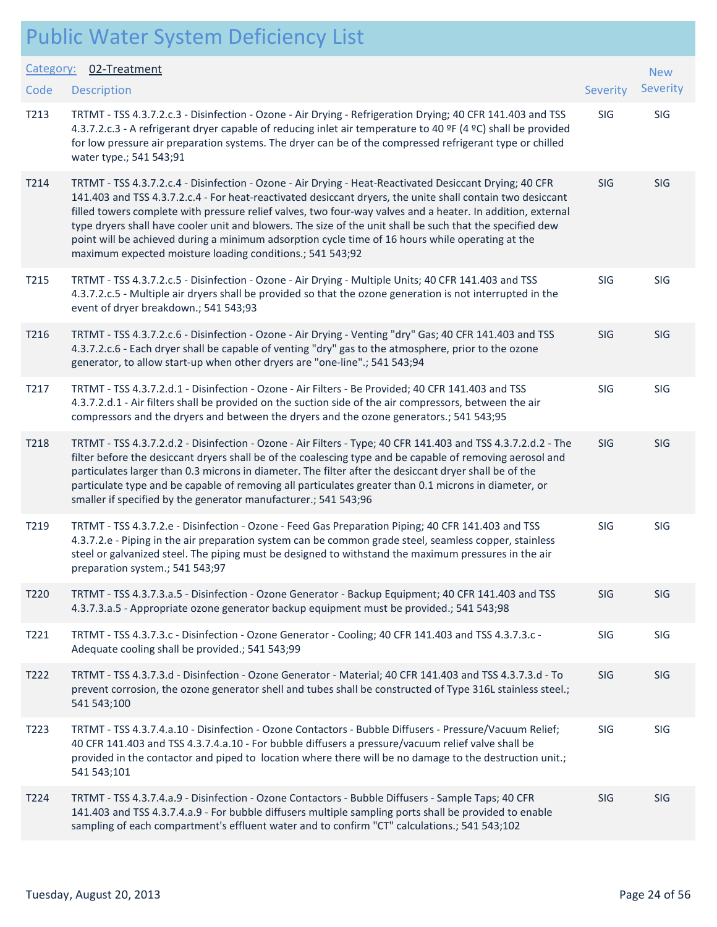#### Public Water System Deficiency List Description Severity of the contract of the contract of the contract of the contract of the contract of the contract of the contract of the contract of the contract of the contract of the contract of the contract of the co Category: 02-Treatment **Code** T213 TRTMT - TSS 4.3.7.2.c.3 - Disinfection - Ozone - Air Drying - Refrigeration Drying; 40 CFR 141.403 and TSS SIG SIG 4.3.7.2.c.3 - A refrigerant dryer capable of reducing inlet air temperature to 40 ºF (4 ºC) shall be provided for low pressure air preparation systems. The dryer can be of the compressed refrigerant type or chilled water type.; 541 543;91 T214 TRTMT - TSS 4.3.7.2.c.4 - Disinfection - Ozone - Air Drying - Heat-Reactivated Desiccant Drying; 40 CFR SIG SIG 141.403 and TSS 4.3.7.2.c.4 - For heat-reactivated desiccant dryers, the unite shall contain two desiccant filled towers complete with pressure relief valves, two four-way valves and a heater. In addition, external type dryers shall have cooler unit and blowers. The size of the unit shall be such that the specified dew point will be achieved during a minimum adsorption cycle time of 16 hours while operating at the

T215 TRTMT - TSS 4.3.7.2.c.5 - Disinfection - Ozone - Air Drying - Multiple Units; 40 CFR 141.403 and TSS SIG SIG 4.3.7.2.c.5 - Multiple air dryers shall be provided so that the ozone generation is not interrupted in the event of dryer breakdown.; 541 543;93

maximum expected moisture loading conditions.; 541 543;92

- T216 TRTMT TSS 4.3.7.2.c.6 Disinfection Ozone Air Drying Venting "dry" Gas; 40 CFR 141.403 and TSS SIG SIG 4.3.7.2.c.6 - Each dryer shall be capable of venting "dry" gas to the atmosphere, prior to the ozone generator, to allow start-up when other dryers are "one-line".; 541 543;94
- T217 TRTMT TSS 4.3.7.2.d.1 Disinfection Ozone Air Filters Be Provided; 40 CFR 141.403 and TSS SIG SIG 4.3.7.2.d.1 - Air filters shall be provided on the suction side of the air compressors, between the air compressors and the dryers and between the dryers and the ozone generators.; 541 543;95
- T218 TRTMT TSS 4.3.7.2.d.2 Disinfection Ozone Air Filters Type; 40 CFR 141.403 and TSS 4.3.7.2.d.2 The SIG SIG filter before the desiccant dryers shall be of the coalescing type and be capable of removing aerosol and particulates larger than 0.3 microns in diameter. The filter after the desiccant dryer shall be of the particulate type and be capable of removing all particulates greater than 0.1 microns in diameter, or smaller if specified by the generator manufacturer.; 541 543;96
- T219 TRTMT TSS 4.3.7.2.e Disinfection Ozone Feed Gas Preparation Piping; 40 CFR 141.403 and TSS SIG SIG 4.3.7.2.e - Piping in the air preparation system can be common grade steel, seamless copper, stainless steel or galvanized steel. The piping must be designed to withstand the maximum pressures in the air preparation system.; 541 543;97 T220 TRTMT - TSS 4.3.7.3.a.5 - Disinfection - Ozone Generator - Backup Equipment; 40 CFR 141.403 and TSS SIG SIG
- 4.3.7.3.a.5 Appropriate ozone generator backup equipment must be provided.; 541 543;98

T221 TRTMT - TSS 4.3.7.3.c - Disinfection - Ozone Generator - Cooling; 40 CFR 141.403 and TSS 4.3.7.3.c - SIG SIG Adequate cooling shall be provided.; 541 543;99 T222 TRTMT - TSS 4.3.7.3.d - Disinfection - Ozone Generator - Material; 40 CFR 141.403 and TSS 4.3.7.3.d - To SIG SIG

- prevent corrosion, the ozone generator shell and tubes shall be constructed of Type 316L stainless steel.; 541 543;100 T223 TRTMT - TSS 4.3.7.4.a.10 - Disinfection - Ozone Contactors - Bubble Diffusers - Pressure/Vacuum Relief; SIG SIG 40 CFR 141.403 and TSS 4.3.7.4.a.10 - For bubble diffusers a pressure/vacuum relief valve shall be provided in the contactor and piped to location where there will be no damage to the destruction unit.;
- T224 TRTMT TSS 4.3.7.4.a.9 Disinfection Ozone Contactors Bubble Diffusers Sample Taps; 40 CFR SIG SIG 141.403 and TSS 4.3.7.4.a.9 - For bubble diffusers multiple sampling ports shall be provided to enable sampling of each compartment's effluent water and to confirm "CT" calculations.; 541 543;102

541 543;101

New Severity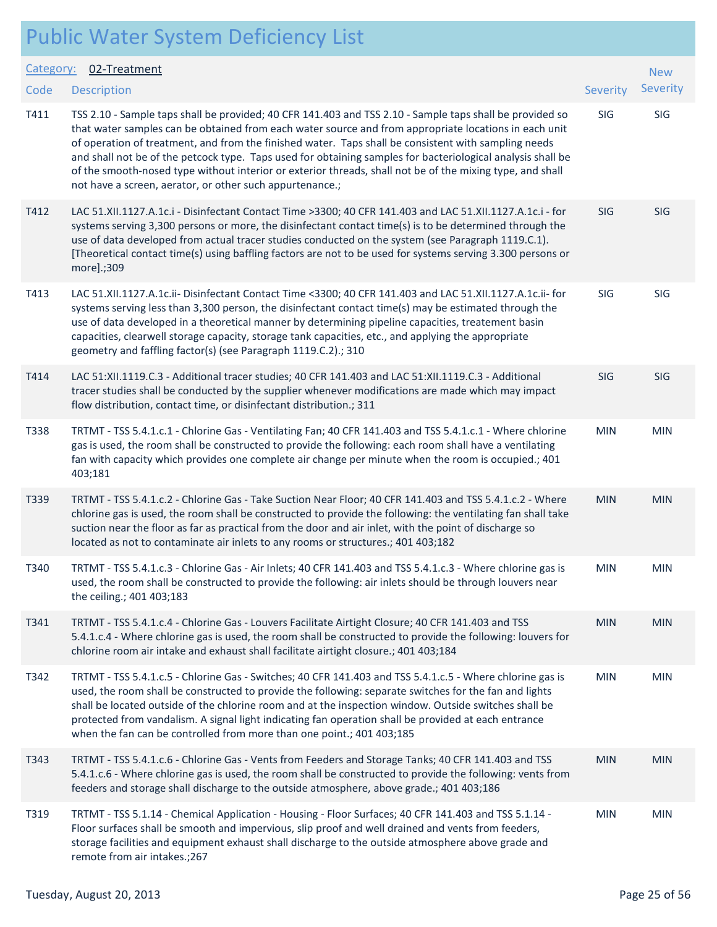| <b>Public Water System Deficiency List</b> |  |
|--------------------------------------------|--|
|--------------------------------------------|--|

| Category: | 02-Treatment                                                                                                                                                                                                                                                                                                                                                                                                                                                                                                                                                                                                      |            | <b>New</b> |
|-----------|-------------------------------------------------------------------------------------------------------------------------------------------------------------------------------------------------------------------------------------------------------------------------------------------------------------------------------------------------------------------------------------------------------------------------------------------------------------------------------------------------------------------------------------------------------------------------------------------------------------------|------------|------------|
| Code      | <b>Description</b>                                                                                                                                                                                                                                                                                                                                                                                                                                                                                                                                                                                                | Severity   | Severity   |
| T411      | TSS 2.10 - Sample taps shall be provided; 40 CFR 141.403 and TSS 2.10 - Sample taps shall be provided so<br>that water samples can be obtained from each water source and from appropriate locations in each unit<br>of operation of treatment, and from the finished water. Taps shall be consistent with sampling needs<br>and shall not be of the petcock type. Taps used for obtaining samples for bacteriological analysis shall be<br>of the smooth-nosed type without interior or exterior threads, shall not be of the mixing type, and shall<br>not have a screen, aerator, or other such appurtenance.; | SIG        | SIG        |
| T412      | LAC 51.XII.1127.A.1c.i - Disinfectant Contact Time >3300; 40 CFR 141.403 and LAC 51.XII.1127.A.1c.i - for<br>systems serving 3,300 persons or more, the disinfectant contact time(s) is to be determined through the<br>use of data developed from actual tracer studies conducted on the system (see Paragraph 1119.C.1).<br>[Theoretical contact time(s) using baffling factors are not to be used for systems serving 3.300 persons or<br>more].;309                                                                                                                                                           | <b>SIG</b> | SIG        |
| T413      | LAC 51.XII.1127.A.1c.ii- Disinfectant Contact Time <3300; 40 CFR 141.403 and LAC 51.XII.1127.A.1c.ii- for<br>systems serving less than 3,300 person, the disinfectant contact time(s) may be estimated through the<br>use of data developed in a theoretical manner by determining pipeline capacities, treatement basin<br>capacities, clearwell storage capacity, storage tank capacities, etc., and applying the appropriate<br>geometry and faffling factor(s) (see Paragraph 1119.C.2).; 310                                                                                                                 | SIG        | <b>SIG</b> |
| T414      | LAC 51:XII.1119.C.3 - Additional tracer studies; 40 CFR 141.403 and LAC 51:XII.1119.C.3 - Additional<br>tracer studies shall be conducted by the supplier whenever modifications are made which may impact<br>flow distribution, contact time, or disinfectant distribution.; 311                                                                                                                                                                                                                                                                                                                                 | <b>SIG</b> | <b>SIG</b> |
| T338      | TRTMT - TSS 5.4.1.c.1 - Chlorine Gas - Ventilating Fan; 40 CFR 141.403 and TSS 5.4.1.c.1 - Where chlorine<br>gas is used, the room shall be constructed to provide the following: each room shall have a ventilating<br>fan with capacity which provides one complete air change per minute when the room is occupied.; 401<br>403;181                                                                                                                                                                                                                                                                            | <b>MIN</b> | <b>MIN</b> |
| T339      | TRTMT - TSS 5.4.1.c.2 - Chlorine Gas - Take Suction Near Floor; 40 CFR 141.403 and TSS 5.4.1.c.2 - Where<br>chlorine gas is used, the room shall be constructed to provide the following: the ventilating fan shall take<br>suction near the floor as far as practical from the door and air inlet, with the point of discharge so<br>located as not to contaminate air inlets to any rooms or structures.; 401 403;182                                                                                                                                                                                           | <b>MIN</b> | <b>MIN</b> |
| T340      | TRTMT - TSS 5.4.1.c.3 - Chlorine Gas - Air Inlets; 40 CFR 141.403 and TSS 5.4.1.c.3 - Where chlorine gas is<br>used, the room shall be constructed to provide the following: air inlets should be through louvers near<br>the ceiling.; 401 403;183                                                                                                                                                                                                                                                                                                                                                               | <b>MIN</b> | <b>MIN</b> |
| T341      | TRTMT - TSS 5.4.1.c.4 - Chlorine Gas - Louvers Facilitate Airtight Closure; 40 CFR 141.403 and TSS<br>5.4.1.c.4 - Where chlorine gas is used, the room shall be constructed to provide the following: louvers for<br>chlorine room air intake and exhaust shall facilitate airtight closure.; 401 403;184                                                                                                                                                                                                                                                                                                         | <b>MIN</b> | <b>MIN</b> |
| T342      | TRTMT - TSS 5.4.1.c.5 - Chlorine Gas - Switches; 40 CFR 141.403 and TSS 5.4.1.c.5 - Where chlorine gas is<br>used, the room shall be constructed to provide the following: separate switches for the fan and lights<br>shall be located outside of the chlorine room and at the inspection window. Outside switches shall be<br>protected from vandalism. A signal light indicating fan operation shall be provided at each entrance<br>when the fan can be controlled from more than one point.; 401 403;185                                                                                                     | <b>MIN</b> | <b>MIN</b> |
| T343      | TRTMT - TSS 5.4.1.c.6 - Chlorine Gas - Vents from Feeders and Storage Tanks; 40 CFR 141.403 and TSS<br>5.4.1.c.6 - Where chlorine gas is used, the room shall be constructed to provide the following: vents from<br>feeders and storage shall discharge to the outside atmosphere, above grade.; 401 403;186                                                                                                                                                                                                                                                                                                     | <b>MIN</b> | <b>MIN</b> |
| T319      | TRTMT - TSS 5.1.14 - Chemical Application - Housing - Floor Surfaces; 40 CFR 141.403 and TSS 5.1.14 -<br>Floor surfaces shall be smooth and impervious, slip proof and well drained and vents from feeders,<br>storage facilities and equipment exhaust shall discharge to the outside atmosphere above grade and<br>remote from air intakes.; 267                                                                                                                                                                                                                                                                | <b>MIN</b> | <b>MIN</b> |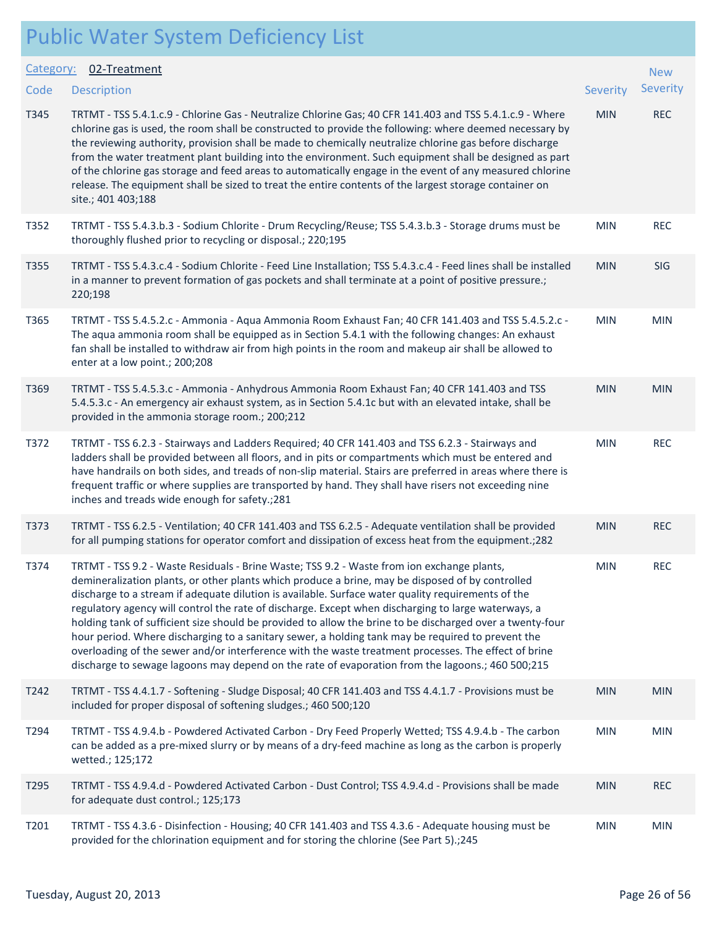| <b>Public Water System Deficiency List</b> |  |
|--------------------------------------------|--|
|--------------------------------------------|--|

|                  | I UDIIC VVALEI JYSLEIII DEIICIEIICY LISL                                                                                                                                                                                                                                                                                                                                                                                                                                                                                                                                                                                                                                                                                                                                                                                                  |            |                 |
|------------------|-------------------------------------------------------------------------------------------------------------------------------------------------------------------------------------------------------------------------------------------------------------------------------------------------------------------------------------------------------------------------------------------------------------------------------------------------------------------------------------------------------------------------------------------------------------------------------------------------------------------------------------------------------------------------------------------------------------------------------------------------------------------------------------------------------------------------------------------|------------|-----------------|
| Category:        | 02-Treatment                                                                                                                                                                                                                                                                                                                                                                                                                                                                                                                                                                                                                                                                                                                                                                                                                              |            | <b>New</b>      |
| Code             | <b>Description</b>                                                                                                                                                                                                                                                                                                                                                                                                                                                                                                                                                                                                                                                                                                                                                                                                                        | Severity   | <b>Severity</b> |
| T345             | TRTMT - TSS 5.4.1.c.9 - Chlorine Gas - Neutralize Chlorine Gas; 40 CFR 141.403 and TSS 5.4.1.c.9 - Where<br>chlorine gas is used, the room shall be constructed to provide the following: where deemed necessary by<br>the reviewing authority, provision shall be made to chemically neutralize chlorine gas before discharge<br>from the water treatment plant building into the environment. Such equipment shall be designed as part<br>of the chlorine gas storage and feed areas to automatically engage in the event of any measured chlorine<br>release. The equipment shall be sized to treat the entire contents of the largest storage container on<br>site.; 401 403;188                                                                                                                                                      | <b>MIN</b> | <b>REC</b>      |
| T352             | TRTMT - TSS 5.4.3.b.3 - Sodium Chlorite - Drum Recycling/Reuse; TSS 5.4.3.b.3 - Storage drums must be<br>thoroughly flushed prior to recycling or disposal.; 220;195                                                                                                                                                                                                                                                                                                                                                                                                                                                                                                                                                                                                                                                                      | <b>MIN</b> | <b>REC</b>      |
| T355             | TRTMT - TSS 5.4.3.c.4 - Sodium Chlorite - Feed Line Installation; TSS 5.4.3.c.4 - Feed lines shall be installed<br>in a manner to prevent formation of gas pockets and shall terminate at a point of positive pressure.;<br>220;198                                                                                                                                                                                                                                                                                                                                                                                                                                                                                                                                                                                                       | <b>MIN</b> | <b>SIG</b>      |
| T365             | TRTMT - TSS 5.4.5.2.c - Ammonia - Aqua Ammonia Room Exhaust Fan; 40 CFR 141.403 and TSS 5.4.5.2.c -<br>The aqua ammonia room shall be equipped as in Section 5.4.1 with the following changes: An exhaust<br>fan shall be installed to withdraw air from high points in the room and makeup air shall be allowed to<br>enter at a low point.; 200;208                                                                                                                                                                                                                                                                                                                                                                                                                                                                                     | <b>MIN</b> | <b>MIN</b>      |
| T369             | TRTMT - TSS 5.4.5.3.c - Ammonia - Anhydrous Ammonia Room Exhaust Fan; 40 CFR 141.403 and TSS<br>5.4.5.3.c - An emergency air exhaust system, as in Section 5.4.1c but with an elevated intake, shall be<br>provided in the ammonia storage room.; 200;212                                                                                                                                                                                                                                                                                                                                                                                                                                                                                                                                                                                 | <b>MIN</b> | <b>MIN</b>      |
| T372             | TRTMT - TSS 6.2.3 - Stairways and Ladders Required; 40 CFR 141.403 and TSS 6.2.3 - Stairways and<br>ladders shall be provided between all floors, and in pits or compartments which must be entered and<br>have handrails on both sides, and treads of non-slip material. Stairs are preferred in areas where there is<br>frequent traffic or where supplies are transported by hand. They shall have risers not exceeding nine<br>inches and treads wide enough for safety.; 281                                                                                                                                                                                                                                                                                                                                                         | <b>MIN</b> | <b>REC</b>      |
| T373             | TRTMT - TSS 6.2.5 - Ventilation; 40 CFR 141.403 and TSS 6.2.5 - Adequate ventilation shall be provided<br>for all pumping stations for operator comfort and dissipation of excess heat from the equipment.; 282                                                                                                                                                                                                                                                                                                                                                                                                                                                                                                                                                                                                                           | <b>MIN</b> | <b>REC</b>      |
| T374             | TRTMT - TSS 9.2 - Waste Residuals - Brine Waste; TSS 9.2 - Waste from ion exchange plants,<br>demineralization plants, or other plants which produce a brine, may be disposed of by controlled<br>discharge to a stream if adequate dilution is available. Surface water quality requirements of the<br>regulatory agency will control the rate of discharge. Except when discharging to large waterways, a<br>holding tank of sufficient size should be provided to allow the brine to be discharged over a twenty-four<br>hour period. Where discharging to a sanitary sewer, a holding tank may be required to prevent the<br>overloading of the sewer and/or interference with the waste treatment processes. The effect of brine<br>discharge to sewage lagoons may depend on the rate of evaporation from the lagoons.; 460 500;215 | <b>MIN</b> | <b>REC</b>      |
| T242             | TRTMT - TSS 4.4.1.7 - Softening - Sludge Disposal; 40 CFR 141.403 and TSS 4.4.1.7 - Provisions must be<br>included for proper disposal of softening sludges.; 460 500;120                                                                                                                                                                                                                                                                                                                                                                                                                                                                                                                                                                                                                                                                 | <b>MIN</b> | <b>MIN</b>      |
| T294             | TRTMT - TSS 4.9.4.b - Powdered Activated Carbon - Dry Feed Properly Wetted; TSS 4.9.4.b - The carbon<br>can be added as a pre-mixed slurry or by means of a dry-feed machine as long as the carbon is properly<br>wetted.; 125;172                                                                                                                                                                                                                                                                                                                                                                                                                                                                                                                                                                                                        | <b>MIN</b> | <b>MIN</b>      |
| T <sub>295</sub> | TRTMT - TSS 4.9.4.d - Powdered Activated Carbon - Dust Control; TSS 4.9.4.d - Provisions shall be made<br>for adequate dust control.; 125;173                                                                                                                                                                                                                                                                                                                                                                                                                                                                                                                                                                                                                                                                                             | <b>MIN</b> | <b>REC</b>      |
| T201             | TRTMT - TSS 4.3.6 - Disinfection - Housing; 40 CFR 141.403 and TSS 4.3.6 - Adequate housing must be<br>provided for the chlorination equipment and for storing the chlorine (See Part 5).;245                                                                                                                                                                                                                                                                                                                                                                                                                                                                                                                                                                                                                                             | <b>MIN</b> | <b>MIN</b>      |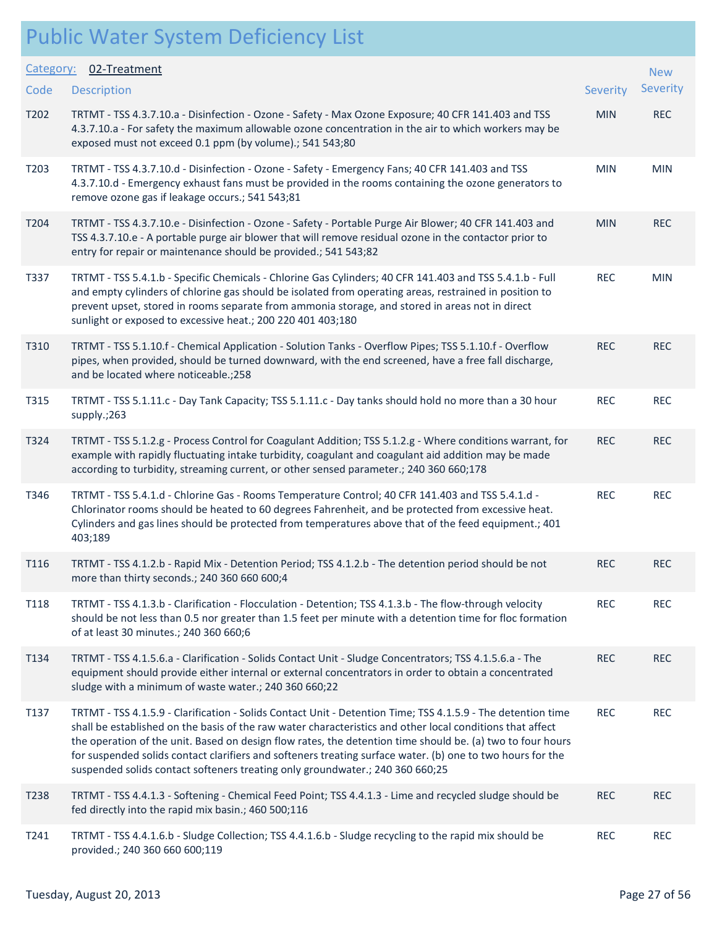| Category: | 02-Treatment                                                                                                                                                                                                                                                                                                                                                                                                                                                                                                                           |                 | <b>New</b> |
|-----------|----------------------------------------------------------------------------------------------------------------------------------------------------------------------------------------------------------------------------------------------------------------------------------------------------------------------------------------------------------------------------------------------------------------------------------------------------------------------------------------------------------------------------------------|-----------------|------------|
| Code      | <b>Description</b>                                                                                                                                                                                                                                                                                                                                                                                                                                                                                                                     | <b>Severity</b> | Severity   |
| T202      | TRTMT - TSS 4.3.7.10.a - Disinfection - Ozone - Safety - Max Ozone Exposure; 40 CFR 141.403 and TSS<br>4.3.7.10.a - For safety the maximum allowable ozone concentration in the air to which workers may be<br>exposed must not exceed 0.1 ppm (by volume).; 541 543;80                                                                                                                                                                                                                                                                | <b>MIN</b>      | <b>REC</b> |
| T203      | TRTMT - TSS 4.3.7.10.d - Disinfection - Ozone - Safety - Emergency Fans; 40 CFR 141.403 and TSS<br>4.3.7.10.d - Emergency exhaust fans must be provided in the rooms containing the ozone generators to<br>remove ozone gas if leakage occurs.; 541 543;81                                                                                                                                                                                                                                                                             | <b>MIN</b>      | <b>MIN</b> |
| T204      | TRTMT - TSS 4.3.7.10.e - Disinfection - Ozone - Safety - Portable Purge Air Blower; 40 CFR 141.403 and<br>TSS 4.3.7.10.e - A portable purge air blower that will remove residual ozone in the contactor prior to<br>entry for repair or maintenance should be provided.; 541 543;82                                                                                                                                                                                                                                                    | <b>MIN</b>      | <b>REC</b> |
| T337      | TRTMT - TSS 5.4.1.b - Specific Chemicals - Chlorine Gas Cylinders; 40 CFR 141.403 and TSS 5.4.1.b - Full<br>and empty cylinders of chlorine gas should be isolated from operating areas, restrained in position to<br>prevent upset, stored in rooms separate from ammonia storage, and stored in areas not in direct<br>sunlight or exposed to excessive heat.; 200 220 401 403;180                                                                                                                                                   | <b>REC</b>      | <b>MIN</b> |
| T310      | TRTMT - TSS 5.1.10.f - Chemical Application - Solution Tanks - Overflow Pipes; TSS 5.1.10.f - Overflow<br>pipes, when provided, should be turned downward, with the end screened, have a free fall discharge,<br>and be located where noticeable.;258                                                                                                                                                                                                                                                                                  | <b>REC</b>      | <b>REC</b> |
| T315      | TRTMT - TSS 5.1.11.c - Day Tank Capacity; TSS 5.1.11.c - Day tanks should hold no more than a 30 hour<br>supply.;263                                                                                                                                                                                                                                                                                                                                                                                                                   | <b>REC</b>      | <b>REC</b> |
| T324      | TRTMT - TSS 5.1.2.g - Process Control for Coagulant Addition; TSS 5.1.2.g - Where conditions warrant, for<br>example with rapidly fluctuating intake turbidity, coagulant and coagulant aid addition may be made<br>according to turbidity, streaming current, or other sensed parameter.; 240 360 660;178                                                                                                                                                                                                                             | <b>REC</b>      | <b>REC</b> |
| T346      | TRTMT - TSS 5.4.1.d - Chlorine Gas - Rooms Temperature Control; 40 CFR 141.403 and TSS 5.4.1.d -<br>Chlorinator rooms should be heated to 60 degrees Fahrenheit, and be protected from excessive heat.<br>Cylinders and gas lines should be protected from temperatures above that of the feed equipment.; 401<br>403;189                                                                                                                                                                                                              | <b>REC</b>      | <b>REC</b> |
| T116      | TRTMT - TSS 4.1.2.b - Rapid Mix - Detention Period; TSS 4.1.2.b - The detention period should be not<br>more than thirty seconds.; 240 360 660 600;4                                                                                                                                                                                                                                                                                                                                                                                   | <b>REC</b>      | <b>REC</b> |
| T118      | TRTMT - TSS 4.1.3.b - Clarification - Flocculation - Detention; TSS 4.1.3.b - The flow-through velocity<br>should be not less than 0.5 nor greater than 1.5 feet per minute with a detention time for floc formation<br>of at least 30 minutes.; 240 360 660;6                                                                                                                                                                                                                                                                         | <b>REC</b>      | <b>REC</b> |
| T134      | TRTMT - TSS 4.1.5.6.a - Clarification - Solids Contact Unit - Sludge Concentrators; TSS 4.1.5.6.a - The<br>equipment should provide either internal or external concentrators in order to obtain a concentrated<br>sludge with a minimum of waste water.; 240 360 660;22                                                                                                                                                                                                                                                               | <b>REC</b>      | <b>REC</b> |
| T137      | TRTMT - TSS 4.1.5.9 - Clarification - Solids Contact Unit - Detention Time; TSS 4.1.5.9 - The detention time<br>shall be established on the basis of the raw water characteristics and other local conditions that affect<br>the operation of the unit. Based on design flow rates, the detention time should be. (a) two to four hours<br>for suspended solids contact clarifiers and softeners treating surface water. (b) one to two hours for the<br>suspended solids contact softeners treating only groundwater.; 240 360 660;25 | <b>REC</b>      | <b>REC</b> |
| T238      | TRTMT - TSS 4.4.1.3 - Softening - Chemical Feed Point; TSS 4.4.1.3 - Lime and recycled sludge should be<br>fed directly into the rapid mix basin.; 460 500;116                                                                                                                                                                                                                                                                                                                                                                         | <b>REC</b>      | <b>REC</b> |
| T241      | TRTMT - TSS 4.4.1.6.b - Sludge Collection; TSS 4.4.1.6.b - Sludge recycling to the rapid mix should be<br>provided.; 240 360 660 600;119                                                                                                                                                                                                                                                                                                                                                                                               | <b>REC</b>      | <b>REC</b> |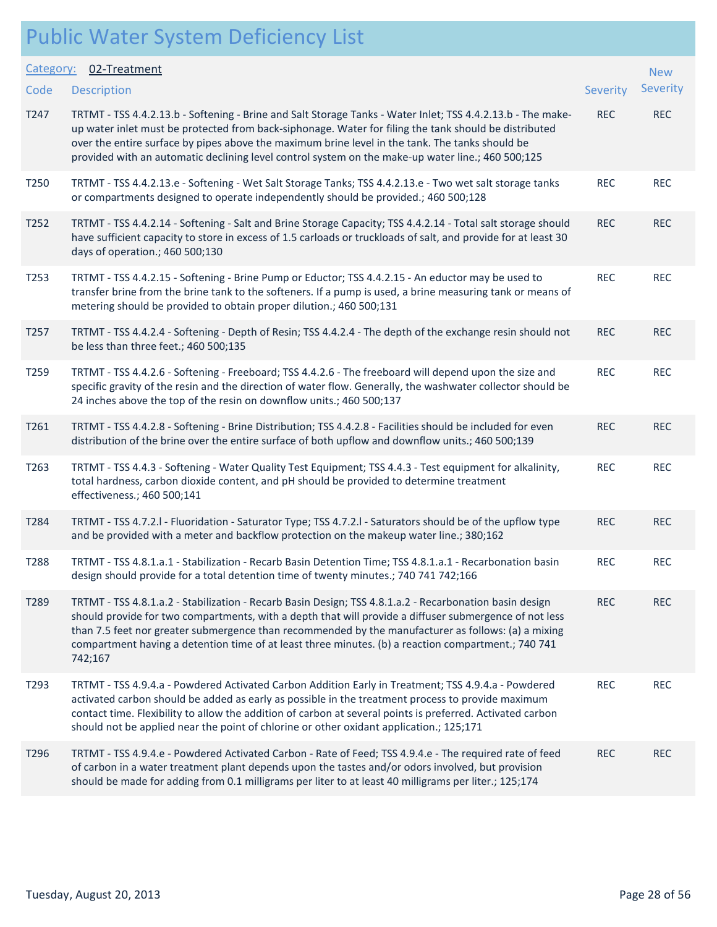| Category: | 02-Treatment                                                                                                                                                                                                                                                                                                                                                                                                                               |            | <b>New</b> |
|-----------|--------------------------------------------------------------------------------------------------------------------------------------------------------------------------------------------------------------------------------------------------------------------------------------------------------------------------------------------------------------------------------------------------------------------------------------------|------------|------------|
| Code      | <b>Description</b>                                                                                                                                                                                                                                                                                                                                                                                                                         | Severity   | Severity   |
| T247      | TRTMT - TSS 4.4.2.13.b - Softening - Brine and Salt Storage Tanks - Water Inlet; TSS 4.4.2.13.b - The make-<br>up water inlet must be protected from back-siphonage. Water for filing the tank should be distributed<br>over the entire surface by pipes above the maximum brine level in the tank. The tanks should be<br>provided with an automatic declining level control system on the make-up water line.; 460 500;125               | <b>REC</b> | <b>REC</b> |
| T250      | TRTMT - TSS 4.4.2.13.e - Softening - Wet Salt Storage Tanks; TSS 4.4.2.13.e - Two wet salt storage tanks<br>or compartments designed to operate independently should be provided.; 460 500;128                                                                                                                                                                                                                                             | <b>REC</b> | <b>REC</b> |
| T252      | TRTMT - TSS 4.4.2.14 - Softening - Salt and Brine Storage Capacity; TSS 4.4.2.14 - Total salt storage should<br>have sufficient capacity to store in excess of 1.5 carloads or truckloads of salt, and provide for at least 30<br>days of operation.; 460 500;130                                                                                                                                                                          | <b>REC</b> | <b>REC</b> |
| T253      | TRTMT - TSS 4.4.2.15 - Softening - Brine Pump or Eductor; TSS 4.4.2.15 - An eductor may be used to<br>transfer brine from the brine tank to the softeners. If a pump is used, a brine measuring tank or means of<br>metering should be provided to obtain proper dilution.; 460 500;131                                                                                                                                                    | <b>REC</b> | <b>REC</b> |
| T257      | TRTMT - TSS 4.4.2.4 - Softening - Depth of Resin; TSS 4.4.2.4 - The depth of the exchange resin should not<br>be less than three feet.; 460 500;135                                                                                                                                                                                                                                                                                        | <b>REC</b> | <b>REC</b> |
| T259      | TRTMT - TSS 4.4.2.6 - Softening - Freeboard; TSS 4.4.2.6 - The freeboard will depend upon the size and<br>specific gravity of the resin and the direction of water flow. Generally, the washwater collector should be<br>24 inches above the top of the resin on downflow units.; 460 500;137                                                                                                                                              | <b>REC</b> | <b>REC</b> |
| T261      | TRTMT - TSS 4.4.2.8 - Softening - Brine Distribution; TSS 4.4.2.8 - Facilities should be included for even<br>distribution of the brine over the entire surface of both upflow and downflow units.; 460 500;139                                                                                                                                                                                                                            | <b>REC</b> | <b>REC</b> |
| T263      | TRTMT - TSS 4.4.3 - Softening - Water Quality Test Equipment; TSS 4.4.3 - Test equipment for alkalinity,<br>total hardness, carbon dioxide content, and pH should be provided to determine treatment<br>effectiveness.; 460 500;141                                                                                                                                                                                                        | <b>REC</b> | <b>REC</b> |
| T284      | TRTMT - TSS 4.7.2.1 - Fluoridation - Saturator Type; TSS 4.7.2.1 - Saturators should be of the upflow type<br>and be provided with a meter and backflow protection on the makeup water line.; 380;162                                                                                                                                                                                                                                      | <b>REC</b> | <b>REC</b> |
| T288      | TRTMT - TSS 4.8.1.a.1 - Stabilization - Recarb Basin Detention Time; TSS 4.8.1.a.1 - Recarbonation basin<br>design should provide for a total detention time of twenty minutes.; 740 741 742;166                                                                                                                                                                                                                                           | <b>REC</b> | <b>REC</b> |
| T289      | TRTMT - TSS 4.8.1.a.2 - Stabilization - Recarb Basin Design; TSS 4.8.1.a.2 - Recarbonation basin design<br>should provide for two compartments, with a depth that will provide a diffuser submergence of not less<br>than 7.5 feet nor greater submergence than recommended by the manufacturer as follows: (a) a mixing<br>compartment having a detention time of at least three minutes. (b) a reaction compartment.; 740 741<br>742;167 | <b>REC</b> | <b>REC</b> |
| T293      | TRTMT - TSS 4.9.4.a - Powdered Activated Carbon Addition Early in Treatment; TSS 4.9.4.a - Powdered<br>activated carbon should be added as early as possible in the treatment process to provide maximum<br>contact time. Flexibility to allow the addition of carbon at several points is preferred. Activated carbon<br>should not be applied near the point of chlorine or other oxidant application.; 125;171                          | <b>REC</b> | <b>REC</b> |
| T296      | TRTMT - TSS 4.9.4.e - Powdered Activated Carbon - Rate of Feed; TSS 4.9.4.e - The required rate of feed<br>of carbon in a water treatment plant depends upon the tastes and/or odors involved, but provision<br>should be made for adding from 0.1 milligrams per liter to at least 40 milligrams per liter.; 125;174                                                                                                                      | <b>REC</b> | <b>REC</b> |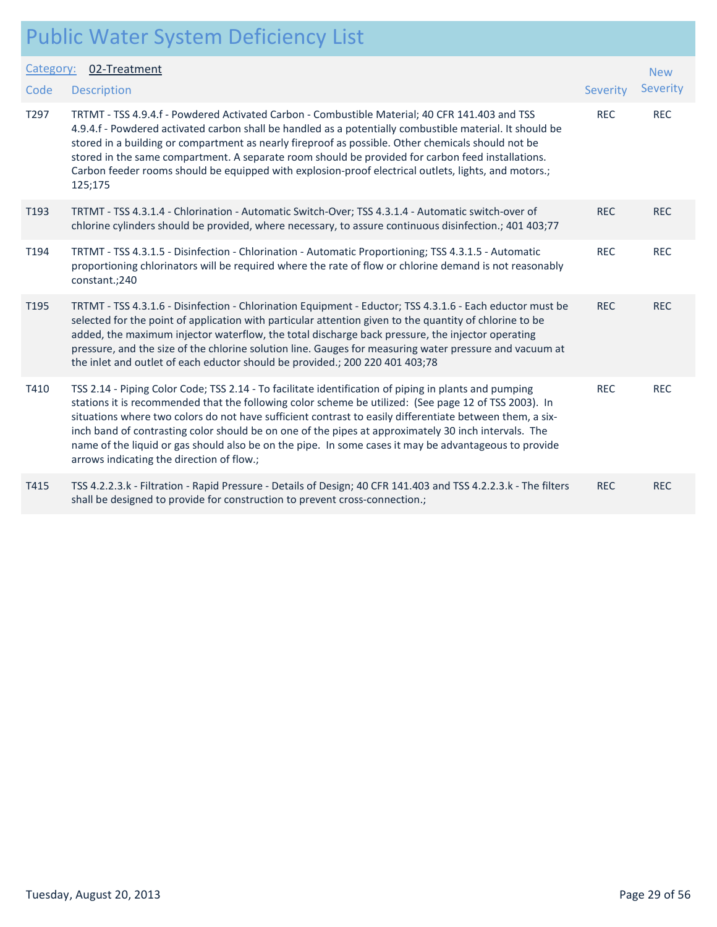| Category: | 02-Treatment                                                                                                                                                                                                                                                                                                                                                                                                                                                                                                                                                                             |            | <b>New</b> |
|-----------|------------------------------------------------------------------------------------------------------------------------------------------------------------------------------------------------------------------------------------------------------------------------------------------------------------------------------------------------------------------------------------------------------------------------------------------------------------------------------------------------------------------------------------------------------------------------------------------|------------|------------|
| Code      | <b>Description</b>                                                                                                                                                                                                                                                                                                                                                                                                                                                                                                                                                                       | Severity   | Severity   |
| T297      | TRTMT - TSS 4.9.4.f - Powdered Activated Carbon - Combustible Material; 40 CFR 141.403 and TSS<br>4.9.4.f - Powdered activated carbon shall be handled as a potentially combustible material. It should be<br>stored in a building or compartment as nearly fireproof as possible. Other chemicals should not be<br>stored in the same compartment. A separate room should be provided for carbon feed installations.<br>Carbon feeder rooms should be equipped with explosion-proof electrical outlets, lights, and motors.;<br>125;175                                                 | <b>REC</b> | <b>REC</b> |
| T193      | TRTMT - TSS 4.3.1.4 - Chlorination - Automatic Switch-Over; TSS 4.3.1.4 - Automatic switch-over of<br>chlorine cylinders should be provided, where necessary, to assure continuous disinfection.; 401 403;77                                                                                                                                                                                                                                                                                                                                                                             | <b>REC</b> | <b>REC</b> |
| T194      | TRTMT - TSS 4.3.1.5 - Disinfection - Chlorination - Automatic Proportioning; TSS 4.3.1.5 - Automatic<br>proportioning chlorinators will be required where the rate of flow or chlorine demand is not reasonably<br>constant.; 240                                                                                                                                                                                                                                                                                                                                                        | <b>REC</b> | <b>REC</b> |
| T195      | TRTMT - TSS 4.3.1.6 - Disinfection - Chlorination Equipment - Eductor; TSS 4.3.1.6 - Each eductor must be<br>selected for the point of application with particular attention given to the quantity of chlorine to be<br>added, the maximum injector waterflow, the total discharge back pressure, the injector operating<br>pressure, and the size of the chlorine solution line. Gauges for measuring water pressure and vacuum at<br>the inlet and outlet of each eductor should be provided.; 200 220 401 403;78                                                                      | <b>REC</b> | <b>REC</b> |
| T410      | TSS 2.14 - Piping Color Code; TSS 2.14 - To facilitate identification of piping in plants and pumping<br>stations it is recommended that the following color scheme be utilized: (See page 12 of TSS 2003). In<br>situations where two colors do not have sufficient contrast to easily differentiate between them, a six-<br>inch band of contrasting color should be on one of the pipes at approximately 30 inch intervals. The<br>name of the liquid or gas should also be on the pipe. In some cases it may be advantageous to provide<br>arrows indicating the direction of flow.; | <b>REC</b> | <b>REC</b> |
| T415      | TSS 4.2.2.3.k - Filtration - Rapid Pressure - Details of Design; 40 CFR 141.403 and TSS 4.2.2.3.k - The filters<br>shall be designed to provide for construction to prevent cross-connection.;                                                                                                                                                                                                                                                                                                                                                                                           | <b>REC</b> | <b>REC</b> |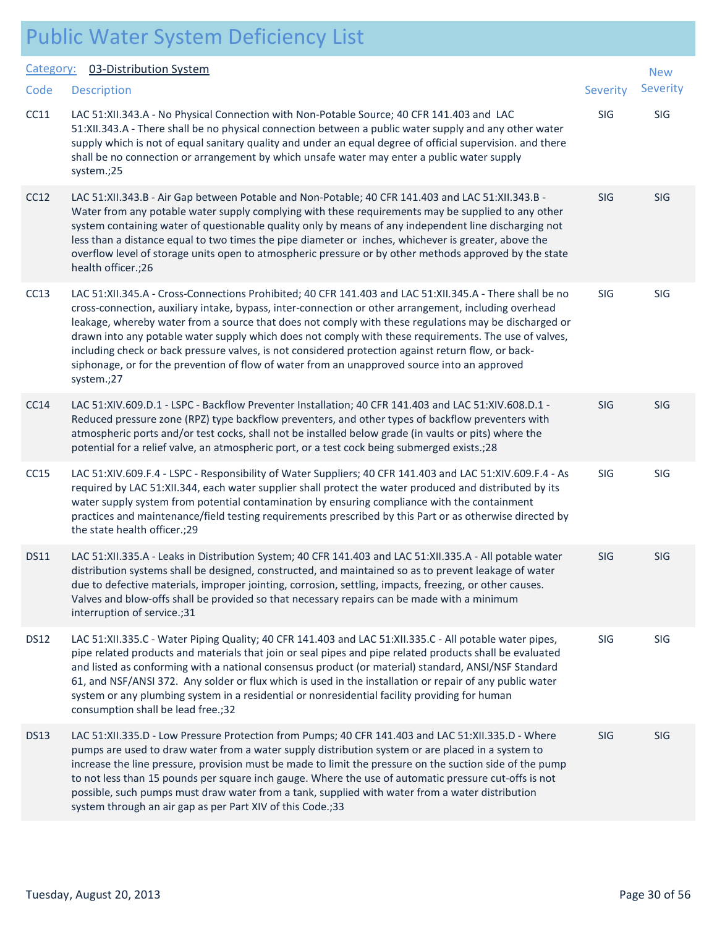| Category:   | 03-Distribution System                                                                                                                                                                                                                                                                                                                                                                                                                                                                                                                                                                                                                                   |            | <b>New</b> |
|-------------|----------------------------------------------------------------------------------------------------------------------------------------------------------------------------------------------------------------------------------------------------------------------------------------------------------------------------------------------------------------------------------------------------------------------------------------------------------------------------------------------------------------------------------------------------------------------------------------------------------------------------------------------------------|------------|------------|
| Code        | <b>Description</b>                                                                                                                                                                                                                                                                                                                                                                                                                                                                                                                                                                                                                                       | Severity   | Severity   |
| CC11        | LAC 51:XII.343.A - No Physical Connection with Non-Potable Source; 40 CFR 141.403 and LAC<br>51:XII.343.A - There shall be no physical connection between a public water supply and any other water<br>supply which is not of equal sanitary quality and under an equal degree of official supervision. and there<br>shall be no connection or arrangement by which unsafe water may enter a public water supply<br>system.;25                                                                                                                                                                                                                           | SIG        | SIG        |
| CC12        | LAC 51:XII.343.B - Air Gap between Potable and Non-Potable; 40 CFR 141.403 and LAC 51:XII.343.B -<br>Water from any potable water supply complying with these requirements may be supplied to any other<br>system containing water of questionable quality only by means of any independent line discharging not<br>less than a distance equal to two times the pipe diameter or inches, whichever is greater, above the<br>overflow level of storage units open to atmospheric pressure or by other methods approved by the state<br>health officer.;26                                                                                                 | SIG        | SIG        |
| CC13        | LAC 51:XII.345.A - Cross-Connections Prohibited; 40 CFR 141.403 and LAC 51:XII.345.A - There shall be no<br>cross-connection, auxiliary intake, bypass, inter-connection or other arrangement, including overhead<br>leakage, whereby water from a source that does not comply with these regulations may be discharged or<br>drawn into any potable water supply which does not comply with these requirements. The use of valves,<br>including check or back pressure valves, is not considered protection against return flow, or back-<br>siphonage, or for the prevention of flow of water from an unapproved source into an approved<br>system.;27 | SIG        | SIG        |
| CC14        | LAC 51:XIV.609.D.1 - LSPC - Backflow Preventer Installation; 40 CFR 141.403 and LAC 51:XIV.608.D.1 -<br>Reduced pressure zone (RPZ) type backflow preventers, and other types of backflow preventers with<br>atmospheric ports and/or test cocks, shall not be installed below grade (in vaults or pits) where the<br>potential for a relief valve, an atmospheric port, or a test cock being submerged exists.;28                                                                                                                                                                                                                                       | <b>SIG</b> | SIG        |
| CC15        | LAC 51:XIV.609.F.4 - LSPC - Responsibility of Water Suppliers; 40 CFR 141.403 and LAC 51:XIV.609.F.4 - As<br>required by LAC 51:XII.344, each water supplier shall protect the water produced and distributed by its<br>water supply system from potential contamination by ensuring compliance with the containment<br>practices and maintenance/field testing requirements prescribed by this Part or as otherwise directed by<br>the state health officer.;29                                                                                                                                                                                         | SIG        | SIG        |
| <b>DS11</b> | LAC 51:XII.335.A - Leaks in Distribution System; 40 CFR 141.403 and LAC 51:XII.335.A - All potable water<br>distribution systems shall be designed, constructed, and maintained so as to prevent leakage of water<br>due to defective materials, improper jointing, corrosion, settling, impacts, freezing, or other causes.<br>Valves and blow-offs shall be provided so that necessary repairs can be made with a minimum<br>interruption of service.;31                                                                                                                                                                                               | SIG        | SIG        |
| <b>DS12</b> | LAC 51:XII.335.C - Water Piping Quality; 40 CFR 141.403 and LAC 51:XII.335.C - All potable water pipes,<br>pipe related products and materials that join or seal pipes and pipe related products shall be evaluated<br>and listed as conforming with a national consensus product (or material) standard, ANSI/NSF Standard<br>61, and NSF/ANSI 372. Any solder or flux which is used in the installation or repair of any public water<br>system or any plumbing system in a residential or nonresidential facility providing for human<br>consumption shall be lead free.;32                                                                           | SIG        | SIG        |
| <b>DS13</b> | LAC 51:XII.335.D - Low Pressure Protection from Pumps; 40 CFR 141.403 and LAC 51:XII.335.D - Where<br>pumps are used to draw water from a water supply distribution system or are placed in a system to<br>increase the line pressure, provision must be made to limit the pressure on the suction side of the pump<br>to not less than 15 pounds per square inch gauge. Where the use of automatic pressure cut-offs is not<br>possible, such pumps must draw water from a tank, supplied with water from a water distribution<br>system through an air gap as per Part XIV of this Code.;33                                                            | SIG        | SIG        |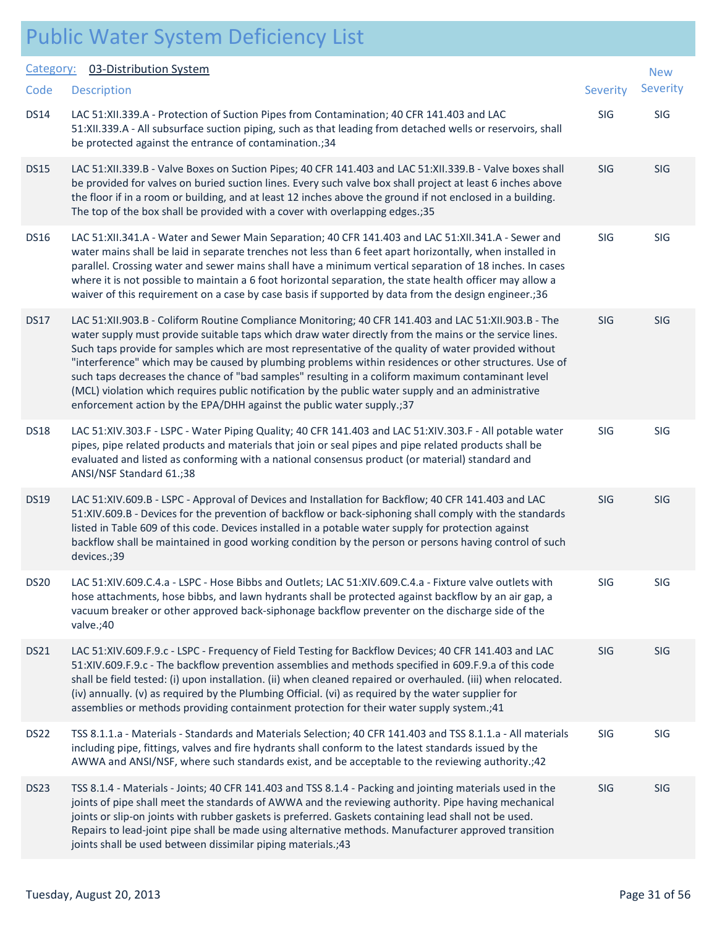| Category:        | 03-Distribution System                                                                                                                                                                                                                                                                                                                                                                                                                                                                                                                                                                                                                                                                                                |            | <b>New</b> |
|------------------|-----------------------------------------------------------------------------------------------------------------------------------------------------------------------------------------------------------------------------------------------------------------------------------------------------------------------------------------------------------------------------------------------------------------------------------------------------------------------------------------------------------------------------------------------------------------------------------------------------------------------------------------------------------------------------------------------------------------------|------------|------------|
| Code             | <b>Description</b>                                                                                                                                                                                                                                                                                                                                                                                                                                                                                                                                                                                                                                                                                                    | Severity   | Severity   |
| <b>DS14</b>      | LAC 51:XII.339.A - Protection of Suction Pipes from Contamination; 40 CFR 141.403 and LAC<br>51:XII.339.A - All subsurface suction piping, such as that leading from detached wells or reservoirs, shall<br>be protected against the entrance of contamination.; 34                                                                                                                                                                                                                                                                                                                                                                                                                                                   | <b>SIG</b> | SIG        |
| <b>DS15</b>      | LAC 51:XII.339.B - Valve Boxes on Suction Pipes; 40 CFR 141.403 and LAC 51:XII.339.B - Valve boxes shall<br>be provided for valves on buried suction lines. Every such valve box shall project at least 6 inches above<br>the floor if in a room or building, and at least 12 inches above the ground if not enclosed in a building.<br>The top of the box shall be provided with a cover with overlapping edges.;35                                                                                                                                                                                                                                                                                                  | SIG        | <b>SIG</b> |
| <b>DS16</b>      | LAC 51:XII.341.A - Water and Sewer Main Separation; 40 CFR 141.403 and LAC 51:XII.341.A - Sewer and<br>water mains shall be laid in separate trenches not less than 6 feet apart horizontally, when installed in<br>parallel. Crossing water and sewer mains shall have a minimum vertical separation of 18 inches. In cases<br>where it is not possible to maintain a 6 foot horizontal separation, the state health officer may allow a<br>waiver of this requirement on a case by case basis if supported by data from the design engineer.;36                                                                                                                                                                     | SIG        | SIG        |
| <b>DS17</b>      | LAC 51:XII.903.B - Coliform Routine Compliance Monitoring; 40 CFR 141.403 and LAC 51:XII.903.B - The<br>water supply must provide suitable taps which draw water directly from the mains or the service lines.<br>Such taps provide for samples which are most representative of the quality of water provided without<br>"interference" which may be caused by plumbing problems within residences or other structures. Use of<br>such taps decreases the chance of "bad samples" resulting in a coliform maximum contaminant level<br>(MCL) violation which requires public notification by the public water supply and an administrative<br>enforcement action by the EPA/DHH against the public water supply.; 37 | SIG        | SIG        |
| <b>DS18</b>      | LAC 51:XIV.303.F - LSPC - Water Piping Quality; 40 CFR 141.403 and LAC 51:XIV.303.F - All potable water<br>pipes, pipe related products and materials that join or seal pipes and pipe related products shall be<br>evaluated and listed as conforming with a national consensus product (or material) standard and<br>ANSI/NSF Standard 61.;38                                                                                                                                                                                                                                                                                                                                                                       | SIG        | SIG        |
| <b>DS19</b>      | LAC 51:XIV.609.B - LSPC - Approval of Devices and Installation for Backflow; 40 CFR 141.403 and LAC<br>51:XIV.609.B - Devices for the prevention of backflow or back-siphoning shall comply with the standards<br>listed in Table 609 of this code. Devices installed in a potable water supply for protection against<br>backflow shall be maintained in good working condition by the person or persons having control of such<br>devices.;39                                                                                                                                                                                                                                                                       | SIG        | <b>SIG</b> |
| <b>DS20</b>      | LAC 51:XIV.609.C.4.a - LSPC - Hose Bibbs and Outlets; LAC 51:XIV.609.C.4.a - Fixture valve outlets with<br>hose attachments, hose bibbs, and lawn hydrants shall be protected against backflow by an air gap, a<br>vacuum breaker or other approved back-siphonage backflow preventer on the discharge side of the<br>valve.;40                                                                                                                                                                                                                                                                                                                                                                                       | SIG        | SIG        |
| <b>DS21</b>      | LAC 51:XIV.609.F.9.c - LSPC - Frequency of Field Testing for Backflow Devices; 40 CFR 141.403 and LAC<br>51:XIV.609.F.9.c - The backflow prevention assemblies and methods specified in 609.F.9.a of this code<br>shall be field tested: (i) upon installation. (ii) when cleaned repaired or overhauled. (iii) when relocated.<br>(iv) annually. (v) as required by the Plumbing Official. (vi) as required by the water supplier for<br>assemblies or methods providing containment protection for their water supply system.;41                                                                                                                                                                                    | SIG        | <b>SIG</b> |
| DS <sub>22</sub> | TSS 8.1.1.a - Materials - Standards and Materials Selection; 40 CFR 141.403 and TSS 8.1.1.a - All materials<br>including pipe, fittings, valves and fire hydrants shall conform to the latest standards issued by the<br>AWWA and ANSI/NSF, where such standards exist, and be acceptable to the reviewing authority.;42                                                                                                                                                                                                                                                                                                                                                                                              | SIG        | SIG        |
| DS23             | TSS 8.1.4 - Materials - Joints; 40 CFR 141.403 and TSS 8.1.4 - Packing and jointing materials used in the<br>joints of pipe shall meet the standards of AWWA and the reviewing authority. Pipe having mechanical<br>joints or slip-on joints with rubber gaskets is preferred. Gaskets containing lead shall not be used.<br>Repairs to lead-joint pipe shall be made using alternative methods. Manufacturer approved transition<br>joints shall be used between dissimilar piping materials.;43                                                                                                                                                                                                                     | SIG        | <b>SIG</b> |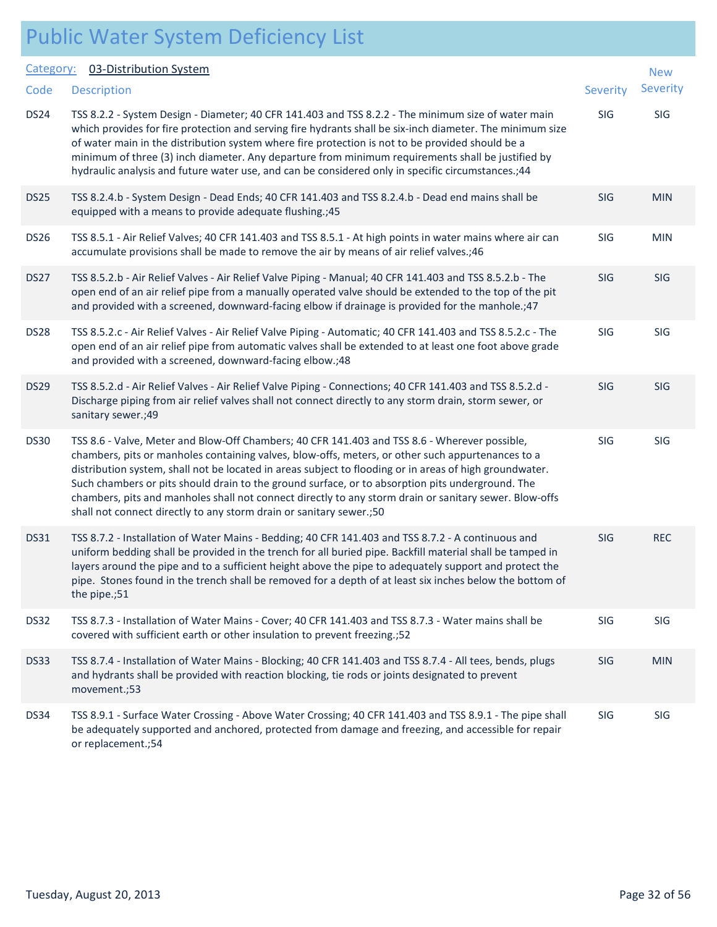| Category:        | 03-Distribution System                                                                                                                                                                                                                                                                                                                                                                                                                                                                                                                                                                             |            | <b>New</b> |
|------------------|----------------------------------------------------------------------------------------------------------------------------------------------------------------------------------------------------------------------------------------------------------------------------------------------------------------------------------------------------------------------------------------------------------------------------------------------------------------------------------------------------------------------------------------------------------------------------------------------------|------------|------------|
| Code             | <b>Description</b>                                                                                                                                                                                                                                                                                                                                                                                                                                                                                                                                                                                 | Severity   | Severity   |
| DS24             | TSS 8.2.2 - System Design - Diameter; 40 CFR 141.403 and TSS 8.2.2 - The minimum size of water main<br>which provides for fire protection and serving fire hydrants shall be six-inch diameter. The minimum size<br>of water main in the distribution system where fire protection is not to be provided should be a<br>minimum of three (3) inch diameter. Any departure from minimum requirements shall be justified by<br>hydraulic analysis and future water use, and can be considered only in specific circumstances.;44                                                                     | SIG        | SIG        |
| DS <sub>25</sub> | TSS 8.2.4.b - System Design - Dead Ends; 40 CFR 141.403 and TSS 8.2.4.b - Dead end mains shall be<br>equipped with a means to provide adequate flushing.; 45                                                                                                                                                                                                                                                                                                                                                                                                                                       | <b>SIG</b> | <b>MIN</b> |
| <b>DS26</b>      | TSS 8.5.1 - Air Relief Valves; 40 CFR 141.403 and TSS 8.5.1 - At high points in water mains where air can<br>accumulate provisions shall be made to remove the air by means of air relief valves.;46                                                                                                                                                                                                                                                                                                                                                                                               | SIG        | <b>MIN</b> |
| DS27             | TSS 8.5.2.b - Air Relief Valves - Air Relief Valve Piping - Manual; 40 CFR 141.403 and TSS 8.5.2.b - The<br>open end of an air relief pipe from a manually operated valve should be extended to the top of the pit<br>and provided with a screened, downward-facing elbow if drainage is provided for the manhole.;47                                                                                                                                                                                                                                                                              | SIG        | SIG        |
| DS28             | TSS 8.5.2.c - Air Relief Valves - Air Relief Valve Piping - Automatic; 40 CFR 141.403 and TSS 8.5.2.c - The<br>open end of an air relief pipe from automatic valves shall be extended to at least one foot above grade<br>and provided with a screened, downward-facing elbow.;48                                                                                                                                                                                                                                                                                                                  | SIG        | SIG        |
| <b>DS29</b>      | TSS 8.5.2.d - Air Relief Valves - Air Relief Valve Piping - Connections; 40 CFR 141.403 and TSS 8.5.2.d -<br>Discharge piping from air relief valves shall not connect directly to any storm drain, storm sewer, or<br>sanitary sewer.;49                                                                                                                                                                                                                                                                                                                                                          | <b>SIG</b> | <b>SIG</b> |
| <b>DS30</b>      | TSS 8.6 - Valve, Meter and Blow-Off Chambers; 40 CFR 141.403 and TSS 8.6 - Wherever possible,<br>chambers, pits or manholes containing valves, blow-offs, meters, or other such appurtenances to a<br>distribution system, shall not be located in areas subject to flooding or in areas of high groundwater.<br>Such chambers or pits should drain to the ground surface, or to absorption pits underground. The<br>chambers, pits and manholes shall not connect directly to any storm drain or sanitary sewer. Blow-offs<br>shall not connect directly to any storm drain or sanitary sewer.;50 | SIG        | SIG        |
| <b>DS31</b>      | TSS 8.7.2 - Installation of Water Mains - Bedding; 40 CFR 141.403 and TSS 8.7.2 - A continuous and<br>uniform bedding shall be provided in the trench for all buried pipe. Backfill material shall be tamped in<br>layers around the pipe and to a sufficient height above the pipe to adequately support and protect the<br>pipe. Stones found in the trench shall be removed for a depth of at least six inches below the bottom of<br>the pipe.;51                                                                                                                                              | <b>SIG</b> | <b>REC</b> |
| DS32             | TSS 8.7.3 - Installation of Water Mains - Cover; 40 CFR 141.403 and TSS 8.7.3 - Water mains shall be<br>covered with sufficient earth or other insulation to prevent freezing.;52                                                                                                                                                                                                                                                                                                                                                                                                                  | SIG        | SIG        |
| DS33             | TSS 8.7.4 - Installation of Water Mains - Blocking; 40 CFR 141.403 and TSS 8.7.4 - All tees, bends, plugs<br>and hydrants shall be provided with reaction blocking, tie rods or joints designated to prevent<br>movement.;53                                                                                                                                                                                                                                                                                                                                                                       | <b>SIG</b> | <b>MIN</b> |
| <b>DS34</b>      | TSS 8.9.1 - Surface Water Crossing - Above Water Crossing; 40 CFR 141.403 and TSS 8.9.1 - The pipe shall<br>be adequately supported and anchored, protected from damage and freezing, and accessible for repair<br>or replacement.;54                                                                                                                                                                                                                                                                                                                                                              | SIG        | SIG        |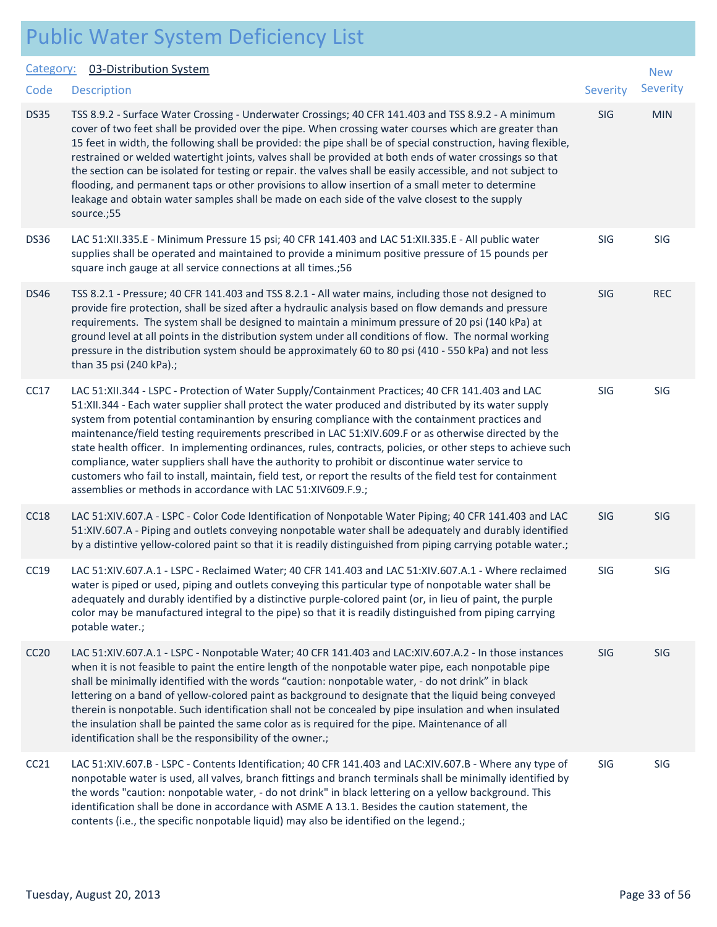| <b>Public Water System Deficiency List</b> |  |  |  |
|--------------------------------------------|--|--|--|
|--------------------------------------------|--|--|--|

#### Category: 03-Distribution System

|             | Category: 03-Distribution System                                                                                                                                                                                                                                                                                                                                                                                                                                                                                                                                                                                                                                                                                                                                                                                         |                 | <b>New</b> |
|-------------|--------------------------------------------------------------------------------------------------------------------------------------------------------------------------------------------------------------------------------------------------------------------------------------------------------------------------------------------------------------------------------------------------------------------------------------------------------------------------------------------------------------------------------------------------------------------------------------------------------------------------------------------------------------------------------------------------------------------------------------------------------------------------------------------------------------------------|-----------------|------------|
| Code        | <b>Description</b>                                                                                                                                                                                                                                                                                                                                                                                                                                                                                                                                                                                                                                                                                                                                                                                                       | <b>Severity</b> | Severity   |
| <b>DS35</b> | TSS 8.9.2 - Surface Water Crossing - Underwater Crossings; 40 CFR 141.403 and TSS 8.9.2 - A minimum<br>cover of two feet shall be provided over the pipe. When crossing water courses which are greater than<br>15 feet in width, the following shall be provided: the pipe shall be of special construction, having flexible,<br>restrained or welded watertight joints, valves shall be provided at both ends of water crossings so that<br>the section can be isolated for testing or repair. the valves shall be easily accessible, and not subject to<br>flooding, and permanent taps or other provisions to allow insertion of a small meter to determine<br>leakage and obtain water samples shall be made on each side of the valve closest to the supply<br>source.;55                                          | SIG             | <b>MIN</b> |
| <b>DS36</b> | LAC 51:XII.335.E - Minimum Pressure 15 psi; 40 CFR 141.403 and LAC 51:XII.335.E - All public water<br>supplies shall be operated and maintained to provide a minimum positive pressure of 15 pounds per<br>square inch gauge at all service connections at all times.;56                                                                                                                                                                                                                                                                                                                                                                                                                                                                                                                                                 | SIG             | SIG        |
| <b>DS46</b> | TSS 8.2.1 - Pressure; 40 CFR 141.403 and TSS 8.2.1 - All water mains, including those not designed to<br>provide fire protection, shall be sized after a hydraulic analysis based on flow demands and pressure<br>requirements. The system shall be designed to maintain a minimum pressure of 20 psi (140 kPa) at<br>ground level at all points in the distribution system under all conditions of flow. The normal working<br>pressure in the distribution system should be approximately 60 to 80 psi (410 - 550 kPa) and not less<br>than 35 psi (240 kPa).;                                                                                                                                                                                                                                                         | <b>SIG</b>      | <b>REC</b> |
| CC17        | LAC 51:XII.344 - LSPC - Protection of Water Supply/Containment Practices; 40 CFR 141.403 and LAC<br>51:XII.344 - Each water supplier shall protect the water produced and distributed by its water supply<br>system from potential contaminantion by ensuring compliance with the containment practices and<br>maintenance/field testing requirements prescribed in LAC 51:XIV.609.F or as otherwise directed by the<br>state health officer. In implementing ordinances, rules, contracts, policies, or other steps to achieve such<br>compliance, water suppliers shall have the authority to prohibit or discontinue water service to<br>customers who fail to install, maintain, field test, or report the results of the field test for containment<br>assemblies or methods in accordance with LAC 51:XIV609.F.9.; | SIG             | SIG        |
| CC18        | LAC 51:XIV.607.A - LSPC - Color Code Identification of Nonpotable Water Piping; 40 CFR 141.403 and LAC<br>51:XIV.607.A - Piping and outlets conveying nonpotable water shall be adequately and durably identified<br>by a distintive yellow-colored paint so that it is readily distinguished from piping carrying potable water.;                                                                                                                                                                                                                                                                                                                                                                                                                                                                                       | SIG             | SIG        |
| CC19        | LAC 51:XIV.607.A.1 - LSPC - Reclaimed Water; 40 CFR 141.403 and LAC 51:XIV.607.A.1 - Where reclaimed<br>water is piped or used, piping and outlets conveying this particular type of nonpotable water shall be<br>adequately and durably identified by a distinctive purple-colored paint (or, in lieu of paint, the purple<br>color may be manufactured integral to the pipe) so that it is readily distinguished from piping carrying<br>potable water.;                                                                                                                                                                                                                                                                                                                                                               | SIG             | SIG        |
| CC20        | LAC 51:XIV.607.A.1 - LSPC - Nonpotable Water; 40 CFR 141.403 and LAC:XIV.607.A.2 - In those instances<br>when it is not feasible to paint the entire length of the nonpotable water pipe, each nonpotable pipe<br>shall be minimally identified with the words "caution: nonpotable water, - do not drink" in black<br>lettering on a band of yellow-colored paint as background to designate that the liquid being conveyed<br>therein is nonpotable. Such identification shall not be concealed by pipe insulation and when insulated<br>the insulation shall be painted the same color as is required for the pipe. Maintenance of all<br>identification shall be the responsibility of the owner.;                                                                                                                   | SIG             | <b>SIG</b> |
| CC21        | LAC 51:XIV.607.B - LSPC - Contents Identification; 40 CFR 141.403 and LAC:XIV.607.B - Where any type of<br>nonpotable water is used, all valves, branch fittings and branch terminals shall be minimally identified by<br>the words "caution: nonpotable water, - do not drink" in black lettering on a yellow background. This<br>identification shall be done in accordance with ASME A 13.1. Besides the caution statement, the<br>contents (i.e., the specific nonpotable liquid) may also be identified on the legend.;                                                                                                                                                                                                                                                                                             | SIG             | SIG        |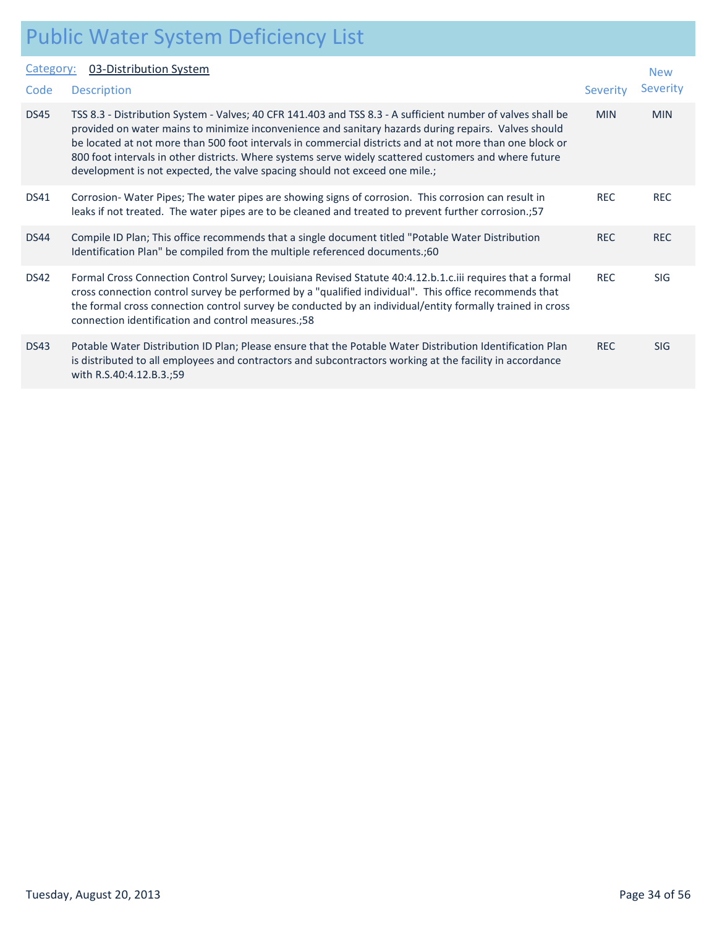| Category:   | 03-Distribution System                                                                                                                                                                                                                                                                                                                                                                                                                                                                                                   |                 | <b>New</b>      |
|-------------|--------------------------------------------------------------------------------------------------------------------------------------------------------------------------------------------------------------------------------------------------------------------------------------------------------------------------------------------------------------------------------------------------------------------------------------------------------------------------------------------------------------------------|-----------------|-----------------|
| Code        | <b>Description</b>                                                                                                                                                                                                                                                                                                                                                                                                                                                                                                       | <b>Severity</b> | <b>Severity</b> |
| <b>DS45</b> | TSS 8.3 - Distribution System - Valves; 40 CFR 141.403 and TSS 8.3 - A sufficient number of valves shall be<br>provided on water mains to minimize inconvenience and sanitary hazards during repairs. Valves should<br>be located at not more than 500 foot intervals in commercial districts and at not more than one block or<br>800 foot intervals in other districts. Where systems serve widely scattered customers and where future<br>development is not expected, the valve spacing should not exceed one mile.; | <b>MIN</b>      | <b>MIN</b>      |
| <b>DS41</b> | Corrosion-Water Pipes; The water pipes are showing signs of corrosion. This corrosion can result in<br>leaks if not treated. The water pipes are to be cleaned and treated to prevent further corrosion.;57                                                                                                                                                                                                                                                                                                              | <b>REC</b>      | <b>REC</b>      |
| <b>DS44</b> | Compile ID Plan; This office recommends that a single document titled "Potable Water Distribution<br>Identification Plan" be compiled from the multiple referenced documents.;60                                                                                                                                                                                                                                                                                                                                         | <b>REC</b>      | <b>REC</b>      |
| <b>DS42</b> | Formal Cross Connection Control Survey; Louisiana Revised Statute 40:4.12.b.1.c.iii requires that a formal<br>cross connection control survey be performed by a "qualified individual". This office recommends that<br>the formal cross connection control survey be conducted by an individual/entity formally trained in cross<br>connection identification and control measures.;58                                                                                                                                   | <b>REC</b>      | <b>SIG</b>      |
| <b>DS43</b> | Potable Water Distribution ID Plan; Please ensure that the Potable Water Distribution Identification Plan<br>is distributed to all employees and contractors and subcontractors working at the facility in accordance<br>with R.S.40:4.12.B.3.;59                                                                                                                                                                                                                                                                        | <b>REC</b>      | <b>SIG</b>      |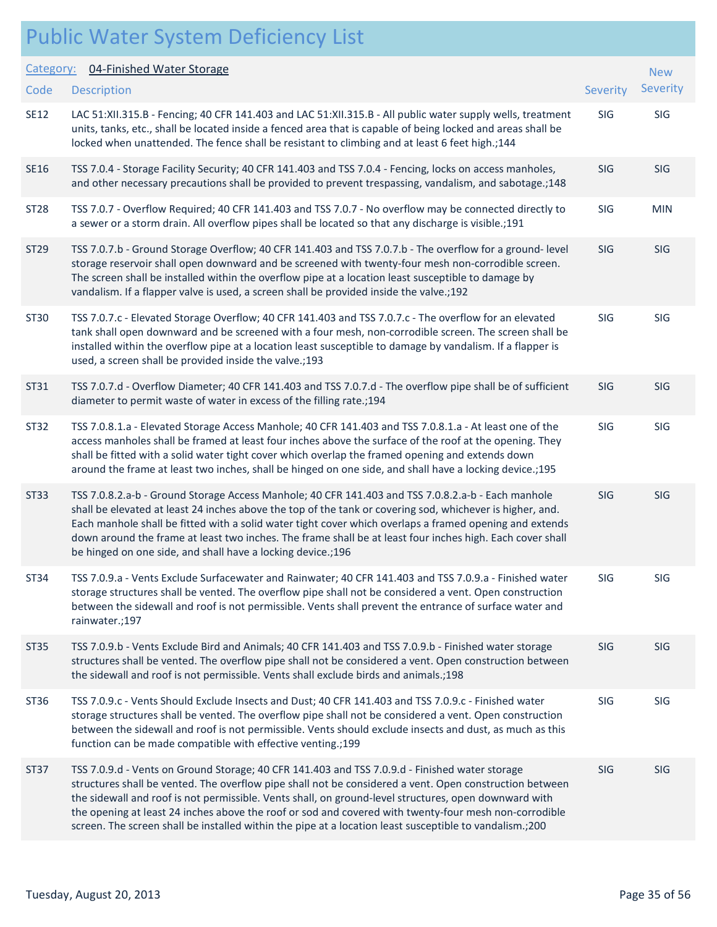| Category:   | 04-Finished Water Storage                                                                                                                                                                                                                                                                                                                                                                                                                                                                                                              |            | <b>New</b> |  |
|-------------|----------------------------------------------------------------------------------------------------------------------------------------------------------------------------------------------------------------------------------------------------------------------------------------------------------------------------------------------------------------------------------------------------------------------------------------------------------------------------------------------------------------------------------------|------------|------------|--|
| Code        | <b>Description</b>                                                                                                                                                                                                                                                                                                                                                                                                                                                                                                                     | Severity   | Severity   |  |
| <b>SE12</b> | LAC 51:XII.315.B - Fencing; 40 CFR 141.403 and LAC 51:XII.315.B - All public water supply wells, treatment<br>units, tanks, etc., shall be located inside a fenced area that is capable of being locked and areas shall be<br>locked when unattended. The fence shall be resistant to climbing and at least 6 feet high.;144                                                                                                                                                                                                           | SIG        | SIG        |  |
| SE16        | TSS 7.0.4 - Storage Facility Security; 40 CFR 141.403 and TSS 7.0.4 - Fencing, locks on access manholes,<br>and other necessary precautions shall be provided to prevent trespassing, vandalism, and sabotage.; 148                                                                                                                                                                                                                                                                                                                    | SIG        | <b>SIG</b> |  |
| ST28        | TSS 7.0.7 - Overflow Required; 40 CFR 141.403 and TSS 7.0.7 - No overflow may be connected directly to<br>a sewer or a storm drain. All overflow pipes shall be located so that any discharge is visible.;191                                                                                                                                                                                                                                                                                                                          | <b>SIG</b> | <b>MIN</b> |  |
| ST29        | TSS 7.0.7.b - Ground Storage Overflow; 40 CFR 141.403 and TSS 7.0.7.b - The overflow for a ground- level<br>storage reservoir shall open downward and be screened with twenty-four mesh non-corrodible screen.<br>The screen shall be installed within the overflow pipe at a location least susceptible to damage by<br>vandalism. If a flapper valve is used, a screen shall be provided inside the valve.;192                                                                                                                       | SIG        | SIG        |  |
| ST30        | TSS 7.0.7.c - Elevated Storage Overflow; 40 CFR 141.403 and TSS 7.0.7.c - The overflow for an elevated<br>tank shall open downward and be screened with a four mesh, non-corrodible screen. The screen shall be<br>installed within the overflow pipe at a location least susceptible to damage by vandalism. If a flapper is<br>used, a screen shall be provided inside the valve.;193                                                                                                                                                | <b>SIG</b> | SIG        |  |
| ST31        | TSS 7.0.7.d - Overflow Diameter; 40 CFR 141.403 and TSS 7.0.7.d - The overflow pipe shall be of sufficient<br>diameter to permit waste of water in excess of the filling rate.; 194                                                                                                                                                                                                                                                                                                                                                    | SIG        | <b>SIG</b> |  |
| ST32        | TSS 7.0.8.1.a - Elevated Storage Access Manhole; 40 CFR 141.403 and TSS 7.0.8.1.a - At least one of the<br>access manholes shall be framed at least four inches above the surface of the roof at the opening. They<br>shall be fitted with a solid water tight cover which overlap the framed opening and extends down<br>around the frame at least two inches, shall be hinged on one side, and shall have a locking device.;195                                                                                                      | SIG        | SIG        |  |
| ST33        | TSS 7.0.8.2.a-b - Ground Storage Access Manhole; 40 CFR 141.403 and TSS 7.0.8.2.a-b - Each manhole<br>shall be elevated at least 24 inches above the top of the tank or covering sod, whichever is higher, and.<br>Each manhole shall be fitted with a solid water tight cover which overlaps a framed opening and extends<br>down around the frame at least two inches. The frame shall be at least four inches high. Each cover shall<br>be hinged on one side, and shall have a locking device.; 196                                | SIG        | SIG        |  |
| ST34        | TSS 7.0.9.a - Vents Exclude Surfacewater and Rainwater; 40 CFR 141.403 and TSS 7.0.9.a - Finished water<br>storage structures shall be vented. The overflow pipe shall not be considered a vent. Open construction<br>between the sidewall and roof is not permissible. Vents shall prevent the entrance of surface water and<br>rainwater.;197                                                                                                                                                                                        | SIG        | SIG        |  |
| ST35        | TSS 7.0.9.b - Vents Exclude Bird and Animals; 40 CFR 141.403 and TSS 7.0.9.b - Finished water storage<br>structures shall be vented. The overflow pipe shall not be considered a vent. Open construction between<br>the sidewall and roof is not permissible. Vents shall exclude birds and animals.;198                                                                                                                                                                                                                               | SIG        | <b>SIG</b> |  |
| ST36        | TSS 7.0.9.c - Vents Should Exclude Insects and Dust; 40 CFR 141.403 and TSS 7.0.9.c - Finished water<br>storage structures shall be vented. The overflow pipe shall not be considered a vent. Open construction<br>between the sidewall and roof is not permissible. Vents should exclude insects and dust, as much as this<br>function can be made compatible with effective venting.;199                                                                                                                                             | SIG        | SIG        |  |
| ST37        | TSS 7.0.9.d - Vents on Ground Storage; 40 CFR 141.403 and TSS 7.0.9.d - Finished water storage<br>structures shall be vented. The overflow pipe shall not be considered a vent. Open construction between<br>the sidewall and roof is not permissible. Vents shall, on ground-level structures, open downward with<br>the opening at least 24 inches above the roof or sod and covered with twenty-four mesh non-corrodible<br>screen. The screen shall be installed within the pipe at a location least susceptible to vandalism.;200 | SIG        | <b>SIG</b> |  |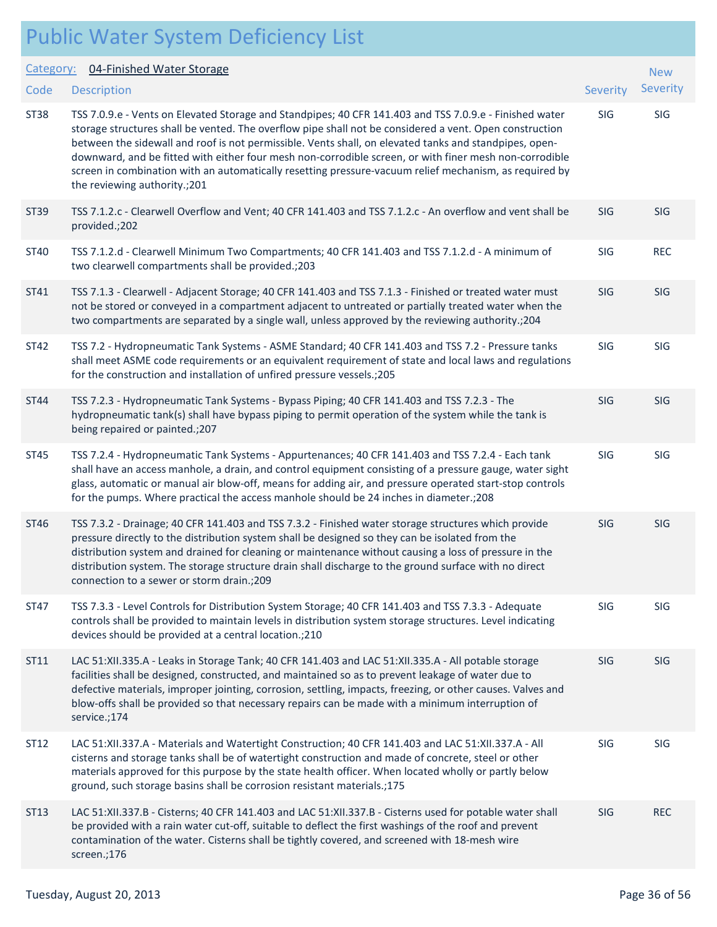#### Public Water System Deficiency List Description Severity of the contract of the contract of the contract of the contract of the contract of the contract of the contract of the contract of the contract of the contract of the contract of the contract of the co Category: 04-Finished Water Storage **Code** New Severity ST38 TSS 7.0.9.e - Vents on Elevated Storage and Standpipes; 40 CFR 141.403 and TSS 7.0.9.e - Finished water SIG SIG storage structures shall be vented. The overflow pipe shall not be considered a vent. Open construction between the sidewall and roof is not permissible. Vents shall, on elevated tanks and standpipes, opendownward, and be fitted with either four mesh non-corrodible screen, or with finer mesh non-corrodible screen in combination with an automatically resetting pressure-vacuum relief mechanism, as required by the reviewing authority.;201 ST39 TSS 7.1.2.c - Clearwell Overflow and Vent; 40 CFR 141.403 and TSS 7.1.2.c - An overflow and vent shall be SIG SIG provided.;202 ST40 TSS 7.1.2.d - Clearwell Minimum Two Compartments; 40 CFR 141.403 and TSS 7.1.2.d - A minimum of SIG REC two clearwell compartments shall be provided.;203 ST41 TSS 7.1.3 - Clearwell - Adjacent Storage; 40 CFR 141.403 and TSS 7.1.3 - Finished or treated water must SIG SIG not be stored or conveyed in a compartment adjacent to untreated or partially treated water when the two compartments are separated by a single wall, unless approved by the reviewing authority.;204 ST42 TSS 7.2 - Hydropneumatic Tank Systems - ASME Standard; 40 CFR 141.403 and TSS 7.2 - Pressure tanks SIG SIG shall meet ASME code requirements or an equivalent requirement of state and local laws and regulations for the construction and installation of unfired pressure vessels.;205 ST44 TSS 7.2.3 - Hydropneumatic Tank Systems - Bypass Piping; 40 CFR 141.403 and TSS 7.2.3 - The SIG SIG SIG hydropneumatic tank(s) shall have bypass piping to permit operation of the system while the tank is being repaired or painted.;207 ST45 TSS 7.2.4 - Hydropneumatic Tank Systems - Appurtenances; 40 CFR 141.403 and TSS 7.2.4 - Each tank SIG SIG shall have an access manhole, a drain, and control equipment consisting of a pressure gauge, water sight glass, automatic or manual air blow-off, means for adding air, and pressure operated start-stop controls for the pumps. Where practical the access manhole should be 24 inches in diameter.;208 ST46 TSS 7.3.2 - Drainage; 40 CFR 141.403 and TSS 7.3.2 - Finished water storage structures which provide SIG SIG pressure directly to the distribution system shall be designed so they can be isolated from the distribution system and drained for cleaning or maintenance without causing a loss of pressure in the distribution system. The storage structure drain shall discharge to the ground surface with no direct connection to a sewer or storm drain.;209 ST47 TSS 7.3.3 - Level Controls for Distribution System Storage; 40 CFR 141.403 and TSS 7.3.3 - Adequate SIG SIG controls shall be provided to maintain levels in distribution system storage structures. Level indicating devices should be provided at a central location.;210

ST11 LAC 51:XII.335.A - Leaks in Storage Tank; 40 CFR 141.403 and LAC 51:XII.335.A - All potable storage SIG SIG facilities shall be designed, constructed, and maintained so as to prevent leakage of water due to defective materials, improper jointing, corrosion, settling, impacts, freezing, or other causes. Valves and blow-offs shall be provided so that necessary repairs can be made with a minimum interruption of service.;174

- ST12 LAC 51:XII.337.A Materials and Watertight Construction; 40 CFR 141.403 and LAC 51:XII.337.A All SIG SIG cisterns and storage tanks shall be of watertight construction and made of concrete, steel or other materials approved for this purpose by the state health officer. When located wholly or partly below ground, such storage basins shall be corrosion resistant materials.;175
- ST13 LAC 51:XII.337.B Cisterns; 40 CFR 141.403 and LAC 51:XII.337.B Cisterns used for potable water shall SIG REC be provided with a rain water cut-off, suitable to deflect the first washings of the roof and prevent contamination of the water. Cisterns shall be tightly covered, and screened with 18-mesh wire screen.;176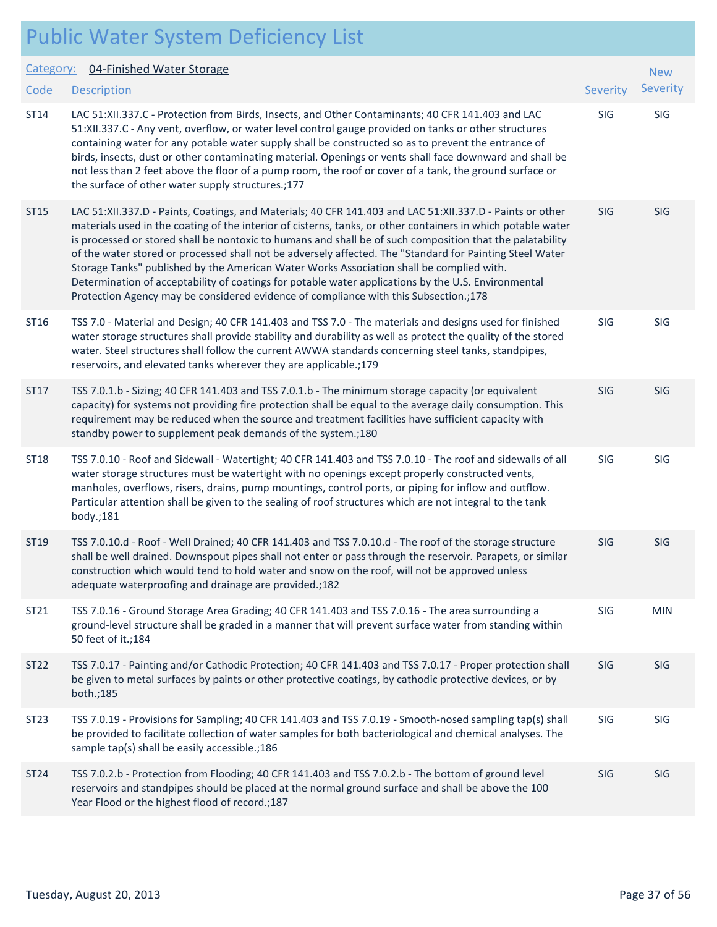|                   | <b>Public Water System Deficiency List</b>                                                                                                                                                                                                                                                                                                                                                                                                                                                                                                                                                                                                                                                                                                    |            |                        |
|-------------------|-----------------------------------------------------------------------------------------------------------------------------------------------------------------------------------------------------------------------------------------------------------------------------------------------------------------------------------------------------------------------------------------------------------------------------------------------------------------------------------------------------------------------------------------------------------------------------------------------------------------------------------------------------------------------------------------------------------------------------------------------|------------|------------------------|
| Category:<br>Code | 04-Finished Water Storage<br><b>Description</b>                                                                                                                                                                                                                                                                                                                                                                                                                                                                                                                                                                                                                                                                                               | Severity   | <b>New</b><br>Severity |
| ST14              | LAC 51:XII.337.C - Protection from Birds, Insects, and Other Contaminants; 40 CFR 141.403 and LAC<br>51:XII.337.C - Any vent, overflow, or water level control gauge provided on tanks or other structures<br>containing water for any potable water supply shall be constructed so as to prevent the entrance of<br>birds, insects, dust or other contaminating material. Openings or vents shall face downward and shall be<br>not less than 2 feet above the floor of a pump room, the roof or cover of a tank, the ground surface or<br>the surface of other water supply structures.;177                                                                                                                                                 | SIG        | SIG                    |
| ST15              | LAC 51:XII.337.D - Paints, Coatings, and Materials; 40 CFR 141.403 and LAC 51:XII.337.D - Paints or other<br>materials used in the coating of the interior of cisterns, tanks, or other containers in which potable water<br>is processed or stored shall be nontoxic to humans and shall be of such composition that the palatability<br>of the water stored or processed shall not be adversely affected. The "Standard for Painting Steel Water<br>Storage Tanks" published by the American Water Works Association shall be complied with.<br>Determination of acceptability of coatings for potable water applications by the U.S. Environmental<br>Protection Agency may be considered evidence of compliance with this Subsection.;178 | <b>SIG</b> | <b>SIG</b>             |
| ST16              | TSS 7.0 - Material and Design; 40 CFR 141.403 and TSS 7.0 - The materials and designs used for finished<br>water storage structures shall provide stability and durability as well as protect the quality of the stored<br>water. Steel structures shall follow the current AWWA standards concerning steel tanks, standpipes,<br>reservoirs, and elevated tanks wherever they are applicable.;179                                                                                                                                                                                                                                                                                                                                            | SIG        | SIG                    |
| ST17              | TSS 7.0.1.b - Sizing; 40 CFR 141.403 and TSS 7.0.1.b - The minimum storage capacity (or equivalent<br>capacity) for systems not providing fire protection shall be equal to the average daily consumption. This<br>requirement may be reduced when the source and treatment facilities have sufficient capacity with<br>standby power to supplement peak demands of the system.;180                                                                                                                                                                                                                                                                                                                                                           | SIG        | <b>SIG</b>             |
| <b>ST18</b>       | TSS 7.0.10 - Roof and Sidewall - Watertight; 40 CFR 141.403 and TSS 7.0.10 - The roof and sidewalls of all<br>water storage structures must be watertight with no openings except properly constructed vents,<br>manholes, overflows, risers, drains, pump mountings, control ports, or piping for inflow and outflow.<br>Particular attention shall be given to the sealing of roof structures which are not integral to the tank<br>body.;181                                                                                                                                                                                                                                                                                               | SIG        | SIG                    |
| ST19              | TSS 7.0.10.d - Roof - Well Drained; 40 CFR 141.403 and TSS 7.0.10.d - The roof of the storage structure<br>shall be well drained. Downspout pipes shall not enter or pass through the reservoir. Parapets, or similar<br>construction which would tend to hold water and snow on the roof, will not be approved unless<br>adequate waterproofing and drainage are provided.;182                                                                                                                                                                                                                                                                                                                                                               | <b>SIG</b> | <b>SIG</b>             |
| ST21              | TSS 7.0.16 - Ground Storage Area Grading; 40 CFR 141.403 and TSS 7.0.16 - The area surrounding a<br>ground-level structure shall be graded in a manner that will prevent surface water from standing within<br>50 feet of it.; 184                                                                                                                                                                                                                                                                                                                                                                                                                                                                                                            | SIG        | <b>MIN</b>             |
| ST22              | TSS 7.0.17 - Painting and/or Cathodic Protection; 40 CFR 141.403 and TSS 7.0.17 - Proper protection shall<br>be given to metal surfaces by paints or other protective coatings, by cathodic protective devices, or by<br>both.;185                                                                                                                                                                                                                                                                                                                                                                                                                                                                                                            | <b>SIG</b> | <b>SIG</b>             |
| ST23              | TSS 7.0.19 - Provisions for Sampling; 40 CFR 141.403 and TSS 7.0.19 - Smooth-nosed sampling tap(s) shall<br>be provided to facilitate collection of water samples for both bacteriological and chemical analyses. The<br>sample tap(s) shall be easily accessible.;186                                                                                                                                                                                                                                                                                                                                                                                                                                                                        | SIG        | <b>SIG</b>             |
| ST24              | TSS 7.0.2.b - Protection from Flooding; 40 CFR 141.403 and TSS 7.0.2.b - The bottom of ground level<br>reservoirs and standpipes should be placed at the normal ground surface and shall be above the 100<br>Year Flood or the highest flood of record.; 187                                                                                                                                                                                                                                                                                                                                                                                                                                                                                  | SIG        | <b>SIG</b>             |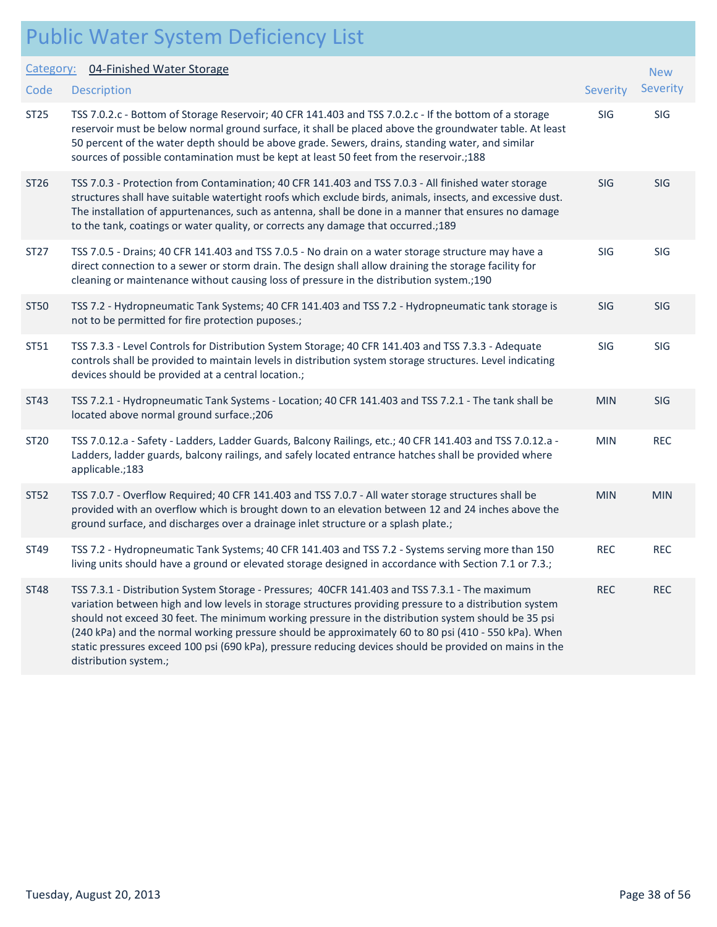|                   | <b>Public Water System Deficiency List</b>                                                                                                                                                                                                                                                                                                                                                                                                                                                                                                                   |            |                               |
|-------------------|--------------------------------------------------------------------------------------------------------------------------------------------------------------------------------------------------------------------------------------------------------------------------------------------------------------------------------------------------------------------------------------------------------------------------------------------------------------------------------------------------------------------------------------------------------------|------------|-------------------------------|
| Category:<br>Code | 04-Finished Water Storage<br><b>Description</b>                                                                                                                                                                                                                                                                                                                                                                                                                                                                                                              | Severity   | <b>New</b><br><b>Severity</b> |
| <b>ST25</b>       | TSS 7.0.2.c - Bottom of Storage Reservoir; 40 CFR 141.403 and TSS 7.0.2.c - If the bottom of a storage<br>reservoir must be below normal ground surface, it shall be placed above the groundwater table. At least<br>50 percent of the water depth should be above grade. Sewers, drains, standing water, and similar<br>sources of possible contamination must be kept at least 50 feet from the reservoir.;188                                                                                                                                             | SIG        | SIG                           |
| ST <sub>26</sub>  | TSS 7.0.3 - Protection from Contamination; 40 CFR 141.403 and TSS 7.0.3 - All finished water storage<br>structures shall have suitable watertight roofs which exclude birds, animals, insects, and excessive dust.<br>The installation of appurtenances, such as antenna, shall be done in a manner that ensures no damage<br>to the tank, coatings or water quality, or corrects any damage that occurred.;189                                                                                                                                              | SIG        | SIG                           |
| ST27              | TSS 7.0.5 - Drains; 40 CFR 141.403 and TSS 7.0.5 - No drain on a water storage structure may have a<br>direct connection to a sewer or storm drain. The design shall allow draining the storage facility for<br>cleaning or maintenance without causing loss of pressure in the distribution system.;190                                                                                                                                                                                                                                                     | SIG        | SIG                           |
| <b>ST50</b>       | TSS 7.2 - Hydropneumatic Tank Systems; 40 CFR 141.403 and TSS 7.2 - Hydropneumatic tank storage is<br>not to be permitted for fire protection puposes.;                                                                                                                                                                                                                                                                                                                                                                                                      | <b>SIG</b> | <b>SIG</b>                    |
| ST51              | TSS 7.3.3 - Level Controls for Distribution System Storage; 40 CFR 141.403 and TSS 7.3.3 - Adequate<br>controls shall be provided to maintain levels in distribution system storage structures. Level indicating<br>devices should be provided at a central location.;                                                                                                                                                                                                                                                                                       | SIG        | SIG                           |
| ST43              | TSS 7.2.1 - Hydropneumatic Tank Systems - Location; 40 CFR 141.403 and TSS 7.2.1 - The tank shall be<br>located above normal ground surface.; 206                                                                                                                                                                                                                                                                                                                                                                                                            | <b>MIN</b> | SIG                           |
| ST20              | TSS 7.0.12.a - Safety - Ladders, Ladder Guards, Balcony Railings, etc.; 40 CFR 141.403 and TSS 7.0.12.a -<br>Ladders, ladder guards, balcony railings, and safely located entrance hatches shall be provided where<br>applicable.;183                                                                                                                                                                                                                                                                                                                        | <b>MIN</b> | <b>REC</b>                    |
| <b>ST52</b>       | TSS 7.0.7 - Overflow Required; 40 CFR 141.403 and TSS 7.0.7 - All water storage structures shall be<br>provided with an overflow which is brought down to an elevation between 12 and 24 inches above the<br>ground surface, and discharges over a drainage inlet structure or a splash plate.;                                                                                                                                                                                                                                                              | <b>MIN</b> | <b>MIN</b>                    |
| ST49              | TSS 7.2 - Hydropneumatic Tank Systems; 40 CFR 141.403 and TSS 7.2 - Systems serving more than 150<br>living units should have a ground or elevated storage designed in accordance with Section 7.1 or 7.3.;                                                                                                                                                                                                                                                                                                                                                  | <b>REC</b> | <b>REC</b>                    |
| <b>ST48</b>       | TSS 7.3.1 - Distribution System Storage - Pressures; 40CFR 141.403 and TSS 7.3.1 - The maximum<br>variation between high and low levels in storage structures providing pressure to a distribution system<br>should not exceed 30 feet. The minimum working pressure in the distribution system should be 35 psi<br>(240 kPa) and the normal working pressure should be approximately 60 to 80 psi (410 - 550 kPa). When<br>static pressures exceed 100 psi (690 kPa), pressure reducing devices should be provided on mains in the<br>distribution system.; | <b>REC</b> | <b>REC</b>                    |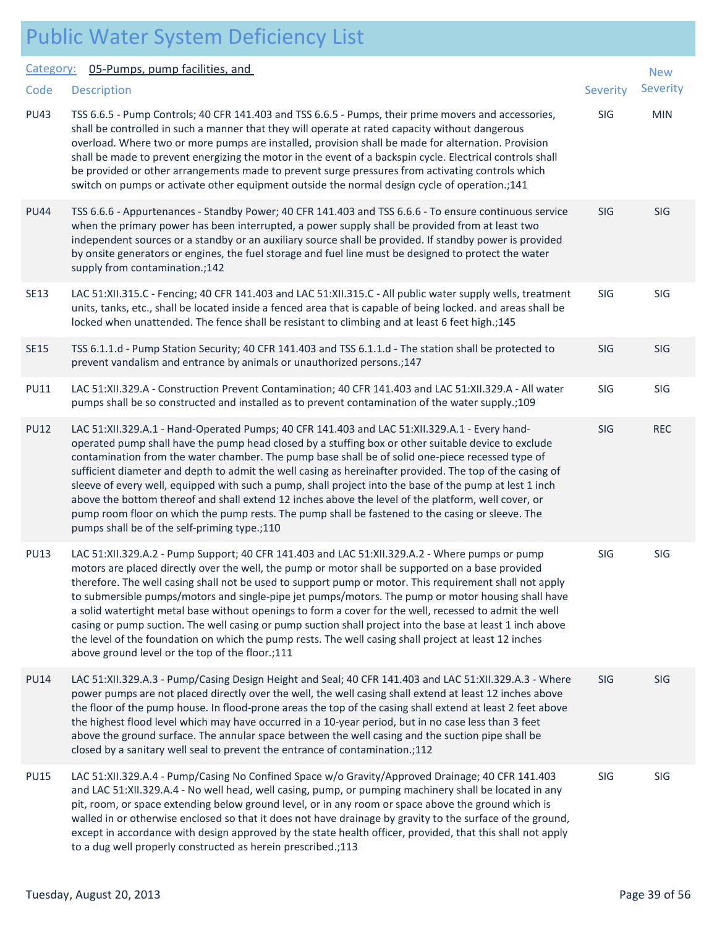#### Public Water System Deficiency List Description Severity of the Severity of the Severity of the Severity of the Severity of the Severity of the Severity Category: 05-Pumps, pump facilities, and **Code** New Severity PU43 TSS 6.6.5 - Pump Controls; 40 CFR 141.403 and TSS 6.6.5 - Pumps, their prime movers and accessories, SIG MIN shall be controlled in such a manner that they will operate at rated capacity without dangerous overload. Where two or more pumps are installed, provision shall be made for alternation. Provision shall be made to prevent energizing the motor in the event of a backspin cycle. Electrical controls shall be provided or other arrangements made to prevent surge pressures from activating controls which switch on pumps or activate other equipment outside the normal design cycle of operation.;141 PU44 TSS 6.6.6 - Appurtenances - Standby Power; 40 CFR 141.403 and TSS 6.6.6 - To ensure continuous service SIG SIG when the primary power has been interrupted, a power supply shall be provided from at least two independent sources or a standby or an auxiliary source shall be provided. If standby power is provided by onsite generators or engines, the fuel storage and fuel line must be designed to protect the water supply from contamination.;142 SE13 LAC 51:XII.315.C - Fencing; 40 CFR 141.403 and LAC 51:XII.315.C - All public water supply wells, treatment SIG SIG units, tanks, etc., shall be located inside a fenced area that is capable of being locked. and areas shall be locked when unattended. The fence shall be resistant to climbing and at least 6 feet high.;145 SE15 TSS 6.1.1.d - Pump Station Security; 40 CFR 141.403 and TSS 6.1.1.d - The station shall be protected to SIG SIG prevent vandalism and entrance by animals or unauthorized persons.;147 PU11 LAC 51:XII.329.A - Construction Prevent Contamination; 40 CFR 141.403 and LAC 51:XII.329.A - All water SIG SIG pumps shall be so constructed and installed as to prevent contamination of the water supply.;109 PU12 LAC 51:XII.329.A.1 - Hand-Operated Pumps; 40 CFR 141.403 and LAC 51:XII.329.A.1 - Every hand- SIG REC operated pump shall have the pump head closed by a stuffing box or other suitable device to exclude contamination from the water chamber. The pump base shall be of solid one-piece recessed type of sufficient diameter and depth to admit the well casing as hereinafter provided. The top of the casing of sleeve of every well, equipped with such a pump, shall project into the base of the pump at lest 1 inch above the bottom thereof and shall extend 12 inches above the level of the platform, well cover, or pump room floor on which the pump rests. The pump shall be fastened to the casing or sleeve. The pumps shall be of the self-priming type.;110 PU13 LAC 51:XII.329.A.2 - Pump Support; 40 CFR 141.403 and LAC 51:XII.329.A.2 - Where pumps or pump SIG SIG SIG motors are placed directly over the well, the pump or motor shall be supported on a base provided therefore. The well casing shall not be used to support pump or motor. This requirement shall not apply to submersible pumps/motors and single-pipe jet pumps/motors. The pump or motor housing shall have a solid watertight metal base without openings to form a cover for the well, recessed to admit the well casing or pump suction. The well casing or pump suction shall project into the base at least 1 inch above the level of the foundation on which the pump rests. The well casing shall project at least 12 inches above ground level or the top of the floor.;111 PU14 LAC 51:XII.329.A.3 - Pump/Casing Design Height and Seal; 40 CFR 141.403 and LAC 51:XII.329.A.3 - Where SIG SIG power pumps are not placed directly over the well, the well casing shall extend at least 12 inches above the floor of the pump house. In flood-prone areas the top of the casing shall extend at least 2 feet above the highest flood level which may have occurred in a 10-year period, but in no case less than 3 feet above the ground surface. The annular space between the well casing and the suction pipe shall be closed by a sanitary well seal to prevent the entrance of contamination.;112 PU15 LAC 51:XII.329.A.4 - Pump/Casing No Confined Space w/o Gravity/Approved Drainage; 40 CFR 141.403 SIG SIG and LAC 51:XII.329.A.4 - No well head, well casing, pump, or pumping machinery shall be located in any pit, room, or space extending below ground level, or in any room or space above the ground which is walled in or otherwise enclosed so that it does not have drainage by gravity to the surface of the ground, except in accordance with design approved by the state health officer, provided, that this shall not apply to a dug well properly constructed as herein prescribed.;113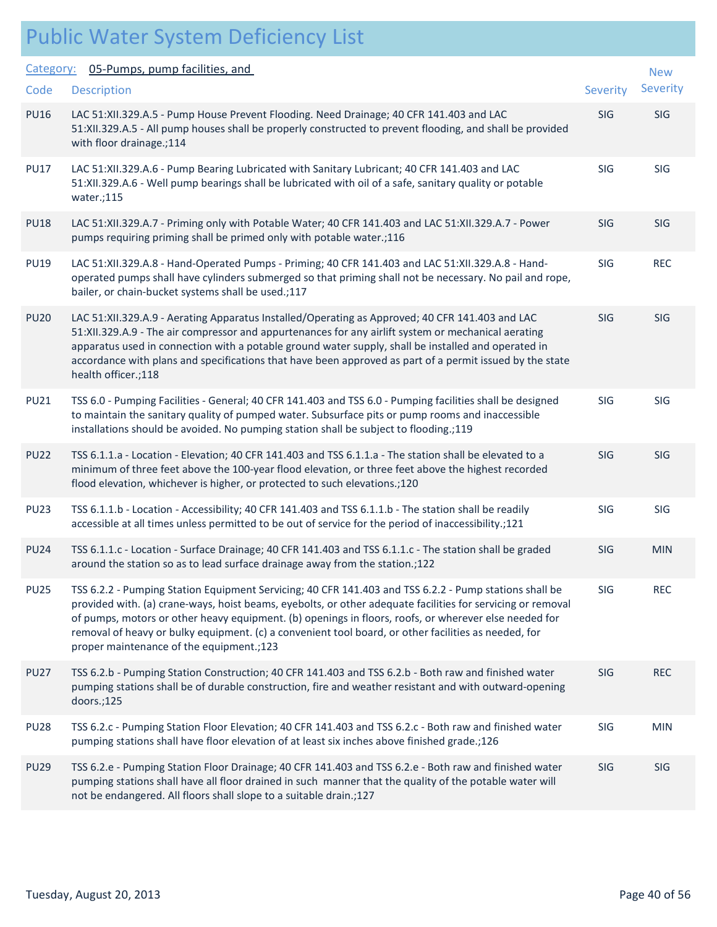| Category:   | 05-Pumps, pump facilities, and                                                                                                                                                                                                                                                                                                                                                                                                                                                     |          | <b>New</b> |
|-------------|------------------------------------------------------------------------------------------------------------------------------------------------------------------------------------------------------------------------------------------------------------------------------------------------------------------------------------------------------------------------------------------------------------------------------------------------------------------------------------|----------|------------|
| Code        | <b>Description</b>                                                                                                                                                                                                                                                                                                                                                                                                                                                                 | Severity | Severity   |
| <b>PU16</b> | LAC 51:XII.329.A.5 - Pump House Prevent Flooding. Need Drainage; 40 CFR 141.403 and LAC<br>51:XII.329.A.5 - All pump houses shall be properly constructed to prevent flooding, and shall be provided<br>with floor drainage.;114                                                                                                                                                                                                                                                   | SIG      | <b>SIG</b> |
| <b>PU17</b> | LAC 51:XII.329.A.6 - Pump Bearing Lubricated with Sanitary Lubricant; 40 CFR 141.403 and LAC<br>51:XII.329.A.6 - Well pump bearings shall be lubricated with oil of a safe, sanitary quality or potable<br>water.;115                                                                                                                                                                                                                                                              | SIG      | SIG        |
| <b>PU18</b> | LAC 51:XII.329.A.7 - Priming only with Potable Water; 40 CFR 141.403 and LAC 51:XII.329.A.7 - Power<br>pumps requiring priming shall be primed only with potable water.;116                                                                                                                                                                                                                                                                                                        | SIG      | <b>SIG</b> |
| <b>PU19</b> | LAC 51:XII.329.A.8 - Hand-Operated Pumps - Priming; 40 CFR 141.403 and LAC 51:XII.329.A.8 - Hand-<br>operated pumps shall have cylinders submerged so that priming shall not be necessary. No pail and rope,<br>bailer, or chain-bucket systems shall be used.;117                                                                                                                                                                                                                 | SIG      | <b>REC</b> |
| <b>PU20</b> | LAC 51:XII.329.A.9 - Aerating Apparatus Installed/Operating as Approved; 40 CFR 141.403 and LAC<br>51:XII.329.A.9 - The air compressor and appurtenances for any airlift system or mechanical aerating<br>apparatus used in connection with a potable ground water supply, shall be installed and operated in<br>accordance with plans and specifications that have been approved as part of a permit issued by the state<br>health officer.;118                                   | SIG      | <b>SIG</b> |
| <b>PU21</b> | TSS 6.0 - Pumping Facilities - General; 40 CFR 141.403 and TSS 6.0 - Pumping facilities shall be designed<br>to maintain the sanitary quality of pumped water. Subsurface pits or pump rooms and inaccessible<br>installations should be avoided. No pumping station shall be subject to flooding.;119                                                                                                                                                                             | SIG      | SIG        |
| <b>PU22</b> | TSS 6.1.1.a - Location - Elevation; 40 CFR 141.403 and TSS 6.1.1.a - The station shall be elevated to a<br>minimum of three feet above the 100-year flood elevation, or three feet above the highest recorded<br>flood elevation, whichever is higher, or protected to such elevations.;120                                                                                                                                                                                        | SIG      | <b>SIG</b> |
| <b>PU23</b> | TSS 6.1.1.b - Location - Accessibility; 40 CFR 141.403 and TSS 6.1.1.b - The station shall be readily<br>accessible at all times unless permitted to be out of service for the period of inaccessibility.;121                                                                                                                                                                                                                                                                      | SIG      | SIG        |
| <b>PU24</b> | TSS 6.1.1.c - Location - Surface Drainage; 40 CFR 141.403 and TSS 6.1.1.c - The station shall be graded<br>around the station so as to lead surface drainage away from the station.;122                                                                                                                                                                                                                                                                                            | SIG      | <b>MIN</b> |
| <b>PU25</b> | TSS 6.2.2 - Pumping Station Equipment Servicing; 40 CFR 141.403 and TSS 6.2.2 - Pump stations shall be<br>provided with. (a) crane-ways, hoist beams, eyebolts, or other adequate facilities for servicing or removal<br>of pumps, motors or other heavy equipment. (b) openings in floors, roofs, or wherever else needed for<br>removal of heavy or bulky equipment. (c) a convenient tool board, or other facilities as needed, for<br>proper maintenance of the equipment.;123 | SIG      | <b>REC</b> |
| <b>PU27</b> | TSS 6.2.b - Pumping Station Construction; 40 CFR 141.403 and TSS 6.2.b - Both raw and finished water<br>pumping stations shall be of durable construction, fire and weather resistant and with outward-opening<br>doors.;125                                                                                                                                                                                                                                                       | SIG      | <b>REC</b> |
| <b>PU28</b> | TSS 6.2.c - Pumping Station Floor Elevation; 40 CFR 141.403 and TSS 6.2.c - Both raw and finished water<br>pumping stations shall have floor elevation of at least six inches above finished grade.;126                                                                                                                                                                                                                                                                            | SIG      | <b>MIN</b> |
| <b>PU29</b> | TSS 6.2.e - Pumping Station Floor Drainage; 40 CFR 141.403 and TSS 6.2.e - Both raw and finished water<br>pumping stations shall have all floor drained in such manner that the quality of the potable water will<br>not be endangered. All floors shall slope to a suitable drain.;127                                                                                                                                                                                            | SIG      | SIG        |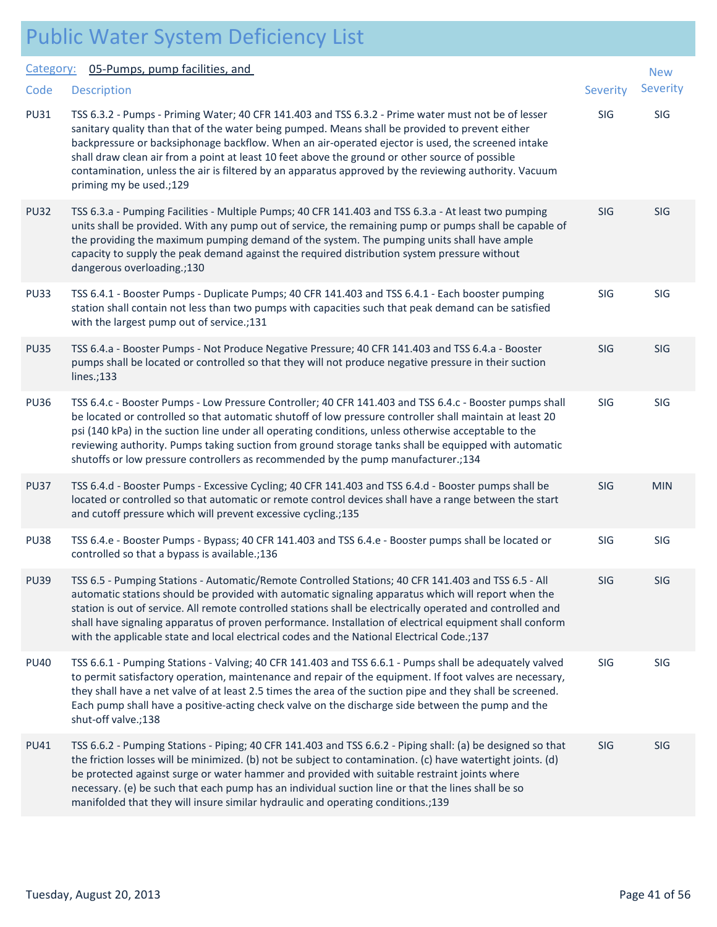|             | <b>Public Water System Deficiency List</b>                                                                                                                                                                                                                                                                                                                                                                                                                                                                                                         |            |                 |
|-------------|----------------------------------------------------------------------------------------------------------------------------------------------------------------------------------------------------------------------------------------------------------------------------------------------------------------------------------------------------------------------------------------------------------------------------------------------------------------------------------------------------------------------------------------------------|------------|-----------------|
| Category:   | 05-Pumps, pump facilities, and                                                                                                                                                                                                                                                                                                                                                                                                                                                                                                                     |            | <b>New</b>      |
| Code        | <b>Description</b>                                                                                                                                                                                                                                                                                                                                                                                                                                                                                                                                 | Severity   | <b>Severity</b> |
| <b>PU31</b> | TSS 6.3.2 - Pumps - Priming Water; 40 CFR 141.403 and TSS 6.3.2 - Prime water must not be of lesser<br>sanitary quality than that of the water being pumped. Means shall be provided to prevent either<br>backpressure or backsiphonage backflow. When an air-operated ejector is used, the screened intake<br>shall draw clean air from a point at least 10 feet above the ground or other source of possible<br>contamination, unless the air is filtered by an apparatus approved by the reviewing authority. Vacuum<br>priming my be used.;129 | <b>SIG</b> | SIG             |
| <b>PU32</b> | TSS 6.3.a - Pumping Facilities - Multiple Pumps; 40 CFR 141.403 and TSS 6.3.a - At least two pumping<br>units shall be provided. With any pump out of service, the remaining pump or pumps shall be capable of<br>the providing the maximum pumping demand of the system. The pumping units shall have ample<br>capacity to supply the peak demand against the required distribution system pressure without<br>dangerous overloading.;130                                                                                                         | <b>SIG</b> | <b>SIG</b>      |
| <b>PU33</b> | TSS 6.4.1 - Booster Pumps - Duplicate Pumps; 40 CFR 141.403 and TSS 6.4.1 - Each booster pumping<br>station shall contain not less than two pumps with capacities such that peak demand can be satisfied<br>with the largest pump out of service.;131                                                                                                                                                                                                                                                                                              | SIG        | <b>SIG</b>      |
| <b>PU35</b> | TSS 6.4.a - Booster Pumps - Not Produce Negative Pressure; 40 CFR 141.403 and TSS 6.4.a - Booster<br>pumps shall be located or controlled so that they will not produce negative pressure in their suction<br>lines.;133                                                                                                                                                                                                                                                                                                                           | SIG        | <b>SIG</b>      |
| <b>PU36</b> | TSS 6.4.c - Booster Pumps - Low Pressure Controller; 40 CFR 141.403 and TSS 6.4.c - Booster pumps shall<br>be located or controlled so that automatic shutoff of low pressure controller shall maintain at least 20<br>psi (140 kPa) in the suction line under all operating conditions, unless otherwise acceptable to the<br>reviewing authority. Pumps taking suction from ground storage tanks shall be equipped with automatic<br>shutoffs or low pressure controllers as recommended by the pump manufacturer.;134                           | SIG        | <b>SIG</b>      |
| <b>PU37</b> | TSS 6.4.d - Booster Pumps - Excessive Cycling; 40 CFR 141.403 and TSS 6.4.d - Booster pumps shall be<br>located or controlled so that automatic or remote control devices shall have a range between the start<br>and cutoff pressure which will prevent excessive cycling.;135                                                                                                                                                                                                                                                                    | <b>SIG</b> | <b>MIN</b>      |
| <b>PU38</b> | TSS 6.4.e - Booster Pumps - Bypass; 40 CFR 141.403 and TSS 6.4.e - Booster pumps shall be located or<br>controlled so that a bypass is available.;136                                                                                                                                                                                                                                                                                                                                                                                              | <b>SIG</b> | SIG             |
| <b>PU39</b> | TSS 6.5 - Pumping Stations - Automatic/Remote Controlled Stations; 40 CFR 141.403 and TSS 6.5 - All<br>automatic stations should be provided with automatic signaling apparatus which will report when the<br>station is out of service. All remote controlled stations shall be electrically operated and controlled and<br>shall have signaling apparatus of proven performance. Installation of electrical equipment shall conform<br>with the applicable state and local electrical codes and the National Electrical Code.;137                | <b>SIG</b> | <b>SIG</b>      |
| <b>PU40</b> | TSS 6.6.1 - Pumping Stations - Valving; 40 CFR 141.403 and TSS 6.6.1 - Pumps shall be adequately valved<br>to permit satisfactory operation, maintenance and repair of the equipment. If foot valves are necessary,<br>they shall have a net valve of at least 2.5 times the area of the suction pipe and they shall be screened.<br>Each pump shall have a positive-acting check valve on the discharge side between the pump and the<br>shut-off valve.;138                                                                                      | SIG        | SIG             |
| <b>PU41</b> | TSS 6.6.2 - Pumping Stations - Piping; 40 CFR 141.403 and TSS 6.6.2 - Piping shall: (a) be designed so that<br>the friction losses will be minimized. (b) not be subject to contamination. (c) have watertight joints. (d)<br>be protected against surge or water hammer and provided with suitable restraint joints where<br>necessary. (e) be such that each pump has an individual suction line or that the lines shall be so<br>manifolded that they will insure similar hydraulic and operating conditions.;139                               | <b>SIG</b> | <b>SIG</b>      |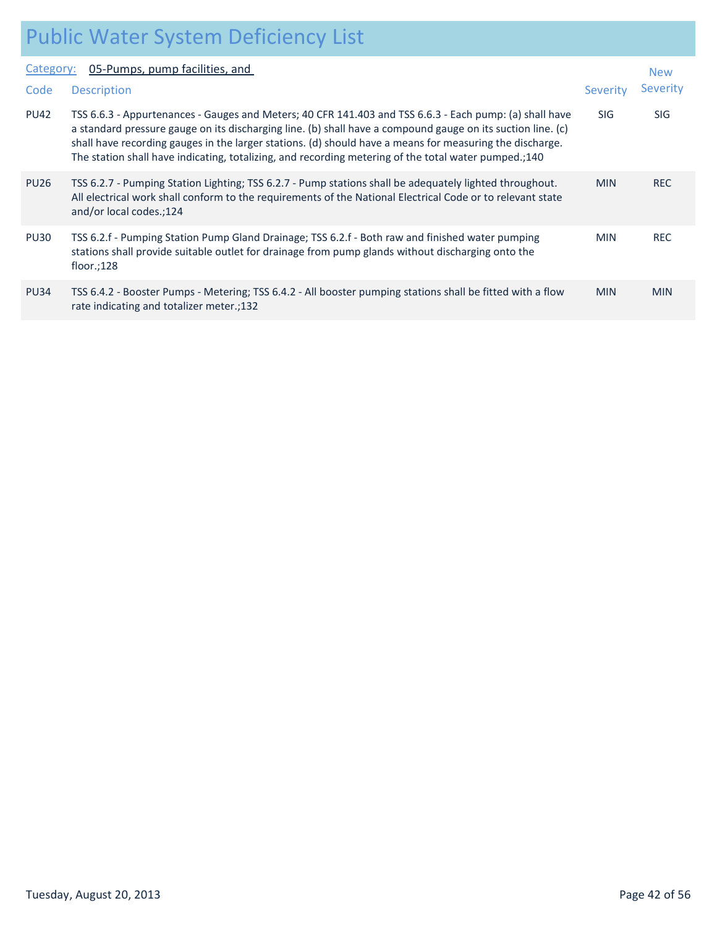|             | T GIONIC TTOCH CYCLIN DONONICIIOT EICH                                                                                                                                                                                                                                                                                                                                                                                                     |            |            |
|-------------|--------------------------------------------------------------------------------------------------------------------------------------------------------------------------------------------------------------------------------------------------------------------------------------------------------------------------------------------------------------------------------------------------------------------------------------------|------------|------------|
| Category:   | 05-Pumps, pump facilities, and                                                                                                                                                                                                                                                                                                                                                                                                             |            | <b>New</b> |
| Code        | <b>Description</b>                                                                                                                                                                                                                                                                                                                                                                                                                         | Severity   | Sever      |
| <b>PU42</b> | TSS 6.6.3 - Appurtenances - Gauges and Meters; 40 CFR 141.403 and TSS 6.6.3 - Each pump: (a) shall have<br>a standard pressure gauge on its discharging line. (b) shall have a compound gauge on its suction line. (c)<br>shall have recording gauges in the larger stations. (d) should have a means for measuring the discharge.<br>The station shall have indicating, totalizing, and recording metering of the total water pumped.;140 | <b>SIG</b> | SIG        |
| <b>PU26</b> | TSS 6.2.7 - Pumping Station Lighting; TSS 6.2.7 - Pump stations shall be adequately lighted throughout.<br>All electrical work shall conform to the requirements of the National Electrical Code or to relevant state<br>and/or local codes.;124                                                                                                                                                                                           | <b>MIN</b> | <b>REC</b> |
| <b>PU30</b> | TSS 6.2.f - Pumping Station Pump Gland Drainage; TSS 6.2.f - Both raw and finished water pumping<br>stations shall provide suitable outlet for drainage from pump glands without discharging onto the<br>floor.; $128$                                                                                                                                                                                                                     | <b>MIN</b> | <b>REC</b> |

| <b>PU34</b> | TSS 6.4.2 - Booster Pumps - Metering; TSS 6.4.2 - All booster pumping stations shall be fitted with a flow | <b>MIN</b> | <b>MIN</b> |
|-------------|------------------------------------------------------------------------------------------------------------|------------|------------|
|             | rate indicating and totalizer meter.;132                                                                   |            |            |

New Severity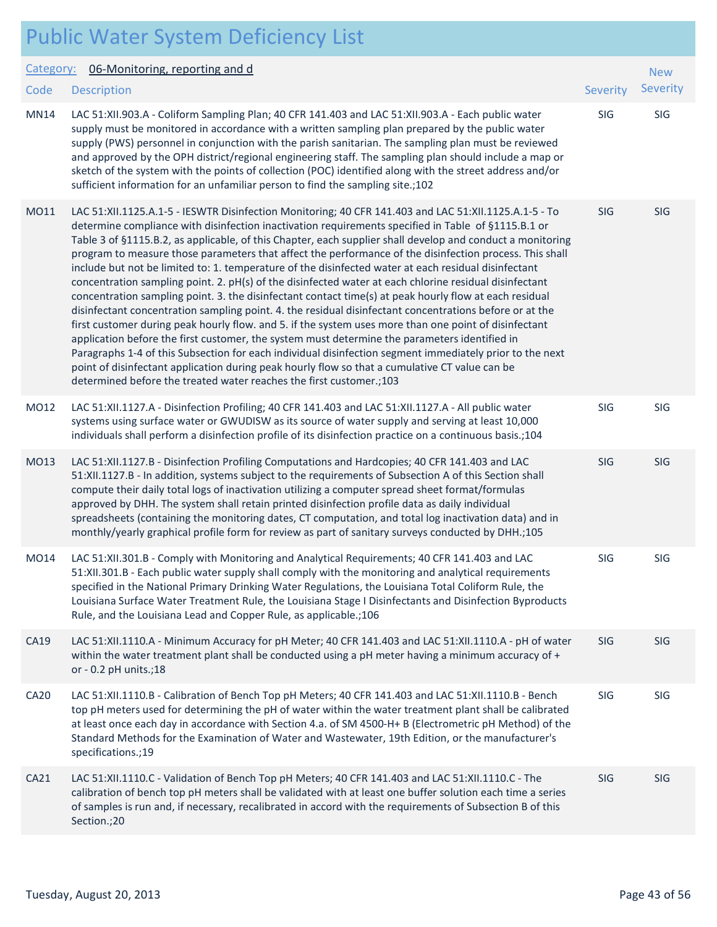|                  | <b>Public Water System Deficiency List</b>                                                                                                                                                                                                                                                                                                                                                                                                                                                                                                                                                                                                                                                                                                                                                                                                                                                                                                                                                                                                                                                                                                                                                                                                                                                                                                                                   |                 |            |
|------------------|------------------------------------------------------------------------------------------------------------------------------------------------------------------------------------------------------------------------------------------------------------------------------------------------------------------------------------------------------------------------------------------------------------------------------------------------------------------------------------------------------------------------------------------------------------------------------------------------------------------------------------------------------------------------------------------------------------------------------------------------------------------------------------------------------------------------------------------------------------------------------------------------------------------------------------------------------------------------------------------------------------------------------------------------------------------------------------------------------------------------------------------------------------------------------------------------------------------------------------------------------------------------------------------------------------------------------------------------------------------------------|-----------------|------------|
| Category:        | 06-Monitoring, reporting and d                                                                                                                                                                                                                                                                                                                                                                                                                                                                                                                                                                                                                                                                                                                                                                                                                                                                                                                                                                                                                                                                                                                                                                                                                                                                                                                                               |                 | <b>New</b> |
| Code             | <b>Description</b>                                                                                                                                                                                                                                                                                                                                                                                                                                                                                                                                                                                                                                                                                                                                                                                                                                                                                                                                                                                                                                                                                                                                                                                                                                                                                                                                                           | <b>Severity</b> | Severity   |
| <b>MN14</b>      | LAC 51:XII.903.A - Coliform Sampling Plan; 40 CFR 141.403 and LAC 51:XII.903.A - Each public water<br>supply must be monitored in accordance with a written sampling plan prepared by the public water<br>supply (PWS) personnel in conjunction with the parish sanitarian. The sampling plan must be reviewed<br>and approved by the OPH district/regional engineering staff. The sampling plan should include a map or<br>sketch of the system with the points of collection (POC) identified along with the street address and/or<br>sufficient information for an unfamiliar person to find the sampling site.;102                                                                                                                                                                                                                                                                                                                                                                                                                                                                                                                                                                                                                                                                                                                                                       | SIG             | SIG        |
| MO11             | LAC 51:XII.1125.A.1-5 - IESWTR Disinfection Monitoring; 40 CFR 141.403 and LAC 51:XII.1125.A.1-5 - To<br>determine compliance with disinfection inactivation requirements specified in Table of §1115.B.1 or<br>Table 3 of §1115.B.2, as applicable, of this Chapter, each supplier shall develop and conduct a monitoring<br>program to measure those parameters that affect the performance of the disinfection process. This shall<br>include but not be limited to: 1. temperature of the disinfected water at each residual disinfectant<br>concentration sampling point. 2. pH(s) of the disinfected water at each chlorine residual disinfectant<br>concentration sampling point. 3. the disinfectant contact time(s) at peak hourly flow at each residual<br>disinfectant concentration sampling point. 4. the residual disinfectant concentrations before or at the<br>first customer during peak hourly flow. and 5. if the system uses more than one point of disinfectant<br>application before the first customer, the system must determine the parameters identified in<br>Paragraphs 1-4 of this Subsection for each individual disinfection segment immediately prior to the next<br>point of disinfectant application during peak hourly flow so that a cumulative CT value can be<br>determined before the treated water reaches the first customer.; 103 | <b>SIG</b>      | SIG        |
| MO12             | LAC 51:XII.1127.A - Disinfection Profiling; 40 CFR 141.403 and LAC 51:XII.1127.A - All public water<br>systems using surface water or GWUDISW as its source of water supply and serving at least 10,000<br>individuals shall perform a disinfection profile of its disinfection practice on a continuous basis.;104                                                                                                                                                                                                                                                                                                                                                                                                                                                                                                                                                                                                                                                                                                                                                                                                                                                                                                                                                                                                                                                          | SIG             | SIG        |
| MO13             | LAC 51:XII.1127.B - Disinfection Profiling Computations and Hardcopies; 40 CFR 141.403 and LAC<br>51:XII.1127.B - In addition, systems subject to the requirements of Subsection A of this Section shall<br>compute their daily total logs of inactivation utilizing a computer spread sheet format/formulas<br>approved by DHH. The system shall retain printed disinfection profile data as daily individual<br>spreadsheets (containing the monitoring dates, CT computation, and total log inactivation data) and in<br>monthly/yearly graphical profile form for review as part of sanitary surveys conducted by DHH.;105                                                                                                                                                                                                                                                                                                                                                                                                                                                                                                                                                                                                                                                                                                                                               | SIG             | SIG        |
| MO14             | LAC 51:XII.301.B - Comply with Monitoring and Analytical Requirements; 40 CFR 141.403 and LAC<br>51:XII.301.B - Each public water supply shall comply with the monitoring and analytical requirements<br>specified in the National Primary Drinking Water Regulations, the Louisiana Total Coliform Rule, the<br>Louisiana Surface Water Treatment Rule, the Louisiana Stage I Disinfectants and Disinfection Byproducts<br>Rule, and the Louisiana Lead and Copper Rule, as applicable.;106                                                                                                                                                                                                                                                                                                                                                                                                                                                                                                                                                                                                                                                                                                                                                                                                                                                                                 | SIG             | SIG        |
| CA19             | LAC 51:XII.1110.A - Minimum Accuracy for pH Meter; 40 CFR 141.403 and LAC 51:XII.1110.A - pH of water<br>within the water treatment plant shall be conducted using a pH meter having a minimum accuracy of +<br>or - 0.2 pH units.;18                                                                                                                                                                                                                                                                                                                                                                                                                                                                                                                                                                                                                                                                                                                                                                                                                                                                                                                                                                                                                                                                                                                                        | <b>SIG</b>      | SIG        |
| CA <sub>20</sub> | LAC 51:XII.1110.B - Calibration of Bench Top pH Meters; 40 CFR 141.403 and LAC 51:XII.1110.B - Bench<br>top pH meters used for determining the pH of water within the water treatment plant shall be calibrated<br>at least once each day in accordance with Section 4.a. of SM 4500-H+ B (Electrometric pH Method) of the<br>Standard Methods for the Examination of Water and Wastewater, 19th Edition, or the manufacturer's<br>specifications.;19                                                                                                                                                                                                                                                                                                                                                                                                                                                                                                                                                                                                                                                                                                                                                                                                                                                                                                                        | SIG             | SIG        |
| CA21             | LAC 51:XII.1110.C - Validation of Bench Top pH Meters; 40 CFR 141.403 and LAC 51:XII.1110.C - The<br>calibration of bench top pH meters shall be validated with at least one buffer solution each time a series<br>of samples is run and, if necessary, recalibrated in accord with the requirements of Subsection B of this<br>Section.;20                                                                                                                                                                                                                                                                                                                                                                                                                                                                                                                                                                                                                                                                                                                                                                                                                                                                                                                                                                                                                                  | SIG             | SIG        |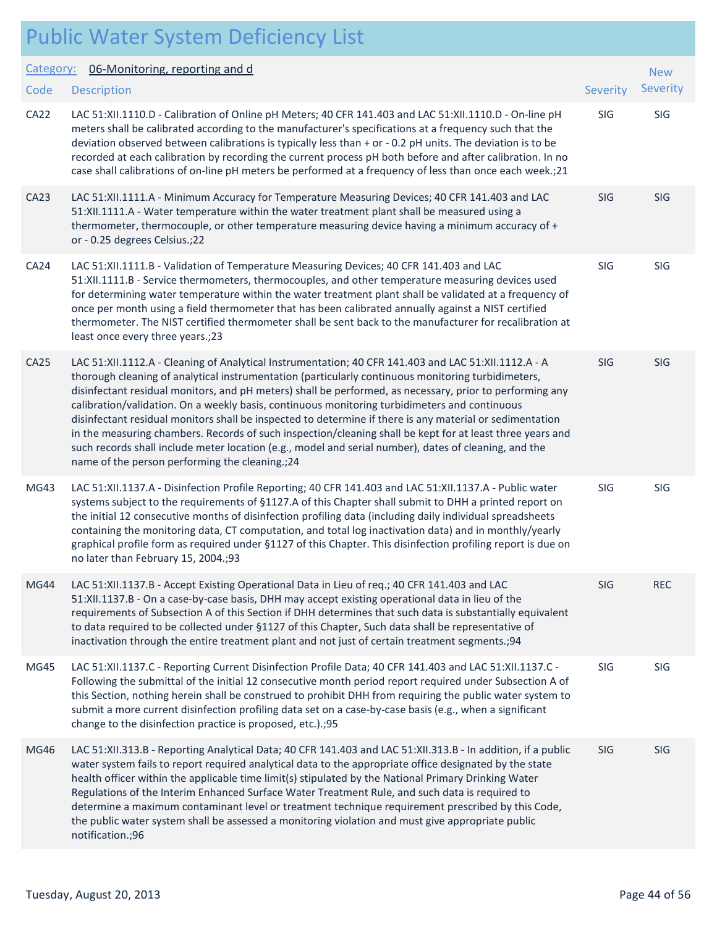#### Public Water System Deficiency List Description Severity of the contract of the contract of the contract of the contract of the contract of the contract of the contract of the contract of the contract of the contract of the contract of the contract of the co Category: 06-Monitoring, reporting and d **Code** New Severity CA22 LAC 51:XII.1110.D - Calibration of Online pH Meters; 40 CFR 141.403 and LAC 51:XII.1110.D - On-line pH SIG SIG meters shall be calibrated according to the manufacturer's specifications at a frequency such that the deviation observed between calibrations is typically less than + or - 0.2 pH units. The deviation is to be recorded at each calibration by recording the current process pH both before and after calibration. In no case shall calibrations of on-line pH meters be performed at a frequency of less than once each week.;21 CA23 LAC 51:XII.1111.A - Minimum Accuracy for Temperature Measuring Devices; 40 CFR 141.403 and LAC SIG SIG 51:XII.1111.A - Water temperature within the water treatment plant shall be measured using a thermometer, thermocouple, or other temperature measuring device having a minimum accuracy of + or - 0.25 degrees Celsius.;22 CA24 LAC 51:XII.1111.B - Validation of Temperature Measuring Devices; 40 CFR 141.403 and LAC SIG SIG SIG 51:XII.1111.B - Service thermometers, thermocouples, and other temperature measuring devices used for determining water temperature within the water treatment plant shall be validated at a frequency of once per month using a field thermometer that has been calibrated annually against a NIST certified thermometer. The NIST certified thermometer shall be sent back to the manufacturer for recalibration at least once every three years.;23 CA25 LAC 51:XII.1112.A - Cleaning of Analytical Instrumentation; 40 CFR 141.403 and LAC 51:XII.1112.A - A SIG SIG thorough cleaning of analytical instrumentation (particularly continuous monitoring turbidimeters, disinfectant residual monitors, and pH meters) shall be performed, as necessary, prior to performing any calibration/validation. On a weekly basis, continuous monitoring turbidimeters and continuous disinfectant residual monitors shall be inspected to determine if there is any material or sedimentation in the measuring chambers. Records of such inspection/cleaning shall be kept for at least three years and such records shall include meter location (e.g., model and serial number), dates of cleaning, and the name of the person performing the cleaning.;24 MG43 LAC 51:XII.1137.A - Disinfection Profile Reporting; 40 CFR 141.403 and LAC 51:XII.1137.A - Public water SIG SIG systems subject to the requirements of §1127.A of this Chapter shall submit to DHH a printed report on the initial 12 consecutive months of disinfection profiling data (including daily individual spreadsheets containing the monitoring data, CT computation, and total log inactivation data) and in monthly/yearly graphical profile form as required under §1127 of this Chapter. This disinfection profiling report is due on no later than February 15, 2004.;93 MG44 LAC 51:XII.1137.B - Accept Existing Operational Data in Lieu of req.; 40 CFR 141.403 and LAC SIG REC 51:XII.1137.B - On a case-by-case basis, DHH may accept existing operational data in lieu of the requirements of Subsection A of this Section if DHH determines that such data is substantially equivalent to data required to be collected under §1127 of this Chapter, Such data shall be representative of inactivation through the entire treatment plant and not just of certain treatment segments.;94 MG45 LAC 51:XII.1137.C - Reporting Current Disinfection Profile Data; 40 CFR 141.403 and LAC 51:XII.1137.C - SIG SIG Following the submittal of the initial 12 consecutive month period report required under Subsection A of this Section, nothing herein shall be construed to prohibit DHH from requiring the public water system to submit a more current disinfection profiling data set on a case-by-case basis (e.g., when a significant change to the disinfection practice is proposed, etc.).;95 MG46 LAC 51:XII.313.B - Reporting Analytical Data; 40 CFR 141.403 and LAC 51:XII.313.B - In addition, if a public SIG SIG water system fails to report required analytical data to the appropriate office designated by the state health officer within the applicable time limit(s) stipulated by the National Primary Drinking Water Regulations of the Interim Enhanced Surface Water Treatment Rule, and such data is required to determine a maximum contaminant level or treatment technique requirement prescribed by this Code, the public water system shall be assessed a monitoring violation and must give appropriate public notification.;96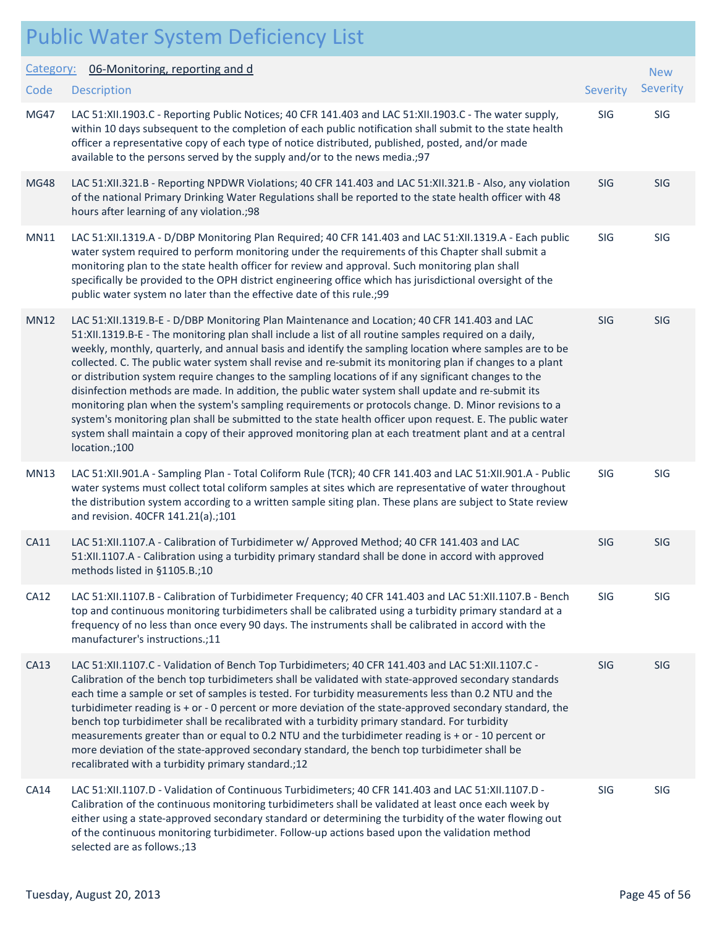|             | <b>Public Water System Deficiency List</b>                                                                                                                                                                                                                                                                                                                                                                                                                                                                                                                                                                                                                                                                                                                                                                                                                                                                                                                                                      |          |            |
|-------------|-------------------------------------------------------------------------------------------------------------------------------------------------------------------------------------------------------------------------------------------------------------------------------------------------------------------------------------------------------------------------------------------------------------------------------------------------------------------------------------------------------------------------------------------------------------------------------------------------------------------------------------------------------------------------------------------------------------------------------------------------------------------------------------------------------------------------------------------------------------------------------------------------------------------------------------------------------------------------------------------------|----------|------------|
| Category:   | 06-Monitoring, reporting and d                                                                                                                                                                                                                                                                                                                                                                                                                                                                                                                                                                                                                                                                                                                                                                                                                                                                                                                                                                  |          | <b>New</b> |
| Code        | <b>Description</b>                                                                                                                                                                                                                                                                                                                                                                                                                                                                                                                                                                                                                                                                                                                                                                                                                                                                                                                                                                              | Severity | Severity   |
| <b>MG47</b> | LAC 51:XII.1903.C - Reporting Public Notices; 40 CFR 141.403 and LAC 51:XII.1903.C - The water supply,<br>within 10 days subsequent to the completion of each public notification shall submit to the state health<br>officer a representative copy of each type of notice distributed, published, posted, and/or made<br>available to the persons served by the supply and/or to the news media.; 97                                                                                                                                                                                                                                                                                                                                                                                                                                                                                                                                                                                           | SIG      | SIG        |
| <b>MG48</b> | LAC 51:XII.321.B - Reporting NPDWR Violations; 40 CFR 141.403 and LAC 51:XII.321.B - Also, any violation<br>of the national Primary Drinking Water Regulations shall be reported to the state health officer with 48<br>hours after learning of any violation.;98                                                                                                                                                                                                                                                                                                                                                                                                                                                                                                                                                                                                                                                                                                                               | SIG      | <b>SIG</b> |
| MN11        | LAC 51:XII.1319.A - D/DBP Monitoring Plan Required; 40 CFR 141.403 and LAC 51:XII.1319.A - Each public<br>water system required to perform monitoring under the requirements of this Chapter shall submit a<br>monitoring plan to the state health officer for review and approval. Such monitoring plan shall<br>specifically be provided to the OPH district engineering office which has jurisdictional oversight of the<br>public water system no later than the effective date of this rule.;99                                                                                                                                                                                                                                                                                                                                                                                                                                                                                            | SIG      | SIG        |
| <b>MN12</b> | LAC 51:XII.1319.B-E - D/DBP Monitoring Plan Maintenance and Location; 40 CFR 141.403 and LAC<br>51:XII.1319.B-E - The monitoring plan shall include a list of all routine samples required on a daily,<br>weekly, monthly, quarterly, and annual basis and identify the sampling location where samples are to be<br>collected. C. The public water system shall revise and re-submit its monitoring plan if changes to a plant<br>or distribution system require changes to the sampling locations of if any significant changes to the<br>disinfection methods are made. In addition, the public water system shall update and re-submit its<br>monitoring plan when the system's sampling requirements or protocols change. D. Minor revisions to a<br>system's monitoring plan shall be submitted to the state health officer upon request. E. The public water<br>system shall maintain a copy of their approved monitoring plan at each treatment plant and at a central<br>location.;100 | SIG      | SIG        |
| <b>MN13</b> | LAC 51:XII.901.A - Sampling Plan - Total Coliform Rule (TCR); 40 CFR 141.403 and LAC 51:XII.901.A - Public<br>water systems must collect total coliform samples at sites which are representative of water throughout<br>the distribution system according to a written sample siting plan. These plans are subject to State review<br>and revision. 40CFR 141.21(a).;101                                                                                                                                                                                                                                                                                                                                                                                                                                                                                                                                                                                                                       | SIG      | SIG        |
| CA11        | LAC 51:XII.1107.A - Calibration of Turbidimeter w/ Approved Method; 40 CFR 141.403 and LAC<br>51:XII.1107.A - Calibration using a turbidity primary standard shall be done in accord with approved<br>methods listed in §1105.B.;10                                                                                                                                                                                                                                                                                                                                                                                                                                                                                                                                                                                                                                                                                                                                                             | SIG      | <b>SIG</b> |
| <b>CA12</b> | LAC 51:XII.1107.B - Calibration of Turbidimeter Frequency; 40 CFR 141.403 and LAC 51:XII.1107.B - Bench<br>top and continuous monitoring turbidimeters shall be calibrated using a turbidity primary standard at a<br>frequency of no less than once every 90 days. The instruments shall be calibrated in accord with the<br>manufacturer's instructions.;11                                                                                                                                                                                                                                                                                                                                                                                                                                                                                                                                                                                                                                   | SIG      | SIG        |
| CA13        | LAC 51:XII.1107.C - Validation of Bench Top Turbidimeters; 40 CFR 141.403 and LAC 51:XII.1107.C -<br>Calibration of the bench top turbidimeters shall be validated with state-approved secondary standards<br>each time a sample or set of samples is tested. For turbidity measurements less than 0.2 NTU and the<br>turbidimeter reading is + or - 0 percent or more deviation of the state-approved secondary standard, the<br>bench top turbidimeter shall be recalibrated with a turbidity primary standard. For turbidity<br>measurements greater than or equal to 0.2 NTU and the turbidimeter reading is + or - 10 percent or<br>more deviation of the state-approved secondary standard, the bench top turbidimeter shall be<br>recalibrated with a turbidity primary standard.;12                                                                                                                                                                                                     | SIG      | SIG        |
| CA14        | LAC 51:XII.1107.D - Validation of Continuous Turbidimeters; 40 CFR 141.403 and LAC 51:XII.1107.D -<br>Calibration of the continuous monitoring turbidimeters shall be validated at least once each week by<br>either using a state-approved secondary standard or determining the turbidity of the water flowing out<br>of the continuous monitoring turbidimeter. Follow-up actions based upon the validation method<br>selected are as follows.;13                                                                                                                                                                                                                                                                                                                                                                                                                                                                                                                                            | SIG      | SIG        |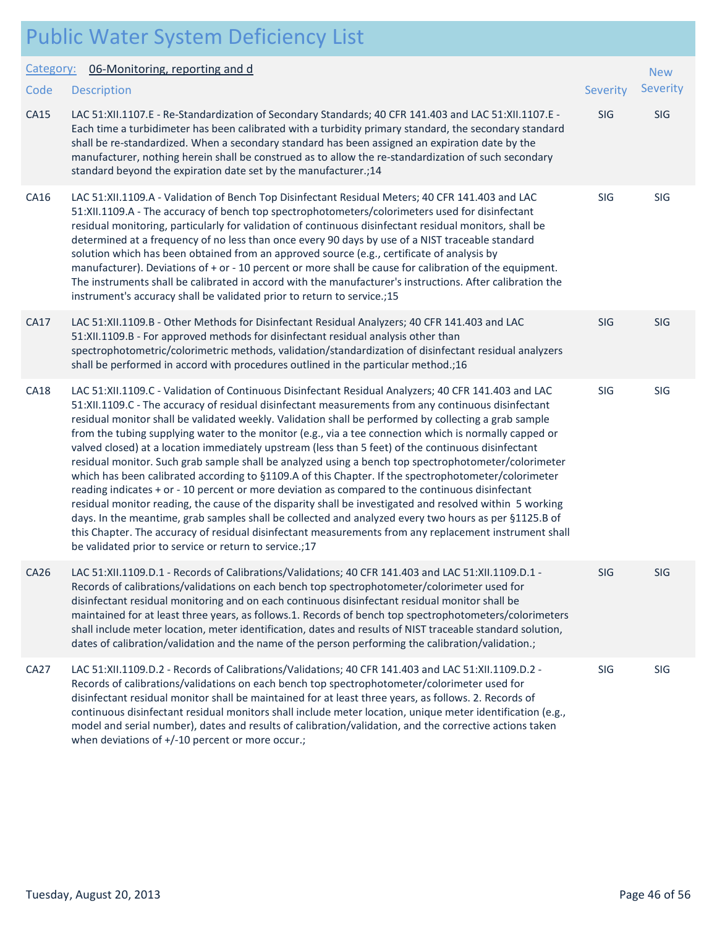|             | <b>Public Water System Deficiency List</b>                                                                                                                                                                                                                                                                                                                                                                                                                                                                                                                                                                                                                                                                                                                                                                                                                                                                                                                                                                                                                                                                                                                                                                                                         |          |            |
|-------------|----------------------------------------------------------------------------------------------------------------------------------------------------------------------------------------------------------------------------------------------------------------------------------------------------------------------------------------------------------------------------------------------------------------------------------------------------------------------------------------------------------------------------------------------------------------------------------------------------------------------------------------------------------------------------------------------------------------------------------------------------------------------------------------------------------------------------------------------------------------------------------------------------------------------------------------------------------------------------------------------------------------------------------------------------------------------------------------------------------------------------------------------------------------------------------------------------------------------------------------------------|----------|------------|
| Category:   | 06-Monitoring, reporting and d                                                                                                                                                                                                                                                                                                                                                                                                                                                                                                                                                                                                                                                                                                                                                                                                                                                                                                                                                                                                                                                                                                                                                                                                                     |          | <b>New</b> |
| Code        | <b>Description</b>                                                                                                                                                                                                                                                                                                                                                                                                                                                                                                                                                                                                                                                                                                                                                                                                                                                                                                                                                                                                                                                                                                                                                                                                                                 | Severity | Severity   |
| CA15        | LAC 51:XII.1107.E - Re-Standardization of Secondary Standards; 40 CFR 141.403 and LAC 51:XII.1107.E -<br>Each time a turbidimeter has been calibrated with a turbidity primary standard, the secondary standard<br>shall be re-standardized. When a secondary standard has been assigned an expiration date by the<br>manufacturer, nothing herein shall be construed as to allow the re-standardization of such secondary<br>standard beyond the expiration date set by the manufacturer.; 14                                                                                                                                                                                                                                                                                                                                                                                                                                                                                                                                                                                                                                                                                                                                                     | SIG      | SIG        |
| CA16        | LAC 51:XII.1109.A - Validation of Bench Top Disinfectant Residual Meters; 40 CFR 141.403 and LAC<br>51:XII.1109.A - The accuracy of bench top spectrophotometers/colorimeters used for disinfectant<br>residual monitoring, particularly for validation of continuous disinfectant residual monitors, shall be<br>determined at a frequency of no less than once every 90 days by use of a NIST traceable standard<br>solution which has been obtained from an approved source (e.g., certificate of analysis by<br>manufacturer). Deviations of + or - 10 percent or more shall be cause for calibration of the equipment.<br>The instruments shall be calibrated in accord with the manufacturer's instructions. After calibration the<br>instrument's accuracy shall be validated prior to return to service.; 15                                                                                                                                                                                                                                                                                                                                                                                                                               | SIG      | SIG        |
| <b>CA17</b> | LAC 51:XII.1109.B - Other Methods for Disinfectant Residual Analyzers; 40 CFR 141.403 and LAC<br>51:XII.1109.B - For approved methods for disinfectant residual analysis other than<br>spectrophotometric/colorimetric methods, validation/standardization of disinfectant residual analyzers<br>shall be performed in accord with procedures outlined in the particular method.;16                                                                                                                                                                                                                                                                                                                                                                                                                                                                                                                                                                                                                                                                                                                                                                                                                                                                | SIG      | SIG        |
| <b>CA18</b> | LAC 51:XII.1109.C - Validation of Continuous Disinfectant Residual Analyzers; 40 CFR 141.403 and LAC<br>51:XII.1109.C - The accuracy of residual disinfectant measurements from any continuous disinfectant<br>residual monitor shall be validated weekly. Validation shall be performed by collecting a grab sample<br>from the tubing supplying water to the monitor (e.g., via a tee connection which is normally capped or<br>valved closed) at a location immediately upstream (less than 5 feet) of the continuous disinfectant<br>residual monitor. Such grab sample shall be analyzed using a bench top spectrophotometer/colorimeter<br>which has been calibrated according to §1109.A of this Chapter. If the spectrophotometer/colorimeter<br>reading indicates + or - 10 percent or more deviation as compared to the continuous disinfectant<br>residual monitor reading, the cause of the disparity shall be investigated and resolved within 5 working<br>days. In the meantime, grab samples shall be collected and analyzed every two hours as per §1125.B of<br>this Chapter. The accuracy of residual disinfectant measurements from any replacement instrument shall<br>be validated prior to service or return to service.;17 | SIG      | SIG        |
| CA26        | LAC 51:XII.1109.D.1 - Records of Calibrations/Validations; 40 CFR 141.403 and LAC 51:XII.1109.D.1 -<br>Records of calibrations/validations on each bench top spectrophotometer/colorimeter used for<br>disinfectant residual monitoring and on each continuous disinfectant residual monitor shall be<br>maintained for at least three years, as follows.1. Records of bench top spectrophotometers/colorimeters<br>shall include meter location, meter identification, dates and results of NIST traceable standard solution,<br>dates of calibration/validation and the name of the person performing the calibration/validation.;                                                                                                                                                                                                                                                                                                                                                                                                                                                                                                                                                                                                               | SIG      | SIG        |
| <b>CA27</b> | LAC 51:XII.1109.D.2 - Records of Calibrations/Validations; 40 CFR 141.403 and LAC 51:XII.1109.D.2 -<br>Records of calibrations/validations on each bench top spectrophotometer/colorimeter used for<br>disinfectant residual monitor shall be maintained for at least three years, as follows. 2. Records of<br>continuous disinfectant residual monitors shall include meter location, unique meter identification (e.g.,<br>model and serial number), dates and results of calibration/validation, and the corrective actions taken<br>when deviations of +/-10 percent or more occur.;                                                                                                                                                                                                                                                                                                                                                                                                                                                                                                                                                                                                                                                          | SIG      | SIG        |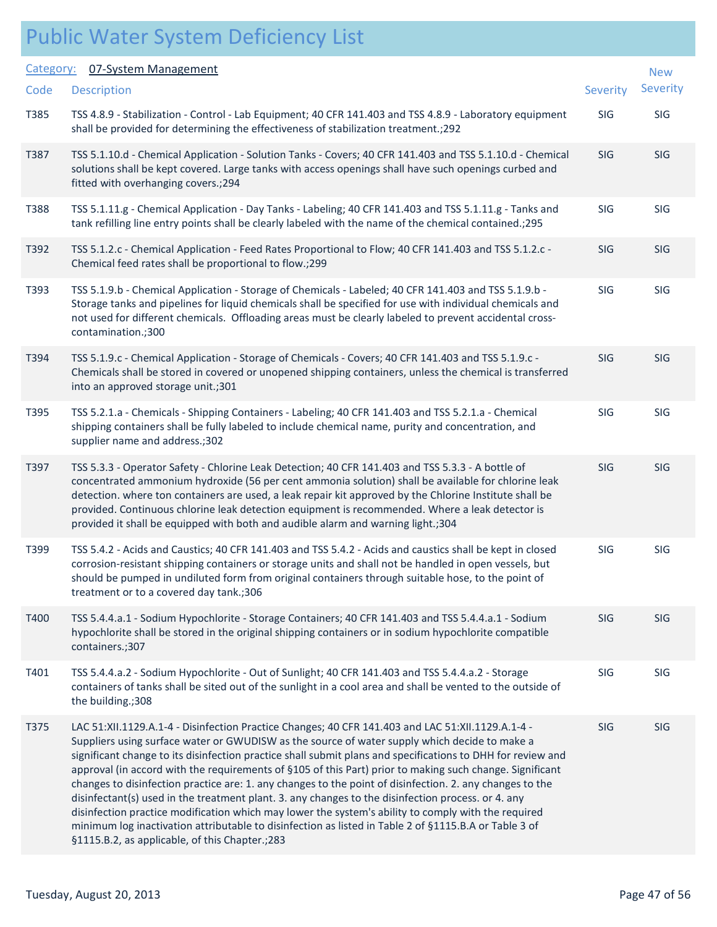| Category: | 07-System Management                                                                                                                                                                                                                                                                                                                                                                                                                                                                                                                                                                                                                                                                                                                                                                                                                                                                                              |                 | <b>New</b>      |
|-----------|-------------------------------------------------------------------------------------------------------------------------------------------------------------------------------------------------------------------------------------------------------------------------------------------------------------------------------------------------------------------------------------------------------------------------------------------------------------------------------------------------------------------------------------------------------------------------------------------------------------------------------------------------------------------------------------------------------------------------------------------------------------------------------------------------------------------------------------------------------------------------------------------------------------------|-----------------|-----------------|
| Code      | <b>Description</b>                                                                                                                                                                                                                                                                                                                                                                                                                                                                                                                                                                                                                                                                                                                                                                                                                                                                                                | <b>Severity</b> | <b>Severity</b> |
| T385      | TSS 4.8.9 - Stabilization - Control - Lab Equipment; 40 CFR 141.403 and TSS 4.8.9 - Laboratory equipment<br>shall be provided for determining the effectiveness of stabilization treatment.; 292                                                                                                                                                                                                                                                                                                                                                                                                                                                                                                                                                                                                                                                                                                                  | SIG             | SIG             |
| T387      | TSS 5.1.10.d - Chemical Application - Solution Tanks - Covers; 40 CFR 141.403 and TSS 5.1.10.d - Chemical<br>solutions shall be kept covered. Large tanks with access openings shall have such openings curbed and<br>fitted with overhanging covers.; 294                                                                                                                                                                                                                                                                                                                                                                                                                                                                                                                                                                                                                                                        | SIG             | SIG             |
| T388      | TSS 5.1.11.g - Chemical Application - Day Tanks - Labeling; 40 CFR 141.403 and TSS 5.1.11.g - Tanks and<br>tank refilling line entry points shall be clearly labeled with the name of the chemical contained.; 295                                                                                                                                                                                                                                                                                                                                                                                                                                                                                                                                                                                                                                                                                                | SIG             | SIG             |
| T392      | TSS 5.1.2.c - Chemical Application - Feed Rates Proportional to Flow; 40 CFR 141.403 and TSS 5.1.2.c -<br>Chemical feed rates shall be proportional to flow.;299                                                                                                                                                                                                                                                                                                                                                                                                                                                                                                                                                                                                                                                                                                                                                  | <b>SIG</b>      | <b>SIG</b>      |
| T393      | TSS 5.1.9.b - Chemical Application - Storage of Chemicals - Labeled; 40 CFR 141.403 and TSS 5.1.9.b -<br>Storage tanks and pipelines for liquid chemicals shall be specified for use with individual chemicals and<br>not used for different chemicals. Offloading areas must be clearly labeled to prevent accidental cross-<br>contamination.;300                                                                                                                                                                                                                                                                                                                                                                                                                                                                                                                                                               | SIG             | <b>SIG</b>      |
| T394      | TSS 5.1.9.c - Chemical Application - Storage of Chemicals - Covers; 40 CFR 141.403 and TSS 5.1.9.c -<br>Chemicals shall be stored in covered or unopened shipping containers, unless the chemical is transferred<br>into an approved storage unit.;301                                                                                                                                                                                                                                                                                                                                                                                                                                                                                                                                                                                                                                                            | <b>SIG</b>      | <b>SIG</b>      |
| T395      | TSS 5.2.1.a - Chemicals - Shipping Containers - Labeling; 40 CFR 141.403 and TSS 5.2.1.a - Chemical<br>shipping containers shall be fully labeled to include chemical name, purity and concentration, and<br>supplier name and address.;302                                                                                                                                                                                                                                                                                                                                                                                                                                                                                                                                                                                                                                                                       | SIG             | SIG             |
| T397      | TSS 5.3.3 - Operator Safety - Chlorine Leak Detection; 40 CFR 141.403 and TSS 5.3.3 - A bottle of<br>concentrated ammonium hydroxide (56 per cent ammonia solution) shall be available for chlorine leak<br>detection. where ton containers are used, a leak repair kit approved by the Chlorine Institute shall be<br>provided. Continuous chlorine leak detection equipment is recommended. Where a leak detector is<br>provided it shall be equipped with both and audible alarm and warning light.;304                                                                                                                                                                                                                                                                                                                                                                                                        | SIG             | <b>SIG</b>      |
| T399      | TSS 5.4.2 - Acids and Caustics; 40 CFR 141.403 and TSS 5.4.2 - Acids and caustics shall be kept in closed<br>corrosion-resistant shipping containers or storage units and shall not be handled in open vessels, but<br>should be pumped in undiluted form from original containers through suitable hose, to the point of<br>treatment or to a covered day tank.;306                                                                                                                                                                                                                                                                                                                                                                                                                                                                                                                                              | SIG             | SIG             |
| T400      | TSS 5.4.4.a.1 - Sodium Hypochlorite - Storage Containers; 40 CFR 141.403 and TSS 5.4.4.a.1 - Sodium<br>hypochlorite shall be stored in the original shipping containers or in sodium hypochlorite compatible<br>containers.;307                                                                                                                                                                                                                                                                                                                                                                                                                                                                                                                                                                                                                                                                                   | SIG             | <b>SIG</b>      |
| T401      | TSS 5.4.4.a.2 - Sodium Hypochlorite - Out of Sunlight; 40 CFR 141.403 and TSS 5.4.4.a.2 - Storage<br>containers of tanks shall be sited out of the sunlight in a cool area and shall be vented to the outside of<br>the building.;308                                                                                                                                                                                                                                                                                                                                                                                                                                                                                                                                                                                                                                                                             | SIG             | SIG             |
| T375      | LAC 51:XII.1129.A.1-4 - Disinfection Practice Changes; 40 CFR 141.403 and LAC 51:XII.1129.A.1-4 -<br>Suppliers using surface water or GWUDISW as the source of water supply which decide to make a<br>significant change to its disinfection practice shall submit plans and specifications to DHH for review and<br>approval (in accord with the requirements of §105 of this Part) prior to making such change. Significant<br>changes to disinfection practice are: 1. any changes to the point of disinfection. 2. any changes to the<br>disinfectant(s) used in the treatment plant. 3. any changes to the disinfection process. or 4. any<br>disinfection practice modification which may lower the system's ability to comply with the required<br>minimum log inactivation attributable to disinfection as listed in Table 2 of §1115.B.A or Table 3 of<br>§1115.B.2, as applicable, of this Chapter.;283 | SIG             | SIG             |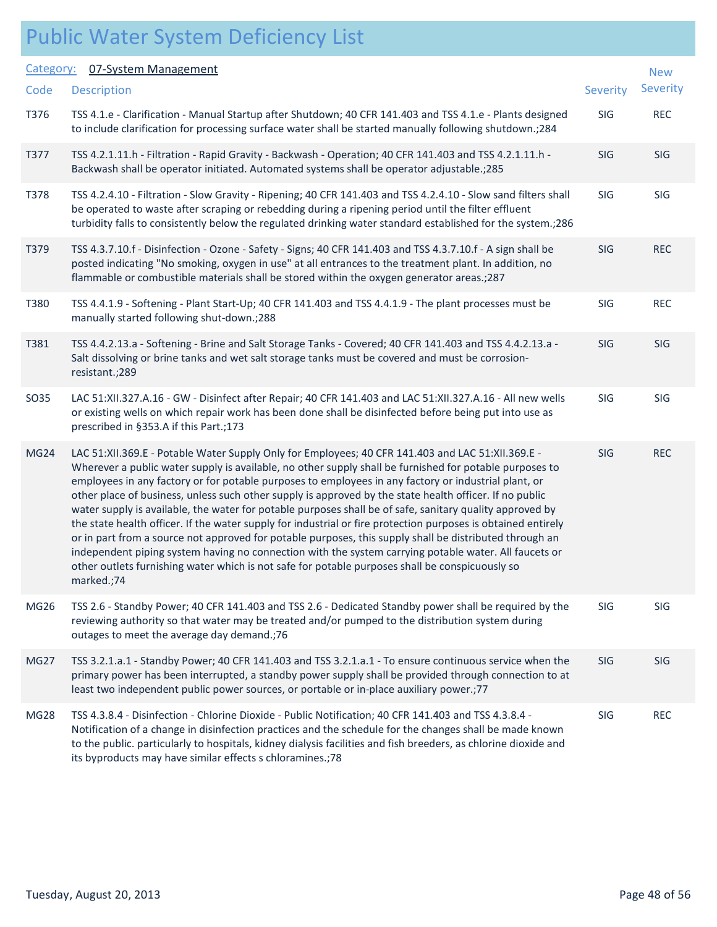#### Public Water System Deficiency List Description Severity of the Severity of the Severity of the Severity of the Severity of the Severity of the Severity Category: 07-System Management **Code** New Severity T376 TSS 4.1.e - Clarification - Manual Startup after Shutdown; 40 CFR 141.403 and TSS 4.1.e - Plants designed SIG REC to include clarification for processing surface water shall be started manually following shutdown.;284 T377 TSS 4.2.1.11.h - Filtration - Rapid Gravity - Backwash - Operation; 40 CFR 141.403 and TSS 4.2.1.11.h - SIG SIG Backwash shall be operator initiated. Automated systems shall be operator adjustable.;285 T378 TSS 4.2.4.10 - Filtration - Slow Gravity - Ripening; 40 CFR 141.403 and TSS 4.2.4.10 - Slow sand filters shall SIG SIG be operated to waste after scraping or rebedding during a ripening period until the filter effluent turbidity falls to consistently below the regulated drinking water standard established for the system.;286 T379 TSS 4.3.7.10.f - Disinfection - Ozone - Safety - Signs; 40 CFR 141.403 and TSS 4.3.7.10.f - A sign shall be SIG REC posted indicating "No smoking, oxygen in use" at all entrances to the treatment plant. In addition, no flammable or combustible materials shall be stored within the oxygen generator areas.;287 T380 TSS 4.4.1.9 - Softening - Plant Start-Up; 40 CFR 141.403 and TSS 4.4.1.9 - The plant processes must be SIG REC manually started following shut-down.;288 T381 TSS 4.4.2.13.a - Softening - Brine and Salt Storage Tanks - Covered; 40 CFR 141.403 and TSS 4.4.2.13.a - SIG SIG Salt dissolving or brine tanks and wet salt storage tanks must be covered and must be corrosionresistant.;289 SO35 LAC 51:XII.327.A.16 - GW - Disinfect after Repair; 40 CFR 141.403 and LAC 51:XII.327.A.16 - All new wells SIG SIG or existing wells on which repair work has been done shall be disinfected before being put into use as prescribed in §353.A if this Part.;173 MG24 LAC 51:XII.369.E - Potable Water Supply Only for Employees; 40 CFR 141.403 and LAC 51:XII.369.E - SIG REC Wherever a public water supply is available, no other supply shall be furnished for potable purposes to employees in any factory or for potable purposes to employees in any factory or industrial plant, or other place of business, unless such other supply is approved by the state health officer. If no public water supply is available, the water for potable purposes shall be of safe, sanitary quality approved by the state health officer. If the water supply for industrial or fire protection purposes is obtained entirely or in part from a source not approved for potable purposes, this supply shall be distributed through an independent piping system having no connection with the system carrying potable water. All faucets or other outlets furnishing water which is not safe for potable purposes shall be conspicuously so marked.;74 MG26 TSS 2.6 - Standby Power; 40 CFR 141.403 and TSS 2.6 - Dedicated Standby power shall be required by the SIG SIG reviewing authority so that water may be treated and/or pumped to the distribution system during outages to meet the average day demand.;76 MG27 TSS 3.2.1.a.1 - Standby Power; 40 CFR 141.403 and TSS 3.2.1.a.1 - To ensure continuous service when the SIG SIG primary power has been interrupted, a standby power supply shall be provided through connection to at least two independent public power sources, or portable or in-place auxiliary power.;77 MG28 TSS 4.3.8.4 - Disinfection - Chlorine Dioxide - Public Notification; 40 CFR 141.403 and TSS 4.3.8.4 - SIG REC Notification of a change in disinfection practices and the schedule for the changes shall be made known to the public. particularly to hospitals, kidney dialysis facilities and fish breeders, as chlorine dioxide and its byproducts may have similar effects s chloramines.;78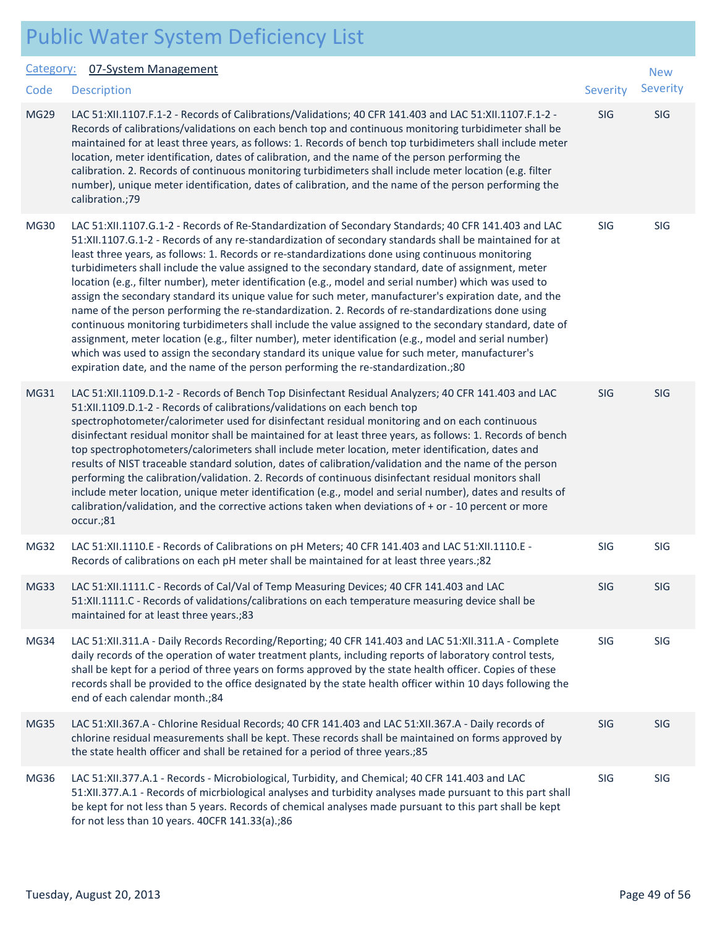#### Category: 07-System Management

| <u>Category:</u> | 07-System Management                                                                                                                                                                                                                                                                                                                                                                                                                                                                                                                                                                                                                                                                                                                                                                                                                                                                                                                                                                                                                                                                                                                                               |            | <b>New</b> |
|------------------|--------------------------------------------------------------------------------------------------------------------------------------------------------------------------------------------------------------------------------------------------------------------------------------------------------------------------------------------------------------------------------------------------------------------------------------------------------------------------------------------------------------------------------------------------------------------------------------------------------------------------------------------------------------------------------------------------------------------------------------------------------------------------------------------------------------------------------------------------------------------------------------------------------------------------------------------------------------------------------------------------------------------------------------------------------------------------------------------------------------------------------------------------------------------|------------|------------|
| Code             | <b>Description</b>                                                                                                                                                                                                                                                                                                                                                                                                                                                                                                                                                                                                                                                                                                                                                                                                                                                                                                                                                                                                                                                                                                                                                 | Severity   | Severity   |
| <b>MG29</b>      | LAC 51:XII.1107.F.1-2 - Records of Calibrations/Validations; 40 CFR 141.403 and LAC 51:XII.1107.F.1-2 -<br>Records of calibrations/validations on each bench top and continuous monitoring turbidimeter shall be<br>maintained for at least three years, as follows: 1. Records of bench top turbidimeters shall include meter<br>location, meter identification, dates of calibration, and the name of the person performing the<br>calibration. 2. Records of continuous monitoring turbidimeters shall include meter location (e.g. filter<br>number), unique meter identification, dates of calibration, and the name of the person performing the<br>calibration.;79                                                                                                                                                                                                                                                                                                                                                                                                                                                                                          | SIG        | SIG        |
| <b>MG30</b>      | LAC 51:XII.1107.G.1-2 - Records of Re-Standardization of Secondary Standards; 40 CFR 141.403 and LAC<br>51:XII.1107.G.1-2 - Records of any re-standardization of secondary standards shall be maintained for at<br>least three years, as follows: 1. Records or re-standardizations done using continuous monitoring<br>turbidimeters shall include the value assigned to the secondary standard, date of assignment, meter<br>location (e.g., filter number), meter identification (e.g., model and serial number) which was used to<br>assign the secondary standard its unique value for such meter, manufacturer's expiration date, and the<br>name of the person performing the re-standardization. 2. Records of re-standardizations done using<br>continuous monitoring turbidimeters shall include the value assigned to the secondary standard, date of<br>assignment, meter location (e.g., filter number), meter identification (e.g., model and serial number)<br>which was used to assign the secondary standard its unique value for such meter, manufacturer's<br>expiration date, and the name of the person performing the re-standardization.;80 | SIG        | SIG        |
| MG31             | LAC 51:XII.1109.D.1-2 - Records of Bench Top Disinfectant Residual Analyzers; 40 CFR 141.403 and LAC<br>51:XII.1109.D.1-2 - Records of calibrations/validations on each bench top<br>spectrophotometer/calorimeter used for disinfectant residual monitoring and on each continuous<br>disinfectant residual monitor shall be maintained for at least three years, as follows: 1. Records of bench<br>top spectrophotometers/calorimeters shall include meter location, meter identification, dates and<br>results of NIST traceable standard solution, dates of calibration/validation and the name of the person<br>performing the calibration/validation. 2. Records of continuous disinfectant residual monitors shall<br>include meter location, unique meter identification (e.g., model and serial number), dates and results of<br>calibration/validation, and the corrective actions taken when deviations of $+$ or $-$ 10 percent or more<br>occur.;81                                                                                                                                                                                                  | <b>SIG</b> | SIG        |
| MG32             | LAC 51:XII.1110.E - Records of Calibrations on pH Meters; 40 CFR 141.403 and LAC 51:XII.1110.E -<br>Records of calibrations on each pH meter shall be maintained for at least three years.; 82                                                                                                                                                                                                                                                                                                                                                                                                                                                                                                                                                                                                                                                                                                                                                                                                                                                                                                                                                                     | SIG        | SIG        |
| MG33             | LAC 51:XII.1111.C - Records of Cal/Val of Temp Measuring Devices; 40 CFR 141.403 and LAC<br>51:XII.1111.C - Records of validations/calibrations on each temperature measuring device shall be<br>maintained for at least three years.;83                                                                                                                                                                                                                                                                                                                                                                                                                                                                                                                                                                                                                                                                                                                                                                                                                                                                                                                           | <b>SIG</b> | SIG        |
| MG34             | LAC 51:XII.311.A - Daily Records Recording/Reporting; 40 CFR 141.403 and LAC 51:XII.311.A - Complete<br>daily records of the operation of water treatment plants, including reports of laboratory control tests,<br>shall be kept for a period of three years on forms approved by the state health officer. Copies of these<br>records shall be provided to the office designated by the state health officer within 10 days following the<br>end of each calendar month.;84                                                                                                                                                                                                                                                                                                                                                                                                                                                                                                                                                                                                                                                                                      | SIG        | SIG        |
| MG35             | LAC 51:XII.367.A - Chlorine Residual Records; 40 CFR 141.403 and LAC 51:XII.367.A - Daily records of<br>chlorine residual measurements shall be kept. These records shall be maintained on forms approved by<br>the state health officer and shall be retained for a period of three years.; 85                                                                                                                                                                                                                                                                                                                                                                                                                                                                                                                                                                                                                                                                                                                                                                                                                                                                    | SIG        | SIG        |
| MG36             | LAC 51:XII.377.A.1 - Records - Microbiological, Turbidity, and Chemical; 40 CFR 141.403 and LAC<br>51:XII.377.A.1 - Records of micrbiological analyses and turbidity analyses made pursuant to this part shall<br>be kept for not less than 5 years. Records of chemical analyses made pursuant to this part shall be kept<br>for not less than 10 years. 40CFR 141.33(a).;86                                                                                                                                                                                                                                                                                                                                                                                                                                                                                                                                                                                                                                                                                                                                                                                      | SIG        | SIG        |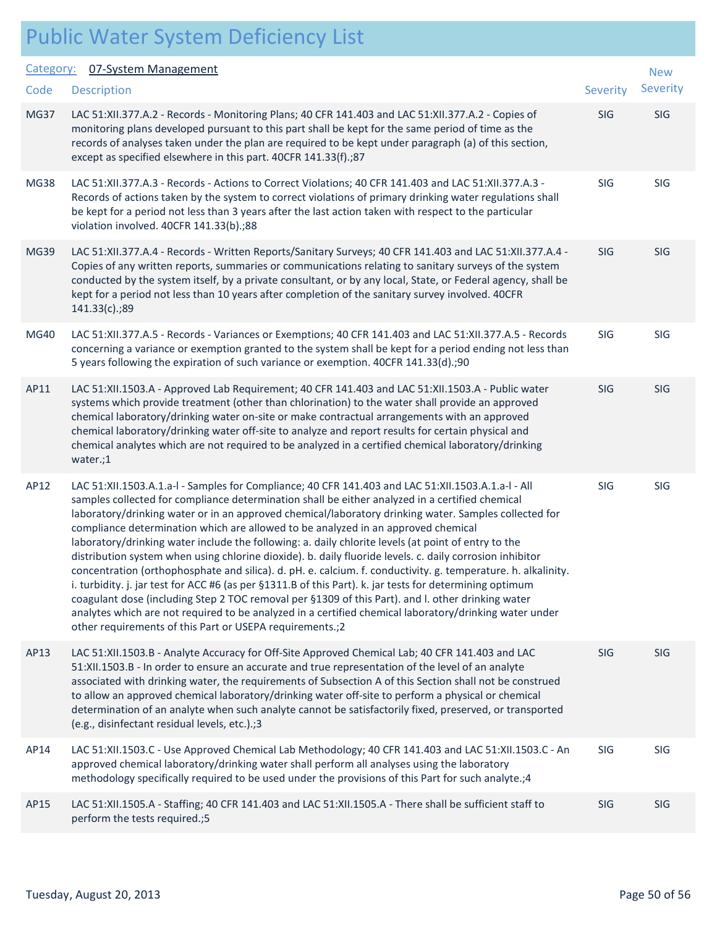|                   | <b>Public Water System Deficiency List</b>                                                                                                                                                                                                                                                                                                                                                                                                                                                                                     |            |                     |
|-------------------|--------------------------------------------------------------------------------------------------------------------------------------------------------------------------------------------------------------------------------------------------------------------------------------------------------------------------------------------------------------------------------------------------------------------------------------------------------------------------------------------------------------------------------|------------|---------------------|
| Category:<br>Code | 07-System Management<br><b>Description</b>                                                                                                                                                                                                                                                                                                                                                                                                                                                                                     | Severity   | <b>New</b><br>Sever |
| MG37              | LAC 51:XII.377.A.2 - Records - Monitoring Plans; 40 CFR 141.403 and LAC 51:XII.377.A.2 - Copies of<br>monitoring plans developed pursuant to this part shall be kept for the same period of time as the<br>records of analyses taken under the plan are required to be kept under paragraph (a) of this section,<br>except as specified elsewhere in this part. 40CFR 141.33(f).;87                                                                                                                                            | SIG        | SIG                 |
| <b>MG38</b>       | LAC 51:XII.377.A.3 - Records - Actions to Correct Violations; 40 CFR 141.403 and LAC 51:XII.377.A.3 -<br>Records of actions taken by the system to correct violations of primary drinking water regulations shall<br>be kept for a period not less than 3 years after the last action taken with respect to the particular<br>violation involved. 40CFR 141.33(b).;88                                                                                                                                                          | SIG        | SIG                 |
| <b>MG39</b>       | LAC 51:XII.377.A.4 - Records - Written Reports/Sanitary Surveys; 40 CFR 141.403 and LAC 51:XII.377.A.4 -<br>Copies of any written reports, summaries or communications relating to sanitary surveys of the system<br>conducted by the system itself, by a private consultant, or by any local, State, or Federal agency, shall be<br>kept for a period not less than 10 years after completion of the sanitary survey involved. 40CFR<br>141.33(c).;89                                                                         | SIG        | SIG                 |
| <b>MG40</b>       | LAC 51:XII.377.A.5 - Records - Variances or Exemptions; 40 CFR 141.403 and LAC 51:XII.377.A.5 - Records<br>concerning a variance or exemption granted to the system shall be kept for a period ending not less than<br>5 years following the expiration of such variance or exemption. 40CFR 141.33(d).;90                                                                                                                                                                                                                     | <b>SIG</b> | SIG                 |
| AP11              | LAC 51:XII.1503.A - Approved Lab Requirement; 40 CFR 141.403 and LAC 51:XII.1503.A - Public water<br>systems which provide treatment (other than chlorination) to the water shall provide an approved<br>chemical laboratory/drinking water on-site or make contractual arrangements with an approved<br>chemical laboratory/drinking water off-site to analyze and report results for certain physical and<br>chemical analytes which are not required to be analyzed in a certified chemical laboratory/drinking<br>water.;1 | SIG        | SIG                 |
| AP12              | LAC 51:XII.1503.A.1.a-l - Samples for Compliance; 40 CFR 141.403 and LAC 51:XII.1503.A.1.a-l - All<br>samples collected for compliance determination shall be either analyzed in a certified chemical<br>$\sim$ . The contract of the contract of the contract of the contract of the contract of the contract of the contract of the contract of the contract of the contract of the contract of the contract of the contract of the co                                                                                       | SIG        | SIG                 |

laboratory/drinking water or in an approved chemical/laboratory drinking water. Samples collected for compliance determination which are allowed to be analyzed in an approved chemical laboratory/drinking water include the following: a. daily chlorite levels (at point of entry to the distribution system when using chlorine dioxide). b. daily fluoride levels. c. daily corrosion inhibitor concentration (orthophosphate and silica). d. pH. e. calcium. f. conductivity. g. temperature. h. alkalinity. i. turbidity. j. jar test for ACC #6 (as per §1311.B of this Part). k. jar tests for determining optimum coagulant dose (including Step 2 TOC removal per §1309 of this Part). and l. other drinking water analytes which are not required to be analyzed in a certified chemical laboratory/drinking water under other requirements of this Part or USEPA requirements.;2

AP13 LAC 51:XII.1503.B - Analyte Accuracy for Off-Site Approved Chemical Lab; 40 CFR 141.403 and LAC SIG SIG SIG 51:XII.1503.B - In order to ensure an accurate and true representation of the level of an analyte associated with drinking water, the requirements of Subsection A of this Section shall not be construed to allow an approved chemical laboratory/drinking water off-site to perform a physical or chemical determination of an analyte when such analyte cannot be satisfactorily fixed, preserved, or transported (e.g., disinfectant residual levels, etc.).;3

AP14 LAC 51:XII.1503.C - Use Approved Chemical Lab Methodology; 40 CFR 141.403 and LAC 51:XII.1503.C - An SIG SIG approved chemical laboratory/drinking water shall perform all analyses using the laboratory methodology specifically required to be used under the provisions of this Part for such analyte.;4

AP15 LAC 51:XII.1505.A - Staffing; 40 CFR 141.403 and LAC 51:XII.1505.A - There shall be sufficient staff to SIG SIG perform the tests required.;5

New Severity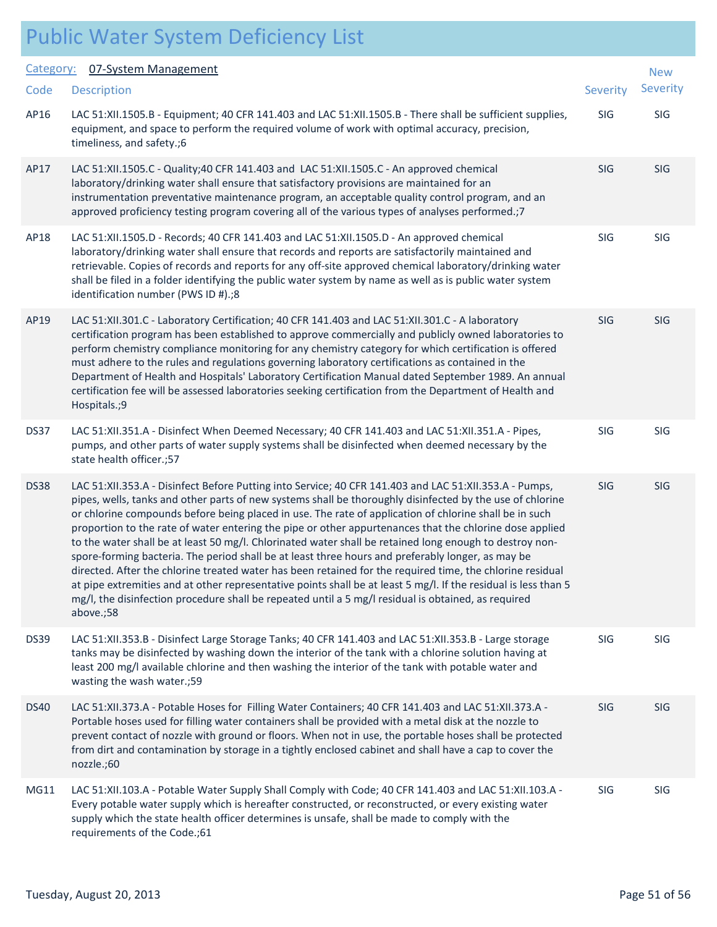#### Public Water System Deficiency List Category: 07-System Management Code

| Category:   | 07-System Management                                                                                                                                                                                                                                                                                                                                                                                                                                                                                                                                                                                                                                                                                                                                                                                                                                                                                                                                                                                         |            | <b>New</b> |
|-------------|--------------------------------------------------------------------------------------------------------------------------------------------------------------------------------------------------------------------------------------------------------------------------------------------------------------------------------------------------------------------------------------------------------------------------------------------------------------------------------------------------------------------------------------------------------------------------------------------------------------------------------------------------------------------------------------------------------------------------------------------------------------------------------------------------------------------------------------------------------------------------------------------------------------------------------------------------------------------------------------------------------------|------------|------------|
| Code        | <b>Description</b>                                                                                                                                                                                                                                                                                                                                                                                                                                                                                                                                                                                                                                                                                                                                                                                                                                                                                                                                                                                           | Severity   | Severity   |
| AP16        | LAC 51:XII.1505.B - Equipment; 40 CFR 141.403 and LAC 51:XII.1505.B - There shall be sufficient supplies,<br>equipment, and space to perform the required volume of work with optimal accuracy, precision,<br>timeliness, and safety.;6                                                                                                                                                                                                                                                                                                                                                                                                                                                                                                                                                                                                                                                                                                                                                                      | SIG        | SIG        |
| AP17        | LAC 51:XII.1505.C - Quality;40 CFR 141.403 and LAC 51:XII.1505.C - An approved chemical<br>laboratory/drinking water shall ensure that satisfactory provisions are maintained for an<br>instrumentation preventative maintenance program, an acceptable quality control program, and an<br>approved proficiency testing program covering all of the various types of analyses performed.;7                                                                                                                                                                                                                                                                                                                                                                                                                                                                                                                                                                                                                   | SIG        | SIG        |
| AP18        | LAC 51:XII.1505.D - Records; 40 CFR 141.403 and LAC 51:XII.1505.D - An approved chemical<br>laboratory/drinking water shall ensure that records and reports are satisfactorily maintained and<br>retrievable. Copies of records and reports for any off-site approved chemical laboratory/drinking water<br>shall be filed in a folder identifying the public water system by name as well as is public water system<br>identification number (PWS ID #).;8                                                                                                                                                                                                                                                                                                                                                                                                                                                                                                                                                  | <b>SIG</b> | SIG        |
| AP19        | LAC 51:XII.301.C - Laboratory Certification; 40 CFR 141.403 and LAC 51:XII.301.C - A laboratory<br>certification program has been established to approve commercially and publicly owned laboratories to<br>perform chemistry compliance monitoring for any chemistry category for which certification is offered<br>must adhere to the rules and regulations governing laboratory certifications as contained in the<br>Department of Health and Hospitals' Laboratory Certification Manual dated September 1989. An annual<br>certification fee will be assessed laboratories seeking certification from the Department of Health and<br>Hospitals.;9                                                                                                                                                                                                                                                                                                                                                      | <b>SIG</b> | <b>SIG</b> |
| DS37        | LAC 51:XII.351.A - Disinfect When Deemed Necessary; 40 CFR 141.403 and LAC 51:XII.351.A - Pipes,<br>pumps, and other parts of water supply systems shall be disinfected when deemed necessary by the<br>state health officer.;57                                                                                                                                                                                                                                                                                                                                                                                                                                                                                                                                                                                                                                                                                                                                                                             | SIG        | SIG        |
| DS38        | LAC 51:XII.353.A - Disinfect Before Putting into Service; 40 CFR 141.403 and LAC 51:XII.353.A - Pumps,<br>pipes, wells, tanks and other parts of new systems shall be thoroughly disinfected by the use of chlorine<br>or chlorine compounds before being placed in use. The rate of application of chlorine shall be in such<br>proportion to the rate of water entering the pipe or other appurtenances that the chlorine dose applied<br>to the water shall be at least 50 mg/l. Chlorinated water shall be retained long enough to destroy non-<br>spore-forming bacteria. The period shall be at least three hours and preferably longer, as may be<br>directed. After the chlorine treated water has been retained for the required time, the chlorine residual<br>at pipe extremities and at other representative points shall be at least 5 mg/l. If the residual is less than 5<br>mg/l, the disinfection procedure shall be repeated until a 5 mg/l residual is obtained, as required<br>above.;58 | SIG        | SIG        |
| <b>DS39</b> | LAC 51:XII.353.B - Disinfect Large Storage Tanks; 40 CFR 141.403 and LAC 51:XII.353.B - Large storage<br>tanks may be disinfected by washing down the interior of the tank with a chlorine solution having at<br>least 200 mg/l available chlorine and then washing the interior of the tank with potable water and<br>wasting the wash water.;59                                                                                                                                                                                                                                                                                                                                                                                                                                                                                                                                                                                                                                                            | SIG        | SIG        |
| <b>DS40</b> | LAC 51:XII.373.A - Potable Hoses for Filling Water Containers; 40 CFR 141.403 and LAC 51:XII.373.A -<br>Portable hoses used for filling water containers shall be provided with a metal disk at the nozzle to<br>prevent contact of nozzle with ground or floors. When not in use, the portable hoses shall be protected<br>from dirt and contamination by storage in a tightly enclosed cabinet and shall have a cap to cover the<br>nozzle.;60                                                                                                                                                                                                                                                                                                                                                                                                                                                                                                                                                             | <b>SIG</b> | <b>SIG</b> |
| MG11        | LAC 51:XII.103.A - Potable Water Supply Shall Comply with Code; 40 CFR 141.403 and LAC 51:XII.103.A -<br>Every potable water supply which is hereafter constructed, or reconstructed, or every existing water<br>supply which the state health officer determines is unsafe, shall be made to comply with the<br>requirements of the Code.;61                                                                                                                                                                                                                                                                                                                                                                                                                                                                                                                                                                                                                                                                | SIG        | SIG        |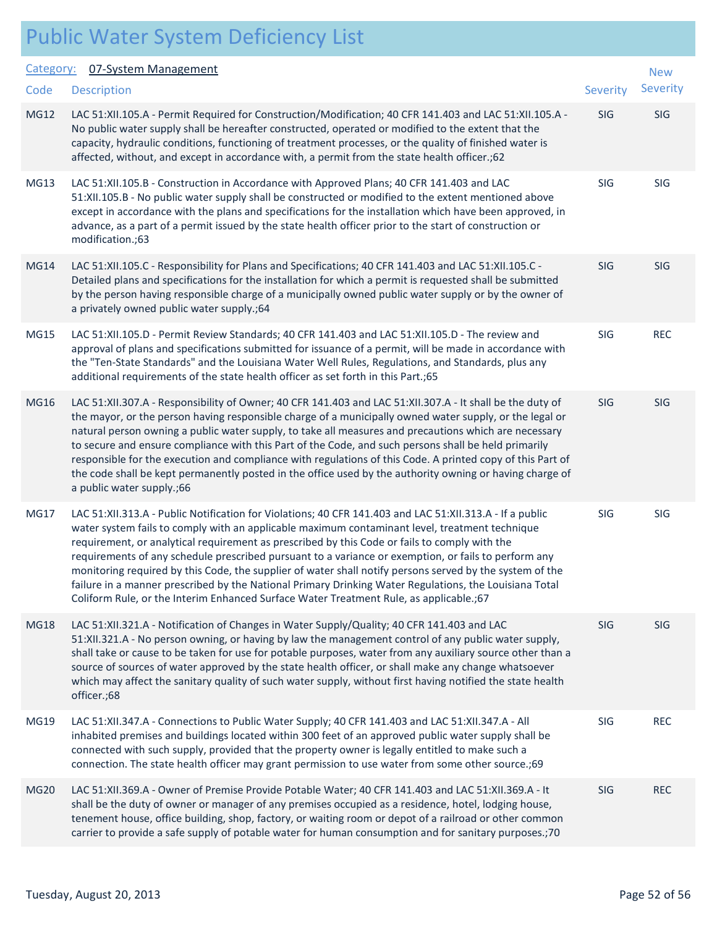|             |                   | <b>Public Water System Deficiency List</b>                                                                                                                                                                                                                                                                                                                                                                                                                                                                                                                                                                                                                                                                                           |          |                     |
|-------------|-------------------|--------------------------------------------------------------------------------------------------------------------------------------------------------------------------------------------------------------------------------------------------------------------------------------------------------------------------------------------------------------------------------------------------------------------------------------------------------------------------------------------------------------------------------------------------------------------------------------------------------------------------------------------------------------------------------------------------------------------------------------|----------|---------------------|
|             | Category:<br>Code | 07-System Management<br><b>Description</b>                                                                                                                                                                                                                                                                                                                                                                                                                                                                                                                                                                                                                                                                                           | Severity | <b>New</b><br>Sever |
| <b>MG12</b> |                   | LAC 51:XII.105.A - Permit Required for Construction/Modification; 40 CFR 141.403 and LAC 51:XII.105.A -<br>No public water supply shall be hereafter constructed, operated or modified to the extent that the<br>capacity, hydraulic conditions, functioning of treatment processes, or the quality of finished water is<br>affected, without, and except in accordance with, a permit from the state health officer.;62                                                                                                                                                                                                                                                                                                             | SIG      | SIG                 |
|             | MG13              | LAC 51:XII.105.B - Construction in Accordance with Approved Plans; 40 CFR 141.403 and LAC<br>51:XII.105.B - No public water supply shall be constructed or modified to the extent mentioned above<br>except in accordance with the plans and specifications for the installation which have been approved, in<br>advance, as a part of a permit issued by the state health officer prior to the start of construction or<br>modification.;63                                                                                                                                                                                                                                                                                         | SIG      | SIG                 |
|             | <b>MG14</b>       | LAC 51:XII.105.C - Responsibility for Plans and Specifications; 40 CFR 141.403 and LAC 51:XII.105.C -<br>Detailed plans and specifications for the installation for which a permit is requested shall be submitted<br>by the person having responsible charge of a municipally owned public water supply or by the owner of<br>a privately owned public water supply.; 64                                                                                                                                                                                                                                                                                                                                                            | SIG      | SIG                 |
|             | <b>MG15</b>       | LAC 51:XII.105.D - Permit Review Standards; 40 CFR 141.403 and LAC 51:XII.105.D - The review and<br>approval of plans and specifications submitted for issuance of a permit, will be made in accordance with<br>the "Ten-State Standards" and the Louisiana Water Well Rules, Regulations, and Standards, plus any<br>additional requirements of the state health officer as set forth in this Part.;65                                                                                                                                                                                                                                                                                                                              | SIG      | <b>REC</b>          |
|             | <b>MG16</b>       | LAC 51:XII.307.A - Responsibility of Owner; 40 CFR 141.403 and LAC 51:XII.307.A - It shall be the duty of<br>the mayor, or the person having responsible charge of a municipally owned water supply, or the legal or<br>natural person owning a public water supply, to take all measures and precautions which are necessary<br>to secure and ensure compliance with this Part of the Code, and such persons shall be held primarily<br>responsible for the execution and compliance with regulations of this Code. A printed copy of this Part of<br>the code shall be kept permanently posted in the office used by the authority owning or having charge of<br>a public water supply.;66                                         | SIG      | <b>SIG</b>          |
|             | MG17              | LAC 51:XII.313.A - Public Notification for Violations; 40 CFR 141.403 and LAC 51:XII.313.A - If a public<br>water system fails to comply with an applicable maximum contaminant level, treatment technique<br>requirement, or analytical requirement as prescribed by this Code or fails to comply with the<br>requirements of any schedule prescribed pursuant to a variance or exemption, or fails to perform any<br>monitoring required by this Code, the supplier of water shall notify persons served by the system of the<br>failure in a manner prescribed by the National Primary Drinking Water Regulations, the Louisiana Total<br>Coliform Rule, or the Interim Enhanced Surface Water Treatment Rule, as applicable.; 67 | SIG      | SIG                 |
|             | <b>MG18</b>       | LAC 51:XII.321.A - Notification of Changes in Water Supply/Quality; 40 CFR 141.403 and LAC<br>51:XII.321.A - No person owning, or having by law the management control of any public water supply,<br>shall take or cause to be taken for use for potable purposes, water from any auxiliary source other than a<br>source of sources of water approved by the state health officer, or shall make any change whatsoever<br>which may affect the sanitary quality of such water supply, without first having notified the state health<br>officer.;68                                                                                                                                                                                | SIG      | SIG                 |

- MG19 LAC 51:XII.347.A Connections to Public Water Supply; 40 CFR 141.403 and LAC 51:XII.347.A All SIG REC inhabited premises and buildings located within 300 feet of an approved public water supply shall be connected with such supply, provided that the property owner is legally entitled to make such a connection. The state health officer may grant permission to use water from some other source.;69 MG20 LAC 51:XII.369.A - Owner of Premise Provide Potable Water; 40 CFR 141.403 and LAC 51:XII.369.A - It SIG REC shall be the duty of owner or manager of any premises occupied as a residence, hotel, lodging house,
- tenement house, office building, shop, factory, or waiting room or depot of a railroad or other common carrier to provide a safe supply of potable water for human consumption and for sanitary purposes.;70

New Severity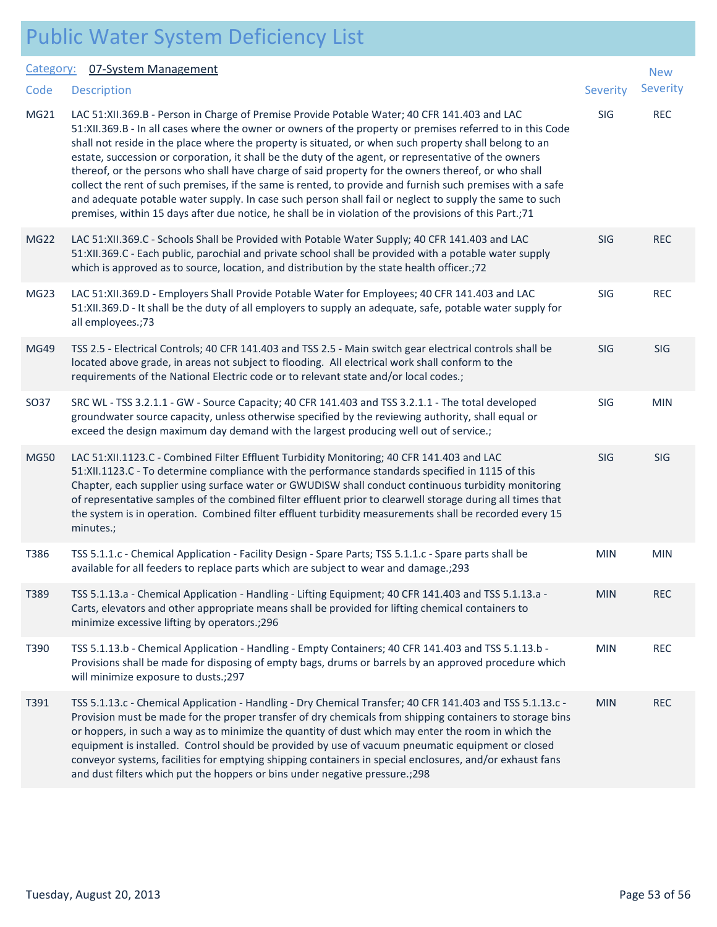| Public Water System Deficiency List |  |  |
|-------------------------------------|--|--|
|                                     |  |  |

#### Category: 07-System Management

| Category:        | 07-System Management                                                                                                                                                                                                                                                                                                                                                                                                                                                                                                                                                                                                                                                                                                                                                                                                                                                    |                 | <b>New</b> |
|------------------|-------------------------------------------------------------------------------------------------------------------------------------------------------------------------------------------------------------------------------------------------------------------------------------------------------------------------------------------------------------------------------------------------------------------------------------------------------------------------------------------------------------------------------------------------------------------------------------------------------------------------------------------------------------------------------------------------------------------------------------------------------------------------------------------------------------------------------------------------------------------------|-----------------|------------|
| Code             | <b>Description</b>                                                                                                                                                                                                                                                                                                                                                                                                                                                                                                                                                                                                                                                                                                                                                                                                                                                      | <b>Severity</b> | Severity   |
| MG21             | LAC 51:XII.369.B - Person in Charge of Premise Provide Potable Water; 40 CFR 141.403 and LAC<br>51:XII.369.B - In all cases where the owner or owners of the property or premises referred to in this Code<br>shall not reside in the place where the property is situated, or when such property shall belong to an<br>estate, succession or corporation, it shall be the duty of the agent, or representative of the owners<br>thereof, or the persons who shall have charge of said property for the owners thereof, or who shall<br>collect the rent of such premises, if the same is rented, to provide and furnish such premises with a safe<br>and adequate potable water supply. In case such person shall fail or neglect to supply the same to such<br>premises, within 15 days after due notice, he shall be in violation of the provisions of this Part.;71 | SIG             | <b>REC</b> |
| MG <sub>22</sub> | LAC 51:XII.369.C - Schools Shall be Provided with Potable Water Supply; 40 CFR 141.403 and LAC<br>51:XII.369.C - Each public, parochial and private school shall be provided with a potable water supply<br>which is approved as to source, location, and distribution by the state health officer.;72                                                                                                                                                                                                                                                                                                                                                                                                                                                                                                                                                                  | SIG             | <b>REC</b> |
| MG <sub>23</sub> | LAC 51:XII.369.D - Employers Shall Provide Potable Water for Employees; 40 CFR 141.403 and LAC<br>51:XII.369.D - It shall be the duty of all employers to supply an adequate, safe, potable water supply for<br>all employees.;73                                                                                                                                                                                                                                                                                                                                                                                                                                                                                                                                                                                                                                       | SIG             | <b>REC</b> |
| <b>MG49</b>      | TSS 2.5 - Electrical Controls; 40 CFR 141.403 and TSS 2.5 - Main switch gear electrical controls shall be<br>located above grade, in areas not subject to flooding. All electrical work shall conform to the<br>requirements of the National Electric code or to relevant state and/or local codes.;                                                                                                                                                                                                                                                                                                                                                                                                                                                                                                                                                                    | SIG             | SIG        |
| SO37             | SRC WL - TSS 3.2.1.1 - GW - Source Capacity; 40 CFR 141.403 and TSS 3.2.1.1 - The total developed<br>groundwater source capacity, unless otherwise specified by the reviewing authority, shall equal or<br>exceed the design maximum day demand with the largest producing well out of service.;                                                                                                                                                                                                                                                                                                                                                                                                                                                                                                                                                                        | SIG             | <b>MIN</b> |
| MG50             | LAC 51:XII.1123.C - Combined Filter Effluent Turbidity Monitoring; 40 CFR 141.403 and LAC<br>51:XII.1123.C - To determine compliance with the performance standards specified in 1115 of this<br>Chapter, each supplier using surface water or GWUDISW shall conduct continuous turbidity monitoring<br>of representative samples of the combined filter effluent prior to clearwell storage during all times that<br>the system is in operation. Combined filter effluent turbidity measurements shall be recorded every 15<br>minutes.;                                                                                                                                                                                                                                                                                                                               | <b>SIG</b>      | SIG        |
| T386             | TSS 5.1.1.c - Chemical Application - Facility Design - Spare Parts; TSS 5.1.1.c - Spare parts shall be<br>available for all feeders to replace parts which are subject to wear and damage.; 293                                                                                                                                                                                                                                                                                                                                                                                                                                                                                                                                                                                                                                                                         | <b>MIN</b>      | <b>MIN</b> |
| T389             | TSS 5.1.13.a - Chemical Application - Handling - Lifting Equipment; 40 CFR 141.403 and TSS 5.1.13.a -<br>Carts, elevators and other appropriate means shall be provided for lifting chemical containers to<br>minimize excessive lifting by operators.; 296                                                                                                                                                                                                                                                                                                                                                                                                                                                                                                                                                                                                             | <b>MIN</b>      | <b>REC</b> |
| T390             | TSS 5.1.13.b - Chemical Application - Handling - Empty Containers; 40 CFR 141.403 and TSS 5.1.13.b -<br>Provisions shall be made for disposing of empty bags, drums or barrels by an approved procedure which<br>will minimize exposure to dusts.; 297                                                                                                                                                                                                                                                                                                                                                                                                                                                                                                                                                                                                                  | <b>MIN</b>      | <b>REC</b> |
| T391             | TSS 5.1.13.c - Chemical Application - Handling - Dry Chemical Transfer; 40 CFR 141.403 and TSS 5.1.13.c -<br>Provision must be made for the proper transfer of dry chemicals from shipping containers to storage bins<br>or hoppers, in such a way as to minimize the quantity of dust which may enter the room in which the<br>equipment is installed. Control should be provided by use of vacuum pneumatic equipment or closed<br>conveyor systems, facilities for emptying shipping containers in special enclosures, and/or exhaust fans<br>and dust filters which put the hoppers or bins under negative pressure.; 298                                                                                                                                                                                                                                           | <b>MIN</b>      | <b>REC</b> |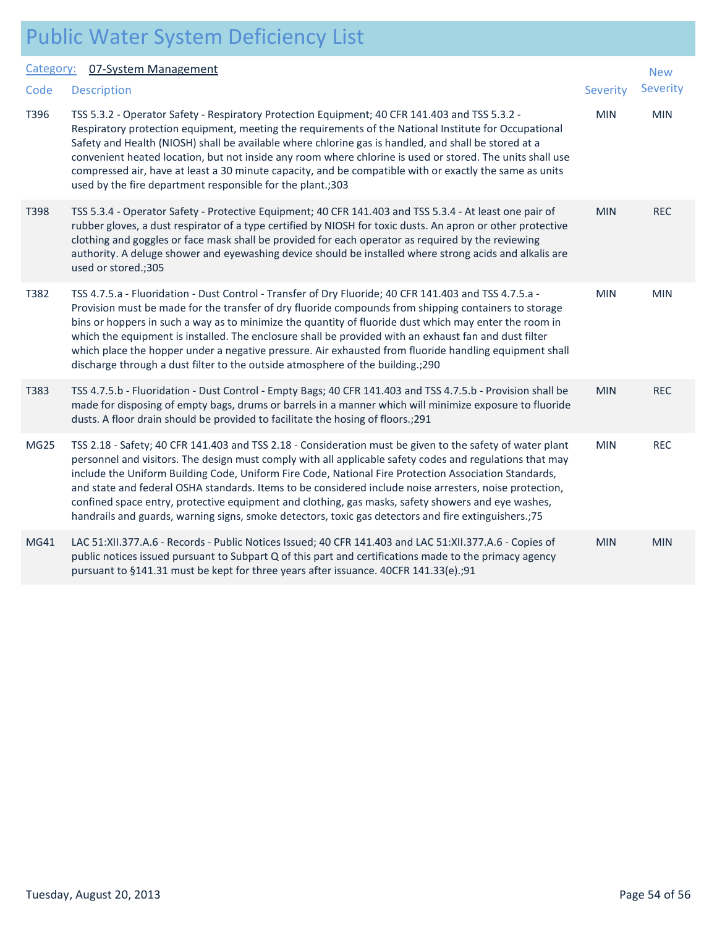#### 07-System M

|                  | Category: 07-System Management                                                                                                                                                                                                                                                                                                                                                                                                                                                                                                                                                                                                                          |            | <b>New</b> |  |
|------------------|---------------------------------------------------------------------------------------------------------------------------------------------------------------------------------------------------------------------------------------------------------------------------------------------------------------------------------------------------------------------------------------------------------------------------------------------------------------------------------------------------------------------------------------------------------------------------------------------------------------------------------------------------------|------------|------------|--|
| Code             | <b>Description</b>                                                                                                                                                                                                                                                                                                                                                                                                                                                                                                                                                                                                                                      | Severity   | Severity   |  |
| T396             | TSS 5.3.2 - Operator Safety - Respiratory Protection Equipment; 40 CFR 141.403 and TSS 5.3.2 -<br>Respiratory protection equipment, meeting the requirements of the National Institute for Occupational<br>Safety and Health (NIOSH) shall be available where chlorine gas is handled, and shall be stored at a<br>convenient heated location, but not inside any room where chlorine is used or stored. The units shall use<br>compressed air, have at least a 30 minute capacity, and be compatible with or exactly the same as units<br>used by the fire department responsible for the plant.;303                                                   | <b>MIN</b> | <b>MIN</b> |  |
| T398             | TSS 5.3.4 - Operator Safety - Protective Equipment; 40 CFR 141.403 and TSS 5.3.4 - At least one pair of<br>rubber gloves, a dust respirator of a type certified by NIOSH for toxic dusts. An apron or other protective<br>clothing and goggles or face mask shall be provided for each operator as required by the reviewing<br>authority. A deluge shower and eyewashing device should be installed where strong acids and alkalis are<br>used or stored.;305                                                                                                                                                                                          | <b>MIN</b> | <b>REC</b> |  |
| T382             | TSS 4.7.5.a - Fluoridation - Dust Control - Transfer of Dry Fluoride; 40 CFR 141.403 and TSS 4.7.5.a -<br>Provision must be made for the transfer of dry fluoride compounds from shipping containers to storage<br>bins or hoppers in such a way as to minimize the quantity of fluoride dust which may enter the room in<br>which the equipment is installed. The enclosure shall be provided with an exhaust fan and dust filter<br>which place the hopper under a negative pressure. Air exhausted from fluoride handling equipment shall<br>discharge through a dust filter to the outside atmosphere of the building.; 290                         | <b>MIN</b> | <b>MIN</b> |  |
| T383             | TSS 4.7.5.b - Fluoridation - Dust Control - Empty Bags; 40 CFR 141.403 and TSS 4.7.5.b - Provision shall be<br>made for disposing of empty bags, drums or barrels in a manner which will minimize exposure to fluoride<br>dusts. A floor drain should be provided to facilitate the hosing of floors.; 291                                                                                                                                                                                                                                                                                                                                              | <b>MIN</b> | <b>REC</b> |  |
| MG <sub>25</sub> | TSS 2.18 - Safety; 40 CFR 141.403 and TSS 2.18 - Consideration must be given to the safety of water plant<br>personnel and visitors. The design must comply with all applicable safety codes and regulations that may<br>include the Uniform Building Code, Uniform Fire Code, National Fire Protection Association Standards,<br>and state and federal OSHA standards. Items to be considered include noise arresters, noise protection,<br>confined space entry, protective equipment and clothing, gas masks, safety showers and eye washes,<br>handrails and guards, warning signs, smoke detectors, toxic gas detectors and fire extinguishers.;75 | <b>MIN</b> | <b>REC</b> |  |
| MG41             | LAC 51:XII.377.A.6 - Records - Public Notices Issued; 40 CFR 141.403 and LAC 51:XII.377.A.6 - Copies of<br>public notices issued pursuant to Subpart Q of this part and certifications made to the primacy agency<br>pursuant to §141.31 must be kept for three years after issuance. 40CFR 141.33(e).;91                                                                                                                                                                                                                                                                                                                                               | <b>MIN</b> | <b>MIN</b> |  |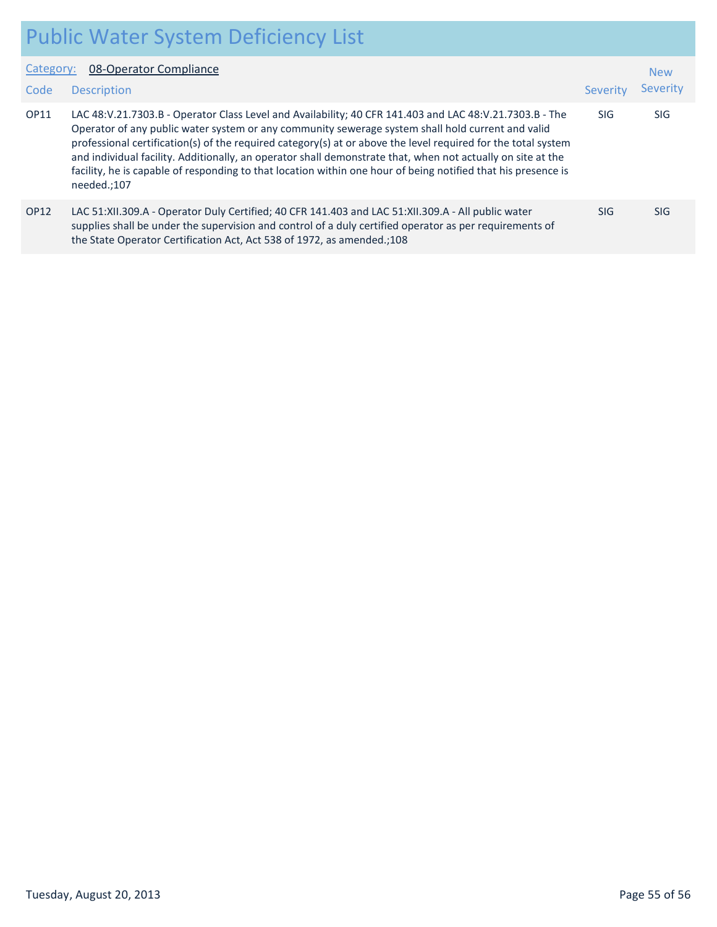|                   | <b>Public Water System Deficiency List</b>                                                                                                                                                                                                                                                                                                                                                                                                                                                                                                                                   |            |                        |  |
|-------------------|------------------------------------------------------------------------------------------------------------------------------------------------------------------------------------------------------------------------------------------------------------------------------------------------------------------------------------------------------------------------------------------------------------------------------------------------------------------------------------------------------------------------------------------------------------------------------|------------|------------------------|--|
| Category:<br>Code | 08-Operator Compliance<br><b>Description</b>                                                                                                                                                                                                                                                                                                                                                                                                                                                                                                                                 | Severity   | <b>New</b><br>Severity |  |
| <b>OP11</b>       | LAC 48:V.21.7303.B - Operator Class Level and Availability; 40 CFR 141.403 and LAC 48:V.21.7303.B - The<br>Operator of any public water system or any community sewerage system shall hold current and valid<br>professional certification(s) of the required category(s) at or above the level required for the total system<br>and individual facility. Additionally, an operator shall demonstrate that, when not actually on site at the<br>facility, he is capable of responding to that location within one hour of being notified that his presence is<br>needed.;107 | <b>SIG</b> | SIG.                   |  |
| <b>OP12</b>       | LAC 51:XII.309.A - Operator Duly Certified; 40 CFR 141.403 and LAC 51:XII.309.A - All public water<br>supplies shall be under the supervision and control of a duly certified operator as per requirements of<br>the State Operator Certification Act, Act 538 of 1972, as amended.;108                                                                                                                                                                                                                                                                                      | SIG.       | SIG.                   |  |